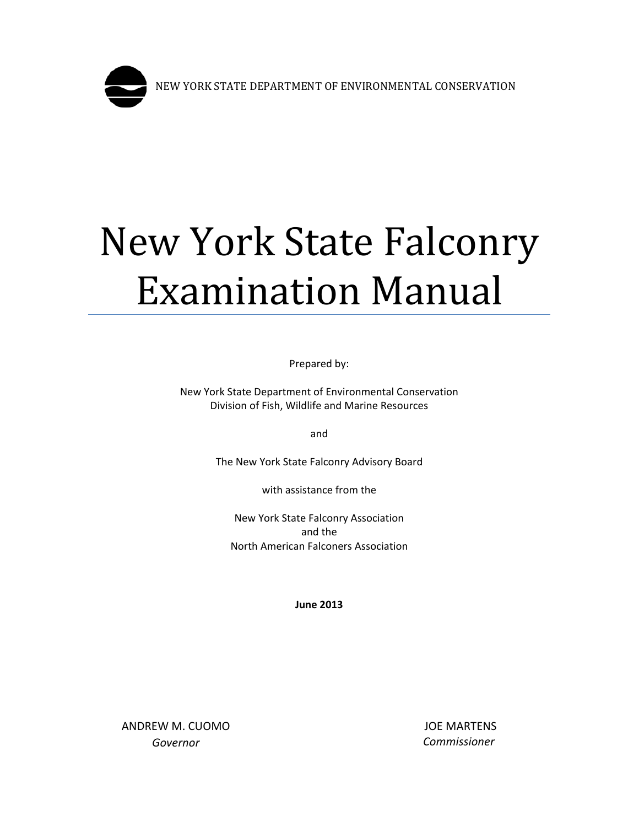

# New York State Falconry Examination Manual

Prepared by:

New York State Department of Environmental Conservation Division of Fish, Wildlife and Marine Resources

and

The New York State Falconry Advisory Board

with assistance from the

New York State Falconry Association and the North American Falconers Association

**June 2013**

ANDREW M. CUOMO *Governor*

JOE MARTENS *Commissioner*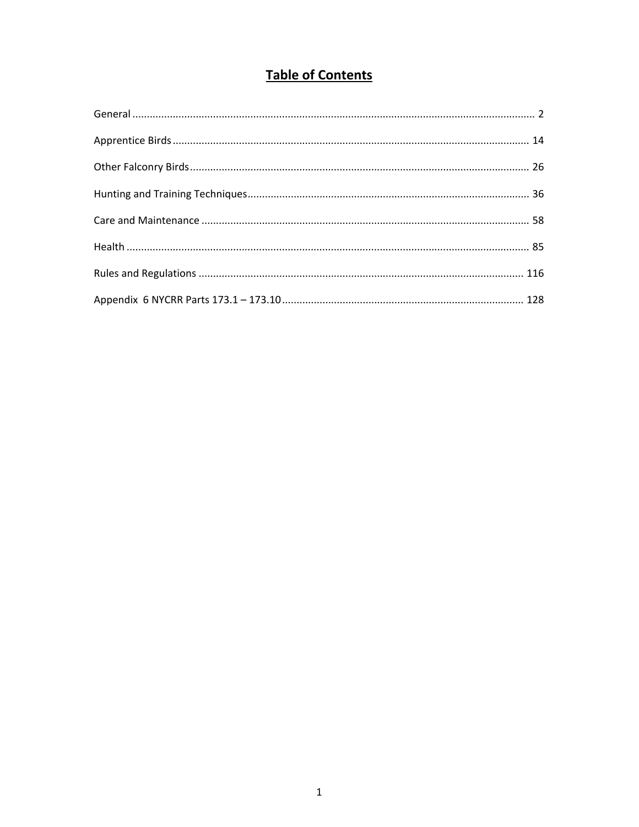# **Table of Contents**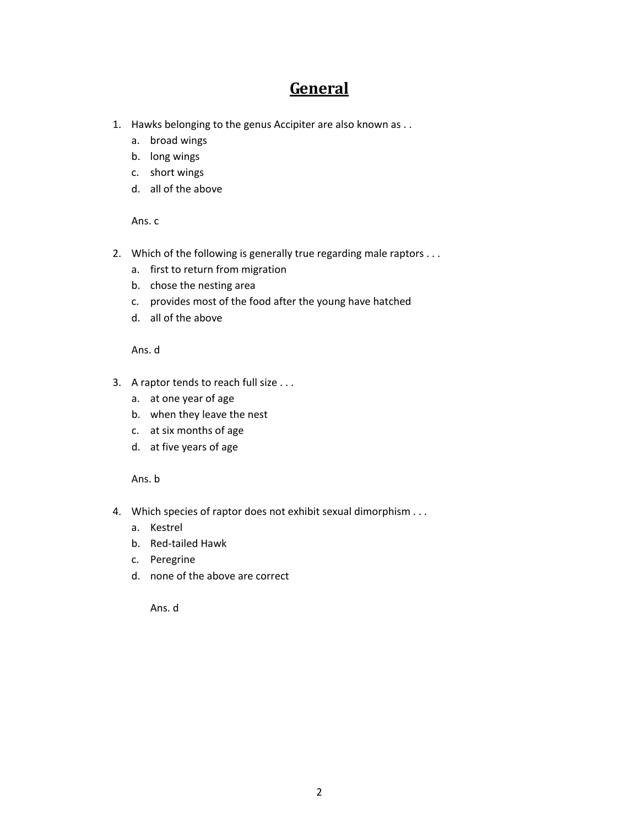# **General**

- <span id="page-2-0"></span>1. Hawks belonging to the genus Accipiter are also known as . .
	- a. broad wings
	- b. long wings
	- c. short wings
	- d. all of the above

Ans. c

- 2. Which of the following is generally true regarding male raptors . . .
	- a. first to return from migration
	- b. chose the nesting area
	- c. provides most of the food after the young have hatched
	- d. all of the above

Ans. d

- 3. A raptor tends to reach full size . . .
	- a. at one year of age
	- b. when they leave the nest
	- c. at six months of age
	- d. at five years of age

Ans. b

- 4. Which species of raptor does not exhibit sexual dimorphism . . .
	- a. Kestrel
	- b. Red-tailed Hawk
	- c. Peregrine
	- d. none of the above are correct

Ans. d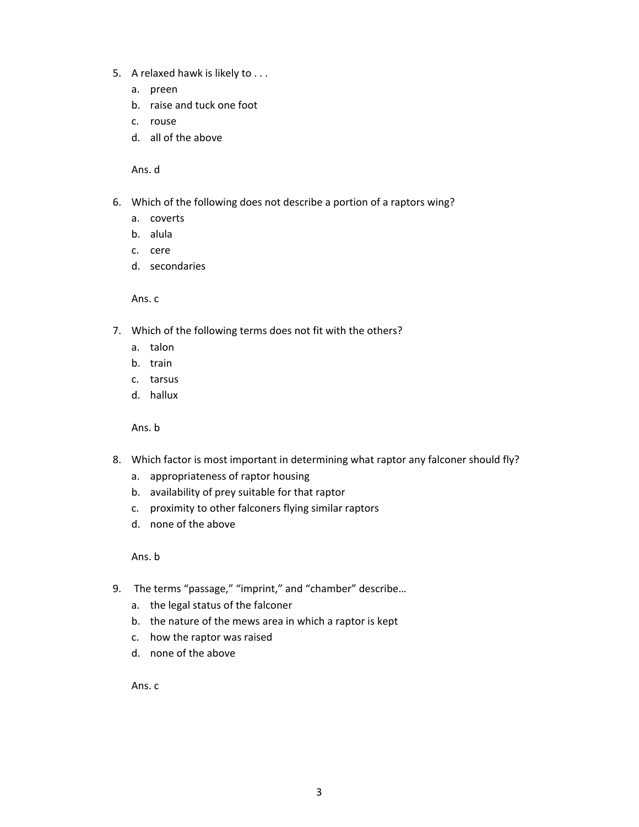- 5. A relaxed hawk is likely to . . .
	- a. preen
	- b. raise and tuck one foot
	- c. rouse
	- d. all of the above

- 6. Which of the following does not describe a portion of a raptors wing?
	- a. coverts
	- b. alula
	- c. cere
	- d. secondaries

Ans. c

- 7. Which of the following terms does not fit with the others?
	- a. talon
	- b. train
	- c. tarsus
	- d. hallux

Ans. b

- 8. Which factor is most important in determining what raptor any falconer should fly?
	- a. appropriateness of raptor housing
	- b. availability of prey suitable for that raptor
	- c. proximity to other falconers flying similar raptors
	- d. none of the above

Ans. b

- 9. The terms "passage," "imprint," and "chamber" describe...
	- a. the legal status of the falconer
	- b. the nature of the mews area in which a raptor is kept
	- c. how the raptor was raised
	- d. none of the above

Ans. c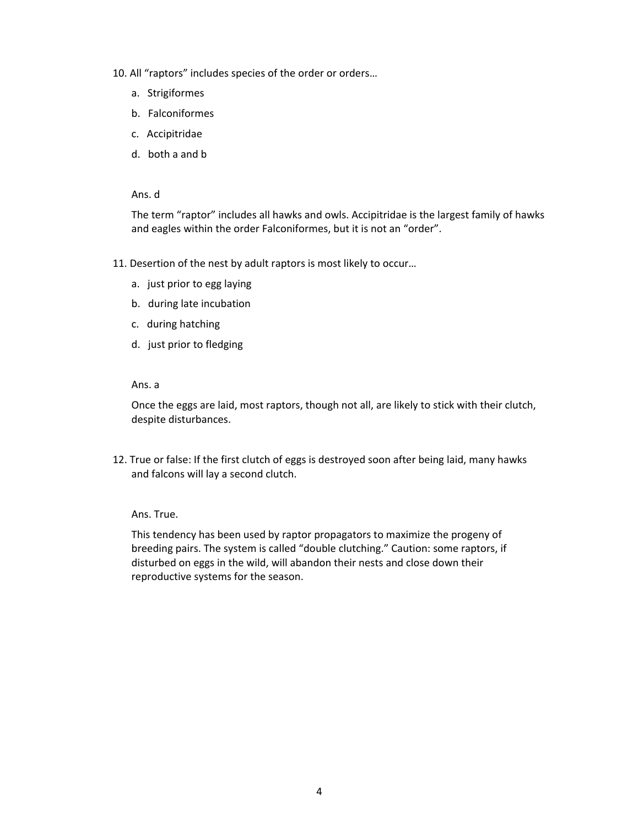- 10. All "raptors" includes species of the order or orders…
	- a. Strigiformes
	- b. Falconiformes
	- c. Accipitridae
	- d. both a and b

The term "raptor" includes all hawks and owls. Accipitridae is the largest family of hawks and eagles within the order Falconiformes, but it is not an "order".

- 11. Desertion of the nest by adult raptors is most likely to occur…
	- a. just prior to egg laying
	- b. during late incubation
	- c. during hatching
	- d. just prior to fledging

# Ans. a

Once the eggs are laid, most raptors, though not all, are likely to stick with their clutch, despite disturbances.

12. True or false: If the first clutch of eggs is destroyed soon after being laid, many hawks and falcons will lay a second clutch.

# Ans. True.

This tendency has been used by raptor propagators to maximize the progeny of breeding pairs. The system is called "double clutching." Caution: some raptors, if disturbed on eggs in the wild, will abandon their nests and close down their reproductive systems for the season.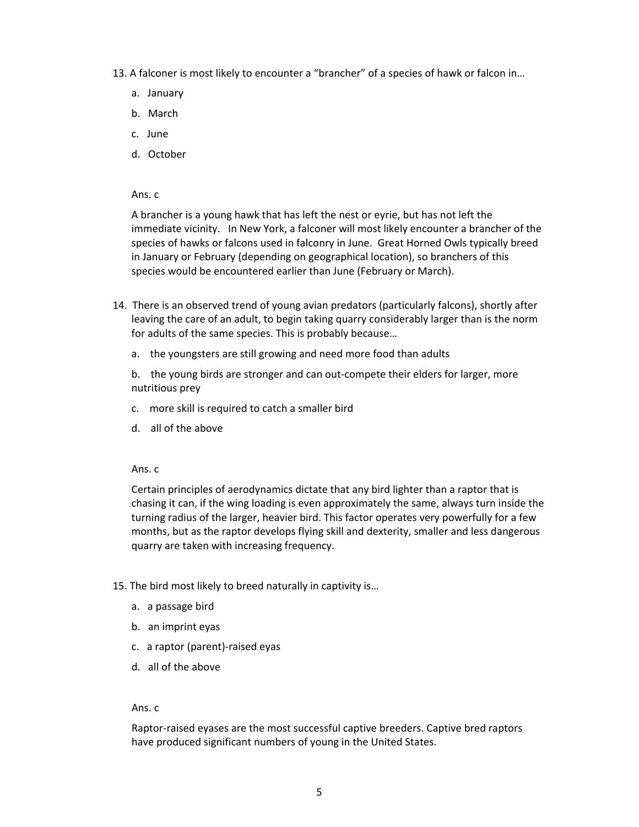- 13. A falconer is most likely to encounter a "brancher" of a species of hawk or falcon in…
	- a. January
	- b. March
	- c. June
	- d. October

A brancher is a young hawk that has left the nest or eyrie, but has not left the immediate vicinity. In New York, a falconer will most likely encounter a brancher of the species of hawks or falcons used in falconry in June. Great Horned Owls typically breed in January or February (depending on geographical location), so branchers of this species would be encountered earlier than June (February or March).

- 14. There is an observed trend of young avian predators (particularly falcons), shortly after leaving the care of an adult, to begin taking quarry considerably larger than is the norm for adults of the same species. This is probably because…
	- a. the youngsters are still growing and need more food than adults

b. the young birds are stronger and can out-compete their elders for larger, more nutritious prey

- c. more skill is required to catch a smaller bird
- d. all of the above

#### Ans. c

Certain principles of aerodynamics dictate that any bird lighter than a raptor that is chasing it can, if the wing loading is even approximately the same, always turn inside the turning radius of the larger, heavier bird. This factor operates very powerfully for a few months, but as the raptor develops flying skill and dexterity, smaller and less dangerous quarry are taken with increasing frequency.

- 15. The bird most likely to breed naturally in captivity is…
	- a. a passage bird
	- b. an imprint eyas
	- c. a raptor (parent)-raised eyas
	- d. all of the above

#### Ans. c

Raptor-raised eyases are the most successful captive breeders. Captive bred raptors have produced significant numbers of young in the United States.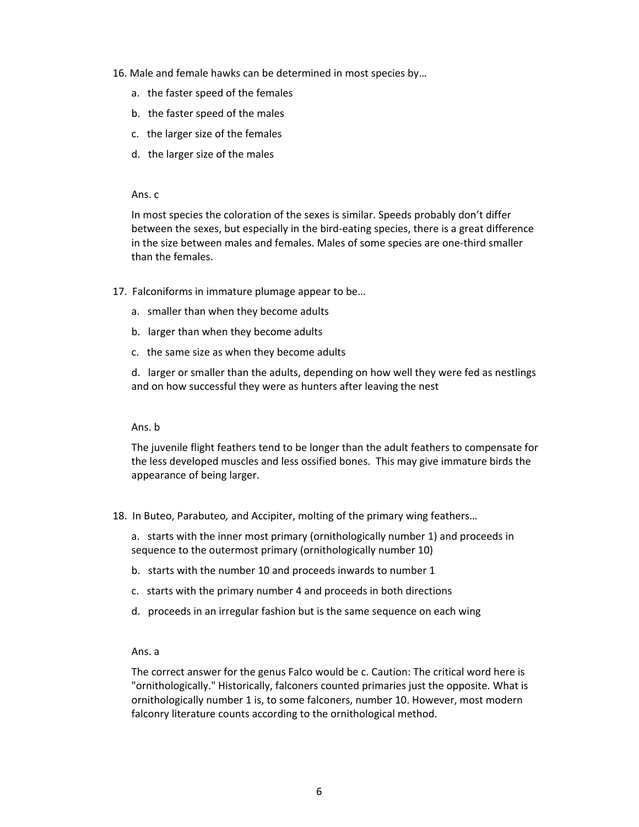- 16. Male and female hawks can be determined in most species by…
	- a. the faster speed of the females
	- b. the faster speed of the males
	- c. the larger size of the females
	- d. the larger size of the males

In most species the coloration of the sexes is similar. Speeds probably don't differ between the sexes, but especially in the bird-eating species, there is a great difference in the size between males and females. Males of some species are one-third smaller than the females.

- 17. Falconiforms in immature plumage appear to be…
	- a. smaller than when they become adults
	- b. larger than when they become adults
	- c. the same size as when they become adults

d. larger or smaller than the adults, depending on how well they were fed as nestlings and on how successful they were as hunters after leaving the nest

#### Ans. b

The juvenile flight feathers tend to be longer than the adult feathers to compensate for the less developed muscles and less ossified bones. This may give immature birds the appearance of being larger.

18. In Buteo, Parabuteo*,* and Accipiter, molting of the primary wing feathers…

a. starts with the inner most primary (ornithologically number 1) and proceeds in sequence to the outermost primary (ornithologically number 10)

- b. starts with the number 10 and proceeds inwards to number 1
- c. starts with the primary number 4 and proceeds in both directions
- d. proceeds in an irregular fashion but is the same sequence on each wing

#### Ans. a

The correct answer for the genus Falco would be c. Caution: The critical word here is "ornithologically." Historically, falconers counted primaries just the opposite. What is ornithologically number 1 is, to some falconers, number 10. However, most modern falconry literature counts according to the ornithological method.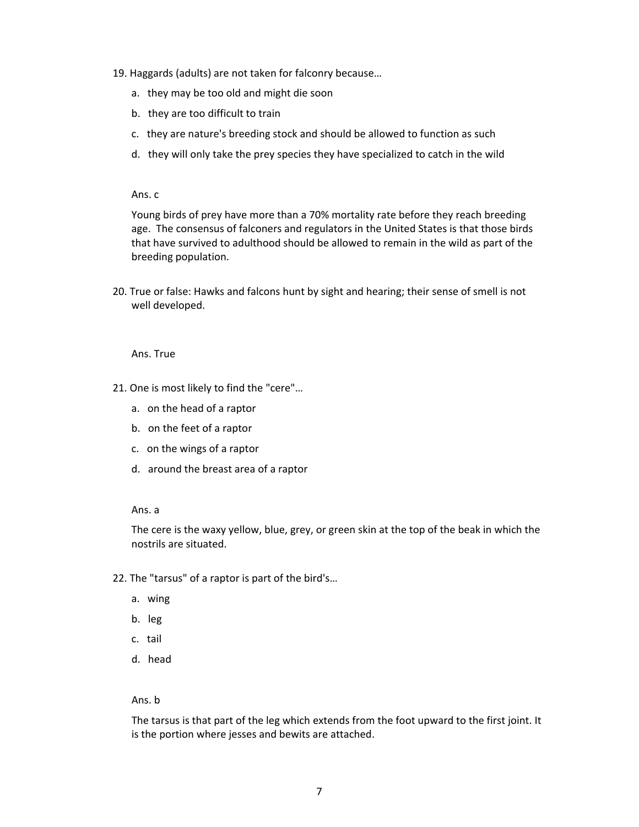- 19. Haggards (adults) are not taken for falconry because…
	- a. they may be too old and might die soon
	- b. they are too difficult to train
	- c. they are nature's breeding stock and should be allowed to function as such
	- d. they will only take the prey species they have specialized to catch in the wild

Young birds of prey have more than a 70% mortality rate before they reach breeding age. The consensus of falconers and regulators in the United States is that those birds that have survived to adulthood should be allowed to remain in the wild as part of the breeding population.

20. True or false: Hawks and falcons hunt by sight and hearing; their sense of smell is not well developed.

#### Ans. True

- 21. One is most likely to find the "cere"…
	- a. on the head of a raptor
	- b. on the feet of a raptor
	- c. on the wings of a raptor
	- d. around the breast area of a raptor

#### Ans. a

The cere is the waxy yellow, blue, grey, or green skin at the top of the beak in which the nostrils are situated.

- 22. The "tarsus" of a raptor is part of the bird's…
	- a. wing
	- b. leg
	- c. tail
	- d. head

# Ans. b

The tarsus is that part of the leg which extends from the foot upward to the first joint. It is the portion where jesses and bewits are attached.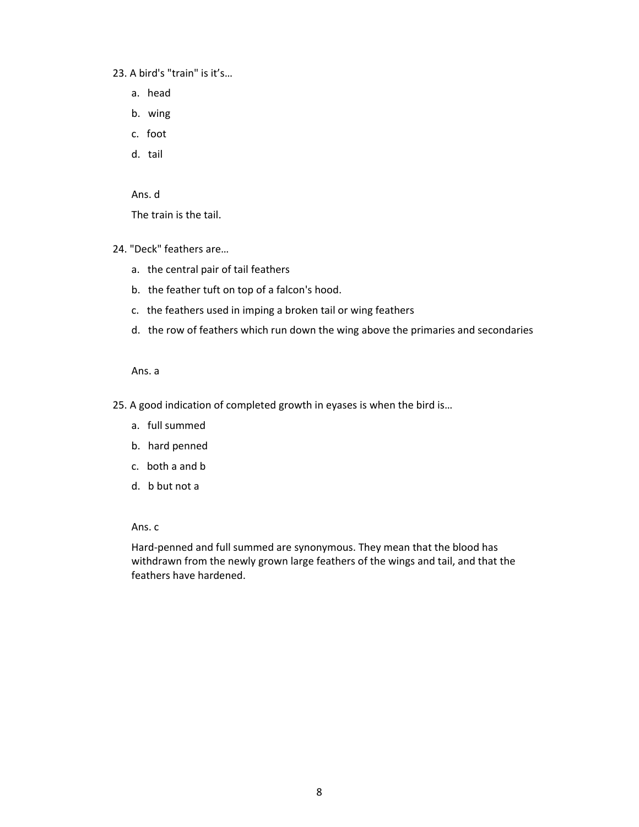23. A bird's "train" is it's…

- a. head
- b. wing
- c. foot
- d. tail

Ans. d

The train is the tail.

- 24. "Deck" feathers are…
	- a. the central pair of tail feathers
	- b. the feather tuft on top of a falcon's hood.
	- c. the feathers used in imping a broken tail or wing feathers
	- d. the row of feathers which run down the wing above the primaries and secondaries

Ans. a

- 25. A good indication of completed growth in eyases is when the bird is…
	- a. full summed
	- b. hard penned
	- c. both a and b
	- d. b but not a

Ans. c

Hard-penned and full summed are synonymous. They mean that the blood has withdrawn from the newly grown large feathers of the wings and tail, and that the feathers have hardened.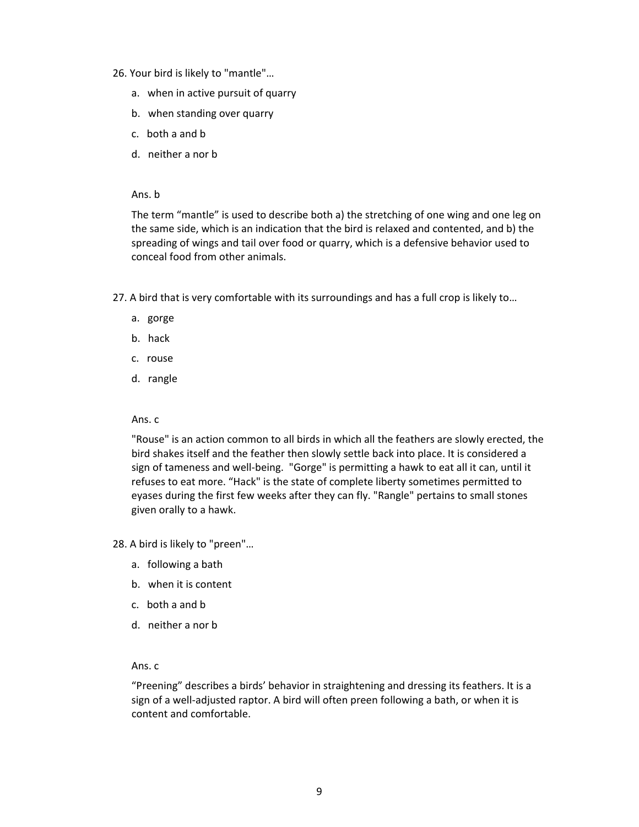- 26. Your bird is likely to "mantle"…
	- a. when in active pursuit of quarry
	- b. when standing over quarry
	- c. both a and b
	- d. neither a nor b

Ans. b

The term "mantle" is used to describe both a) the stretching of one wing and one leg on the same side, which is an indication that the bird is relaxed and contented, and b) the spreading of wings and tail over food or quarry, which is a defensive behavior used to conceal food from other animals.

- 27. A bird that is very comfortable with its surroundings and has a full crop is likely to…
	- a. gorge
	- b. hack
	- c. rouse
	- d. rangle

# Ans. c

"Rouse" is an action common to all birds in which all the feathers are slowly erected, the bird shakes itself and the feather then slowly settle back into place. It is considered a sign of tameness and well-being. "Gorge" is permitting a hawk to eat all it can, until it refuses to eat more. "Hack" is the state of complete liberty sometimes permitted to eyases during the first few weeks after they can fly. "Rangle" pertains to small stones given orally to a hawk.

28. A bird is likely to "preen"…

- a. following a bath
- b. when it is content
- c. both a and b
- d. neither a nor b

# Ans. c

"Preening" describes a birds' behavior in straightening and dressing its feathers. It is a sign of a well-adjusted raptor. A bird will often preen following a bath, or when it is content and comfortable.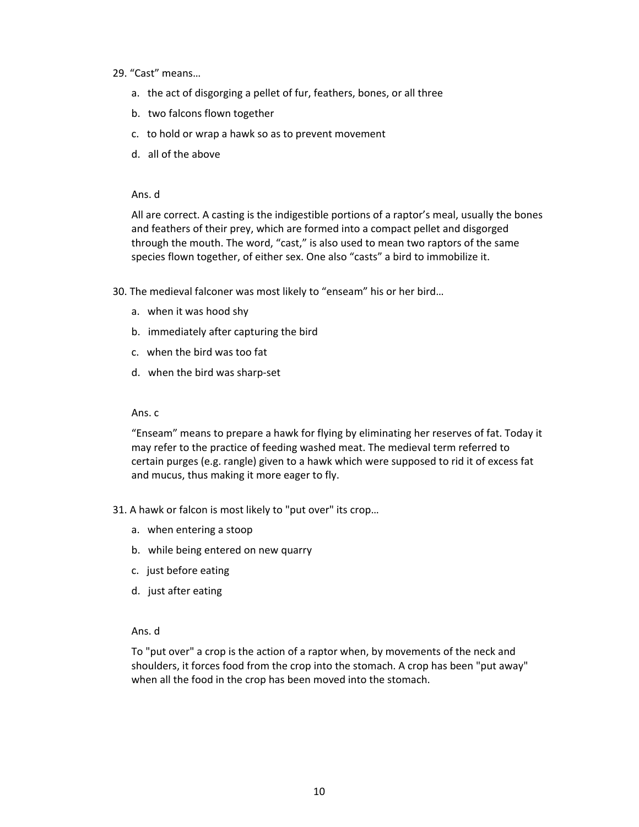- 29. "Cast" means…
	- a. the act of disgorging a pellet of fur, feathers, bones, or all three
	- b. two falcons flown together
	- c. to hold or wrap a hawk so as to prevent movement
	- d. all of the above

All are correct. A casting is the indigestible portions of a raptor's meal, usually the bones and feathers of their prey, which are formed into a compact pellet and disgorged through the mouth. The word, "cast," is also used to mean two raptors of the same species flown together, of either sex. One also "casts" a bird to immobilize it.

- 30. The medieval falconer was most likely to "enseam" his or her bird…
	- a. when it was hood shy
	- b. immediately after capturing the bird
	- c. when the bird was too fat
	- d. when the bird was sharp-set

#### Ans. c

"Enseam" means to prepare a hawk for flying by eliminating her reserves of fat. Today it may refer to the practice of feeding washed meat. The medieval term referred to certain purges (e.g. rangle) given to a hawk which were supposed to rid it of excess fat and mucus, thus making it more eager to fly.

- 31. A hawk or falcon is most likely to "put over" its crop…
	- a. when entering a stoop
	- b. while being entered on new quarry
	- c. just before eating
	- d. just after eating

# Ans. d

To "put over" a crop is the action of a raptor when, by movements of the neck and shoulders, it forces food from the crop into the stomach. A crop has been "put away" when all the food in the crop has been moved into the stomach.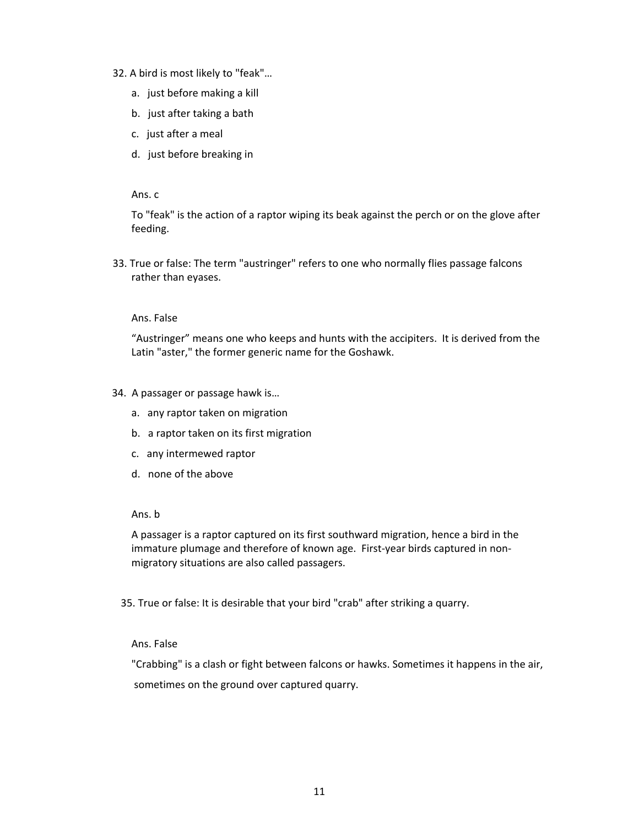- 32. A bird is most likely to "feak"…
	- a. just before making a kill
	- b. just after taking a bath
	- c. just after a meal
	- d. just before breaking in

To "feak" is the action of a raptor wiping its beak against the perch or on the glove after feeding.

33. True or false: The term "austringer" refers to one who normally flies passage falcons rather than eyases.

# Ans. False

"Austringer" means one who keeps and hunts with the accipiters. It is derived from the Latin "aster," the former generic name for the Goshawk.

# 34. A passager or passage hawk is…

- a. any raptor taken on migration
- b. a raptor taken on its first migration
- c. any intermewed raptor
- d. none of the above

#### Ans. b

A passager is a raptor captured on its first southward migration, hence a bird in the immature plumage and therefore of known age. First-year birds captured in nonmigratory situations are also called passagers.

35. True or false: It is desirable that your bird "crab" after striking a quarry.

# Ans. False

"Crabbing" is a clash or fight between falcons or hawks. Sometimes it happens in the air, sometimes on the ground over captured quarry.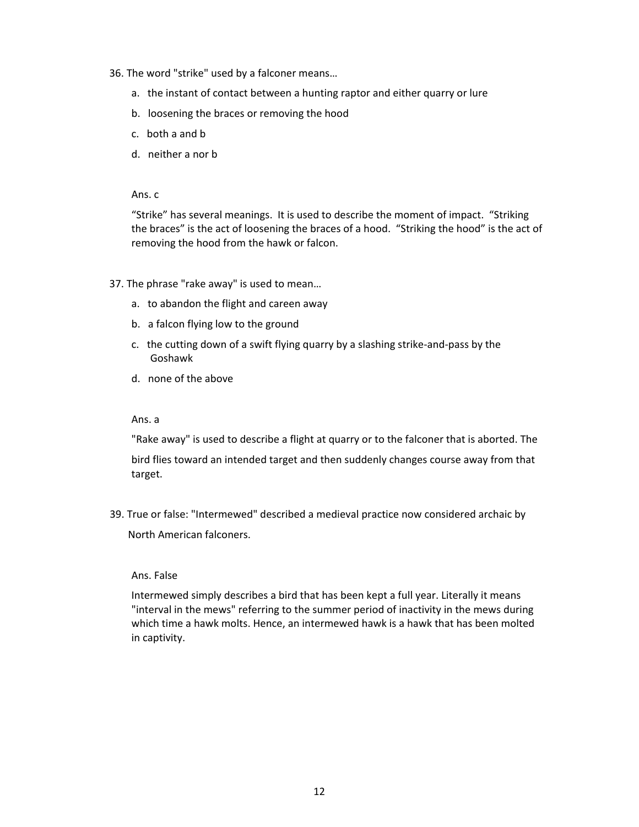- 36. The word "strike" used by a falconer means…
	- a. the instant of contact between a hunting raptor and either quarry or lure
	- b. loosening the braces or removing the hood
	- c. both a and b
	- d. neither a nor b

"Strike" has several meanings. It is used to describe the moment of impact. "Striking the braces" is the act of loosening the braces of a hood. "Striking the hood" is the act of removing the hood from the hawk or falcon.

- 37. The phrase "rake away" is used to mean…
	- a. to abandon the flight and careen away
	- b. a falcon flying low to the ground
	- c. the cutting down of a swift flying quarry by a slashing strike-and-pass by the Goshawk
	- d. none of the above

# Ans. a

"Rake away" is used to describe a flight at quarry or to the falconer that is aborted. The

bird flies toward an intended target and then suddenly changes course away from that target.

 39. True or false: "Intermewed" described a medieval practice now considered archaic by North American falconers.

# Ans. False

Intermewed simply describes a bird that has been kept a full year. Literally it means "interval in the mews" referring to the summer period of inactivity in the mews during which time a hawk molts. Hence, an intermewed hawk is a hawk that has been molted in captivity.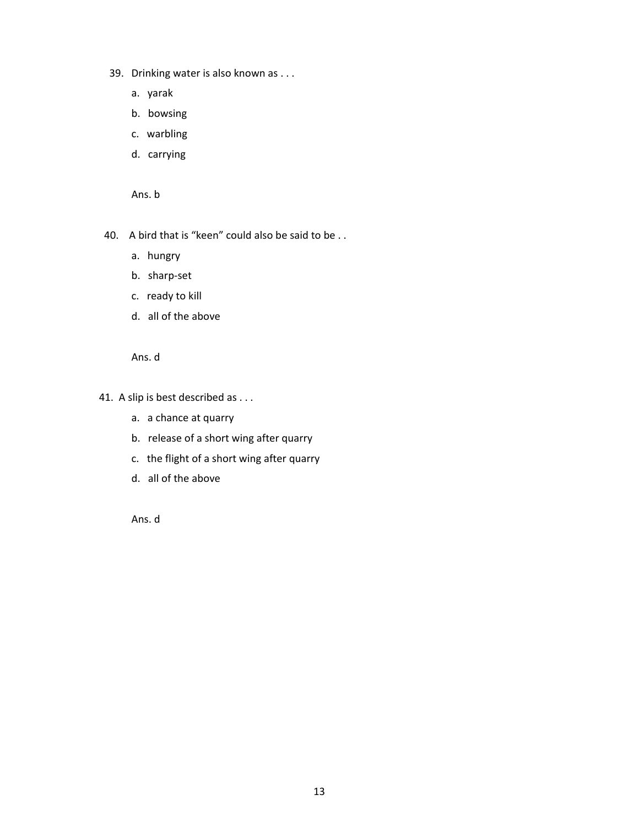- 39. Drinking water is also known as . . .
	- a. yarak
	- b. bowsing
	- c. warbling
	- d. carrying

Ans. b

- 40. A bird that is "keen" could also be said to be . .
	- a. hungry
	- b. sharp-set
	- c. ready to kill
	- d. all of the above

Ans. d

- 41. A slip is best described as . . .
	- a. a chance at quarry
	- b. release of a short wing after quarry
	- c. the flight of a short wing after quarry
	- d. all of the above

Ans. d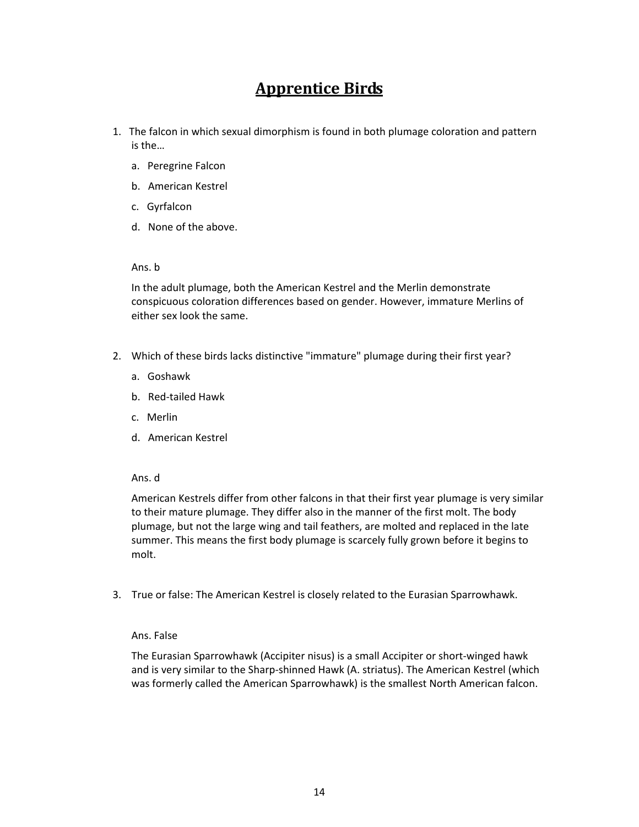# **Apprentice Birds**

- <span id="page-14-0"></span>1. The falcon in which sexual dimorphism is found in both plumage coloration and pattern is the…
	- a. Peregrine Falcon
	- b. American Kestrel
	- c. Gyrfalcon
	- d. None of the above.

# Ans. b

In the adult plumage, both the American Kestrel and the Merlin demonstrate conspicuous coloration differences based on gender. However, immature Merlins of either sex look the same.

- 2. Which of these birds lacks distinctive "immature" plumage during their first year?
	- a. Goshawk
	- b. Red-tailed Hawk
	- c. Merlin
	- d. American Kestrel

# Ans. d

American Kestrels differ from other falcons in that their first year plumage is very similar to their mature plumage. They differ also in the manner of the first molt. The body plumage, but not the large wing and tail feathers, are molted and replaced in the late summer. This means the first body plumage is scarcely fully grown before it begins to molt.

3. True or false: The American Kestrel is closely related to the Eurasian Sparrowhawk.

# Ans. False

The Eurasian Sparrowhawk (Accipiter nisus) is a small Accipiter or short-winged hawk and is very similar to the Sharp-shinned Hawk (A. striatus). The American Kestrel (which was formerly called the American Sparrowhawk) is the smallest North American falcon.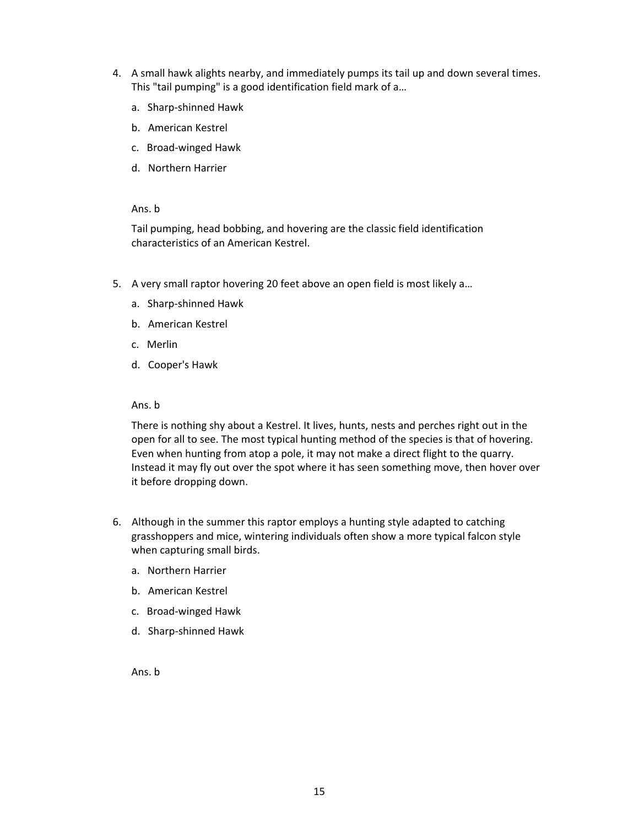- 4. A small hawk alights nearby, and immediately pumps its tail up and down several times. This "tail pumping" is a good identification field mark of a…
	- a. Sharp-shinned Hawk
	- b. American Kestrel
	- c. Broad-winged Hawk
	- d. Northern Harrier

## Ans. b

Tail pumping, head bobbing, and hovering are the classic field identification characteristics of an American Kestrel.

- 5. A very small raptor hovering 20 feet above an open field is most likely a…
	- a. Sharp-shinned Hawk
	- b. American Kestrel
	- c. Merlin
	- d. Cooper's Hawk

#### Ans. b

There is nothing shy about a Kestrel. It lives, hunts, nests and perches right out in the open for all to see. The most typical hunting method of the species is that of hovering. Even when hunting from atop a pole, it may not make a direct flight to the quarry. Instead it may fly out over the spot where it has seen something move, then hover over it before dropping down.

- 6. Although in the summer this raptor employs a hunting style adapted to catching grasshoppers and mice, wintering individuals often show a more typical falcon style when capturing small birds.
	- a. Northern Harrier
	- b. American Kestrel
	- c. Broad-winged Hawk
	- d. Sharp-shinned Hawk

Ans. b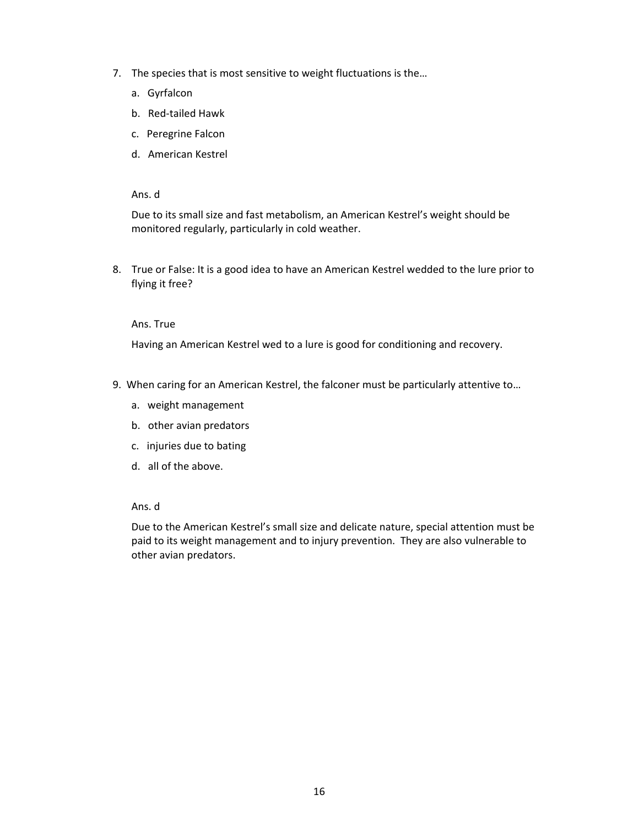- 7. The species that is most sensitive to weight fluctuations is the…
	- a. Gyrfalcon
	- b. Red-tailed Hawk
	- c. Peregrine Falcon
	- d. American Kestrel

Due to its small size and fast metabolism, an American Kestrel's weight should be monitored regularly, particularly in cold weather.

8. True or False: It is a good idea to have an American Kestrel wedded to the lure prior to flying it free?

# Ans. True

Having an American Kestrel wed to a lure is good for conditioning and recovery.

- 9. When caring for an American Kestrel, the falconer must be particularly attentive to…
	- a. weight management
	- b. other avian predators
	- c. injuries due to bating
	- d. all of the above.

#### Ans. d

Due to the American Kestrel's small size and delicate nature, special attention must be paid to its weight management and to injury prevention. They are also vulnerable to other avian predators.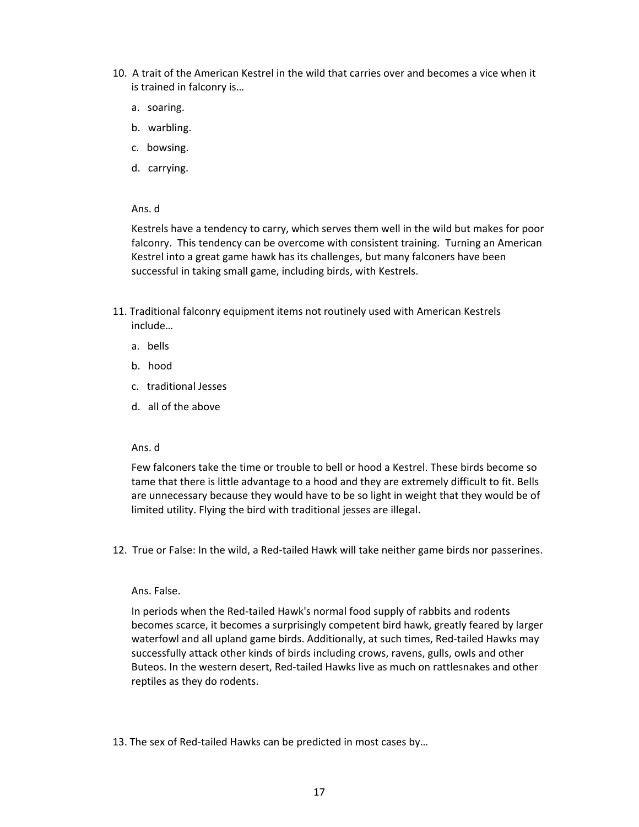- 10. A trait of the American Kestrel in the wild that carries over and becomes a vice when it is trained in falconry is…
	- a. soaring.
	- b. warbling.
	- c. bowsing.
	- d. carrying.

Kestrels have a tendency to carry, which serves them well in the wild but makes for poor falconry. This tendency can be overcome with consistent training. Turning an American Kestrel into a great game hawk has its challenges, but many falconers have been successful in taking small game, including birds, with Kestrels.

- 11. Traditional falconry equipment items not routinely used with American Kestrels include…
	- a. bells
	- b. hood
	- c. traditional Jesses
	- d. all of the above

# Ans. d

Few falconers take the time or trouble to bell or hood a Kestrel. These birds become so tame that there is little advantage to a hood and they are extremely difficult to fit. Bells are unnecessary because they would have to be so light in weight that they would be of limited utility. Flying the bird with traditional jesses are illegal.

12. True or False: In the wild, a Red-tailed Hawk will take neither game birds nor passerines.

#### Ans. False.

In periods when the Red-tailed Hawk's normal food supply of rabbits and rodents becomes scarce, it becomes a surprisingly competent bird hawk, greatly feared by larger waterfowl and all upland game birds. Additionally, at such times, Red-tailed Hawks may successfully attack other kinds of birds including crows, ravens, gulls, owls and other Buteos. In the western desert, Red-tailed Hawks live as much on rattlesnakes and other reptiles as they do rodents.

13. The sex of Red-tailed Hawks can be predicted in most cases by…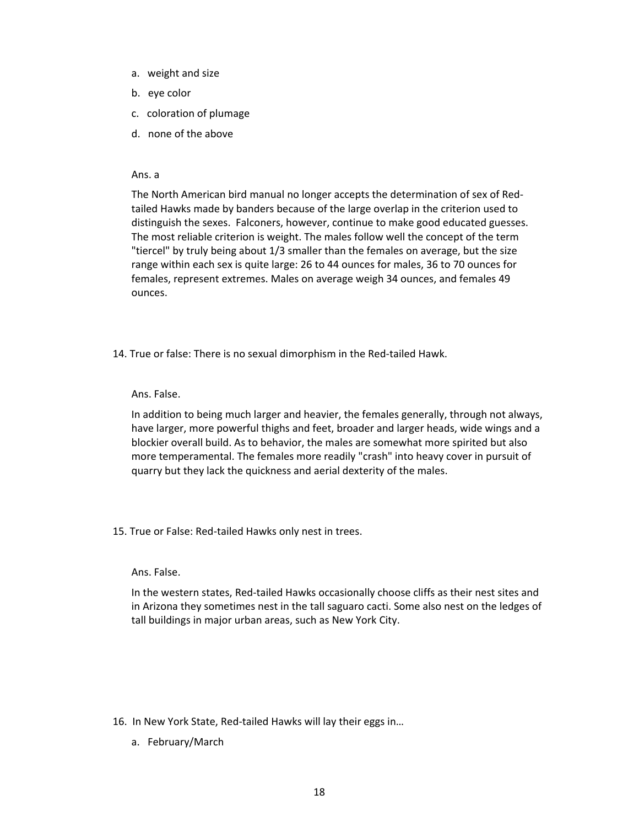- a. weight and size
- b. eye color
- c. coloration of plumage
- d. none of the above

The North American bird manual no longer accepts the determination of sex of Redtailed Hawks made by banders because of the large overlap in the criterion used to distinguish the sexes. Falconers, however, continue to make good educated guesses. The most reliable criterion is weight. The males follow well the concept of the term "tiercel" by truly being about 1/3 smaller than the females on average, but the size range within each sex is quite large: 26 to 44 ounces for males, 36 to 70 ounces for females, represent extremes. Males on average weigh 34 ounces, and females 49 ounces.

14. True or false: There is no sexual dimorphism in the Red-tailed Hawk.

# Ans. False.

In addition to being much larger and heavier, the females generally, through not always, have larger, more powerful thighs and feet, broader and larger heads, wide wings and a blockier overall build. As to behavior, the males are somewhat more spirited but also more temperamental. The females more readily "crash" into heavy cover in pursuit of quarry but they lack the quickness and aerial dexterity of the males.

15. True or False: Red-tailed Hawks only nest in trees.

#### Ans. False.

In the western states, Red-tailed Hawks occasionally choose cliffs as their nest sites and in Arizona they sometimes nest in the tall saguaro cacti. Some also nest on the ledges of tall buildings in major urban areas, such as New York City.

- 16. In New York State, Red-tailed Hawks will lay their eggs in…
	- a. February/March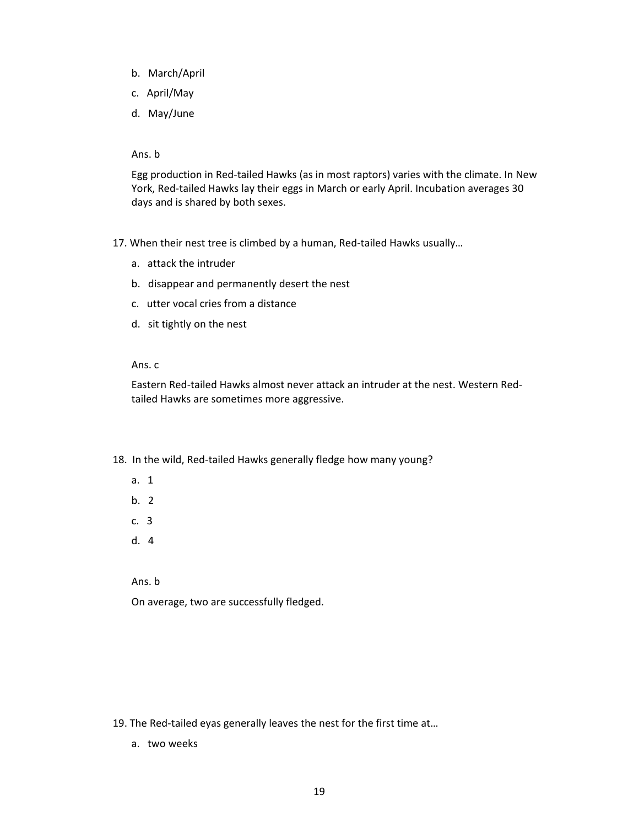- b. March/April
- c. April/May
- d. May/June

#### Ans. b

Egg production in Red-tailed Hawks (as in most raptors) varies with the climate. In New York, Red-tailed Hawks lay their eggs in March or early April. Incubation averages 30 days and is shared by both sexes.

- 17. When their nest tree is climbed by a human, Red-tailed Hawks usually…
	- a. attack the intruder
	- b. disappear and permanently desert the nest
	- c. utter vocal cries from a distance
	- d. sit tightly on the nest

# Ans. c

Eastern Red-tailed Hawks almost never attack an intruder at the nest. Western Redtailed Hawks are sometimes more aggressive.

# 18. In the wild, Red-tailed Hawks generally fledge how many young?

- a. 1
- b. 2
- c. 3
- d. 4

Ans. b

On average, two are successfully fledged.

- 19. The Red-tailed eyas generally leaves the nest for the first time at…
	- a. two weeks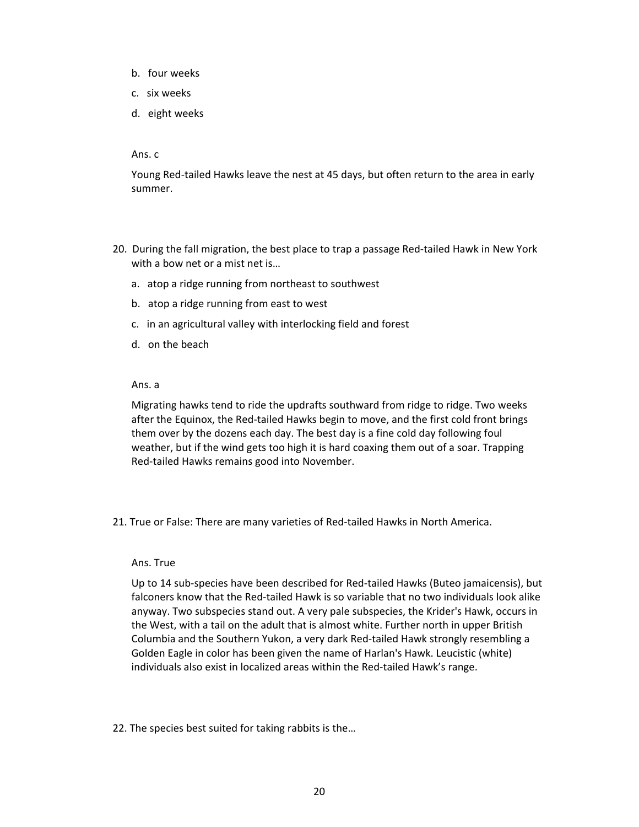- b. four weeks
- c. six weeks
- d. eight weeks

Young Red-tailed Hawks leave the nest at 45 days, but often return to the area in early summer.

- 20. During the fall migration, the best place to trap a passage Red-tailed Hawk in New York with a bow net or a mist net is…
	- a. atop a ridge running from northeast to southwest
	- b. atop a ridge running from east to west
	- c. in an agricultural valley with interlocking field and forest
	- d. on the beach

#### Ans. a

Migrating hawks tend to ride the updrafts southward from ridge to ridge. Two weeks after the Equinox, the Red-tailed Hawks begin to move, and the first cold front brings them over by the dozens each day. The best day is a fine cold day following foul weather, but if the wind gets too high it is hard coaxing them out of a soar. Trapping Red-tailed Hawks remains good into November.

21. True or False: There are many varieties of Red-tailed Hawks in North America.

#### Ans. True

Up to 14 sub-species have been described for Red-tailed Hawks (Buteo jamaicensis), but falconers know that the Red-tailed Hawk is so variable that no two individuals look alike anyway. Two subspecies stand out. A very pale subspecies, the Krider's Hawk, occurs in the West, with a tail on the adult that is almost white. Further north in upper British Columbia and the Southern Yukon, a very dark Red-tailed Hawk strongly resembling a Golden Eagle in color has been given the name of Harlan's Hawk. Leucistic (white) individuals also exist in localized areas within the Red-tailed Hawk's range.

#### 22. The species best suited for taking rabbits is the…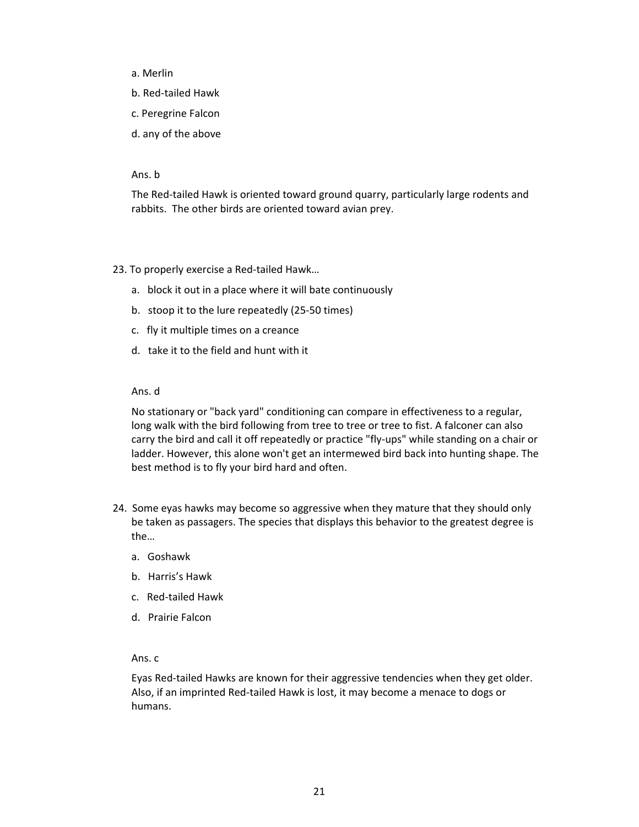- a. Merlin
- b. Red-tailed Hawk
- c. Peregrine Falcon
- d. any of the above

#### Ans. b

The Red-tailed Hawk is oriented toward ground quarry, particularly large rodents and rabbits. The other birds are oriented toward avian prey.

23. To properly exercise a Red-tailed Hawk…

- a. block it out in a place where it will bate continuously
- b. stoop it to the lure repeatedly (25-50 times)
- c. fly it multiple times on a creance
- d. take it to the field and hunt with it

#### Ans. d

No stationary or "back yard" conditioning can compare in effectiveness to a regular, long walk with the bird following from tree to tree or tree to fist. A falconer can also carry the bird and call it off repeatedly or practice "fly-ups" while standing on a chair or ladder. However, this alone won't get an intermewed bird back into hunting shape. The best method is to fly your bird hard and often.

- 24. Some eyas hawks may become so aggressive when they mature that they should only be taken as passagers. The species that displays this behavior to the greatest degree is the…
	- a. Goshawk
	- b. Harris's Hawk
	- c. Red-tailed Hawk
	- d. Prairie Falcon

#### Ans. c

Eyas Red-tailed Hawks are known for their aggressive tendencies when they get older. Also, if an imprinted Red-tailed Hawk is lost, it may become a menace to dogs or humans.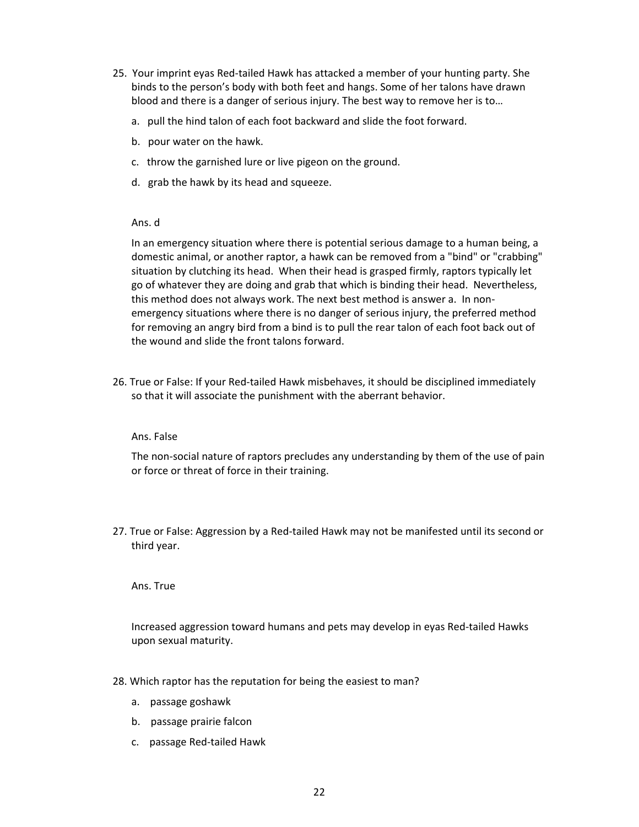- 25. Your imprint eyas Red-tailed Hawk has attacked a member of your hunting party. She binds to the person's body with both feet and hangs. Some of her talons have drawn blood and there is a danger of serious injury. The best way to remove her is to…
	- a. pull the hind talon of each foot backward and slide the foot forward.
	- b. pour water on the hawk.
	- c. throw the garnished lure or live pigeon on the ground.
	- d. grab the hawk by its head and squeeze.

In an emergency situation where there is potential serious damage to a human being, a domestic animal, or another raptor, a hawk can be removed from a "bind" or "crabbing" situation by clutching its head. When their head is grasped firmly, raptors typically let go of whatever they are doing and grab that which is binding their head. Nevertheless, this method does not always work. The next best method is answer a. In nonemergency situations where there is no danger of serious injury, the preferred method for removing an angry bird from a bind is to pull the rear talon of each foot back out of the wound and slide the front talons forward.

26. True or False: If your Red-tailed Hawk misbehaves, it should be disciplined immediately so that it will associate the punishment with the aberrant behavior.

#### Ans. False

The non-social nature of raptors precludes any understanding by them of the use of pain or force or threat of force in their training.

27. True or False: Aggression by a Red-tailed Hawk may not be manifested until its second or third year.

Ans. True

Increased aggression toward humans and pets may develop in eyas Red-tailed Hawks upon sexual maturity.

- 28. Which raptor has the reputation for being the easiest to man?
	- a. passage goshawk
	- b. passage prairie falcon
	- c. passage Red-tailed Hawk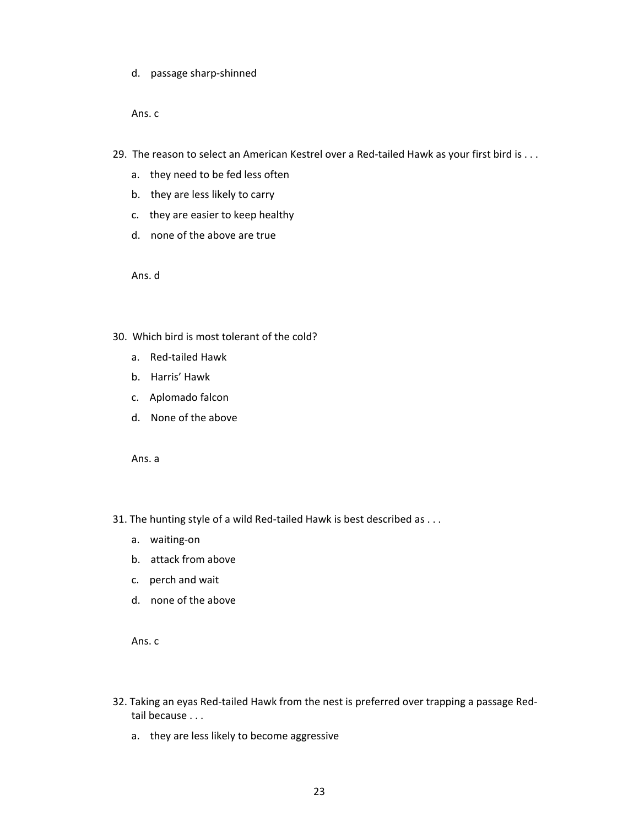d. passage sharp-shinned

Ans. c

- 29. The reason to select an American Kestrel over a Red-tailed Hawk as your first bird is . . .
	- a. they need to be fed less often
	- b. they are less likely to carry
	- c. they are easier to keep healthy
	- d. none of the above are true

Ans. d

- 30. Which bird is most tolerant of the cold?
	- a. Red-tailed Hawk
	- b. Harris' Hawk
	- c. Aplomado falcon
	- d. None of the above

Ans. a

- 31. The hunting style of a wild Red-tailed Hawk is best described as . . .
	- a. waiting-on
	- b. attack from above
	- c. perch and wait
	- d. none of the above

Ans. c

- 32. Taking an eyas Red-tailed Hawk from the nest is preferred over trapping a passage Redtail because . . .
	- a. they are less likely to become aggressive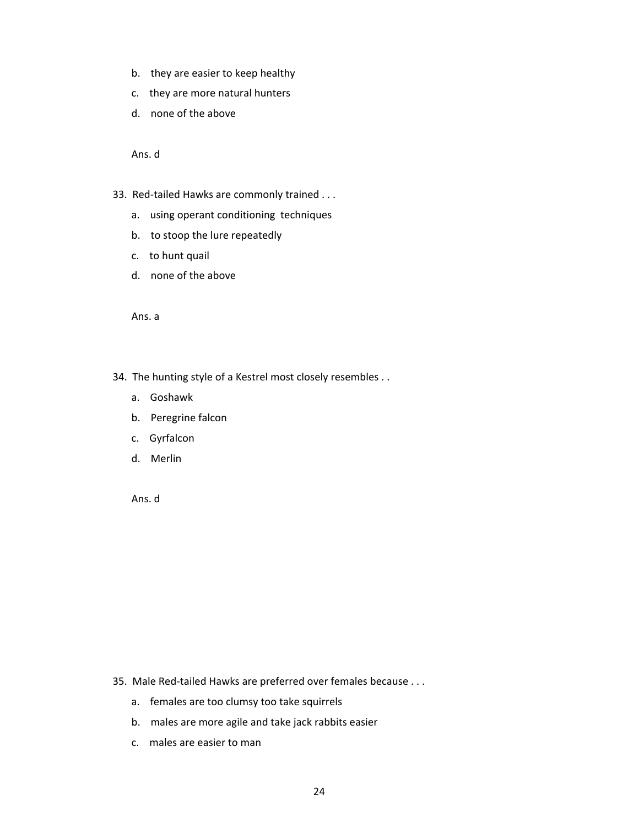- b. they are easier to keep healthy
- c. they are more natural hunters
- d. none of the above

- 33. Red-tailed Hawks are commonly trained . . .
	- a. using operant conditioning techniques
	- b. to stoop the lure repeatedly
	- c. to hunt quail
	- d. none of the above

Ans. a

- 34. The hunting style of a Kestrel most closely resembles . .
	- a. Goshawk
	- b. Peregrine falcon
	- c. Gyrfalcon
	- d. Merlin

Ans. d

- 35. Male Red-tailed Hawks are preferred over females because . . .
	- a. females are too clumsy too take squirrels
	- b. males are more agile and take jack rabbits easier
	- c. males are easier to man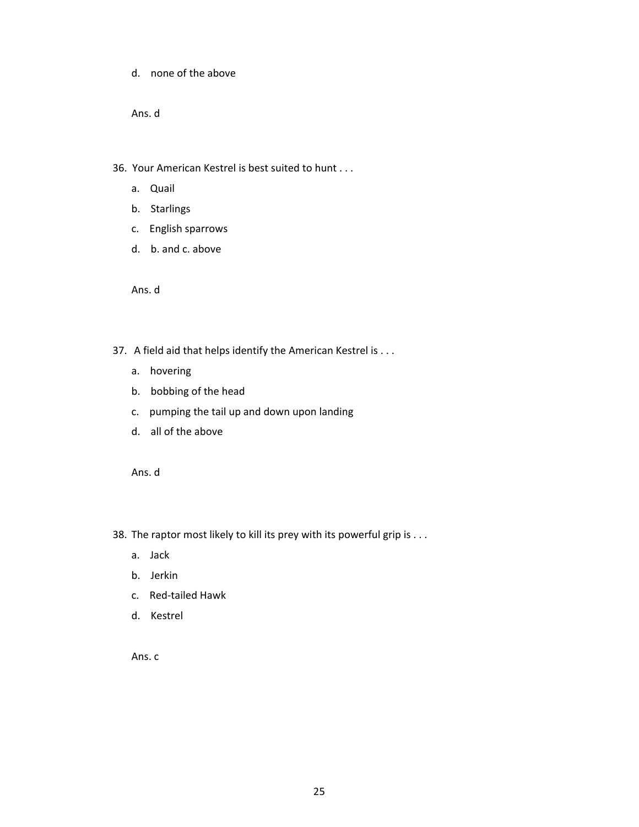d. none of the above

Ans. d

36. Your American Kestrel is best suited to hunt . . .

- a. Quail
- b. Starlings
- c. English sparrows
- d. b. and c. above

Ans. d

- 37. A field aid that helps identify the American Kestrel is . . .
	- a. hovering
	- b. bobbing of the head
	- c. pumping the tail up and down upon landing
	- d. all of the above

Ans. d

- 38. The raptor most likely to kill its prey with its powerful grip is . . .
	- a. Jack
	- b. Jerkin
	- c. Red-tailed Hawk
	- d. Kestrel

Ans. c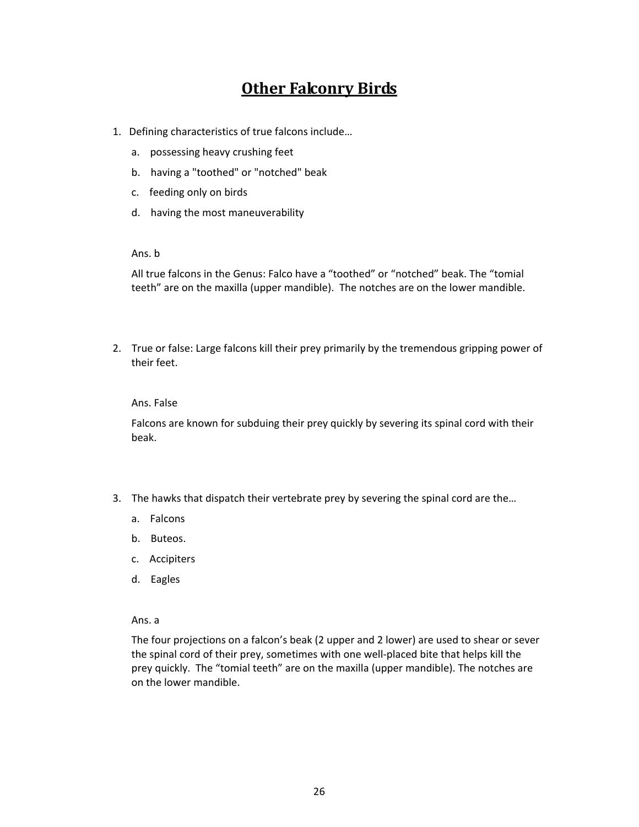# **Other Falconry Birds**

- <span id="page-26-0"></span>1. Defining characteristics of true falcons include…
	- a. possessing heavy crushing feet
	- b. having a "toothed" or "notched" beak
	- c. feeding only on birds
	- d. having the most maneuverability

# Ans. b

All true falcons in the Genus: Falco have a "toothed" or "notched" beak. The "tomial teeth" are on the maxilla (upper mandible). The notches are on the lower mandible.

2. True or false: Large falcons kill their prey primarily by the tremendous gripping power of their feet.

# Ans. False

Falcons are known for subduing their prey quickly by severing its spinal cord with their beak.

- 3. The hawks that dispatch their vertebrate prey by severing the spinal cord are the…
	- a. Falcons
	- b. Buteos.
	- c. Accipiters
	- d. Eagles

## Ans. a

The four projections on a falcon's beak (2 upper and 2 lower) are used to shear or sever the spinal cord of their prey, sometimes with one well-placed bite that helps kill the prey quickly. The "tomial teeth" are on the maxilla (upper mandible). The notches are on the lower mandible.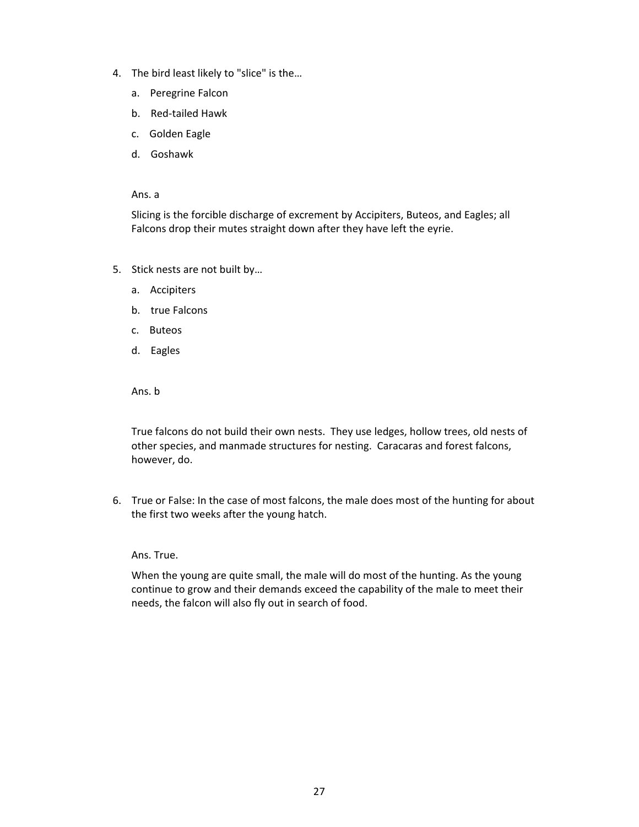- 4. The bird least likely to "slice" is the…
	- a. Peregrine Falcon
	- b. Red-tailed Hawk
	- c. Golden Eagle
	- d. Goshawk

Slicing is the forcible discharge of excrement by Accipiters, Buteos, and Eagles; all Falcons drop their mutes straight down after they have left the eyrie.

- 5. Stick nests are not built by…
	- a. Accipiters
	- b. true Falcons
	- c. Buteos
	- d. Eagles

Ans. b

True falcons do not build their own nests. They use ledges, hollow trees, old nests of other species, and manmade structures for nesting. Caracaras and forest falcons, however, do.

6. True or False: In the case of most falcons, the male does most of the hunting for about the first two weeks after the young hatch.

Ans. True.

When the young are quite small, the male will do most of the hunting. As the young continue to grow and their demands exceed the capability of the male to meet their needs, the falcon will also fly out in search of food.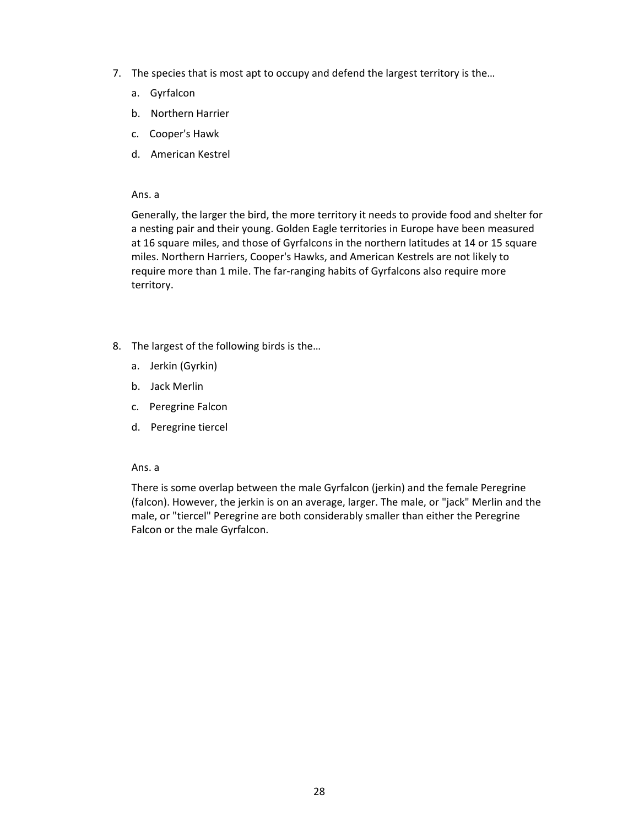- 7. The species that is most apt to occupy and defend the largest territory is the…
	- a. Gyrfalcon
	- b. Northern Harrier
	- c. Cooper's Hawk
	- d. American Kestrel

Generally, the larger the bird, the more territory it needs to provide food and shelter for a nesting pair and their young. Golden Eagle territories in Europe have been measured at 16 square miles, and those of Gyrfalcons in the northern latitudes at 14 or 15 square miles. Northern Harriers, Cooper's Hawks, and American Kestrels are not likely to require more than 1 mile. The far-ranging habits of Gyrfalcons also require more territory.

- 8. The largest of the following birds is the…
	- a. Jerkin (Gyrkin)
	- b. Jack Merlin
	- c. Peregrine Falcon
	- d. Peregrine tiercel

#### Ans. a

There is some overlap between the male Gyrfalcon (jerkin) and the female Peregrine (falcon). However, the jerkin is on an average, larger. The male, or "jack" Merlin and the male, or "tiercel" Peregrine are both considerably smaller than either the Peregrine Falcon or the male Gyrfalcon.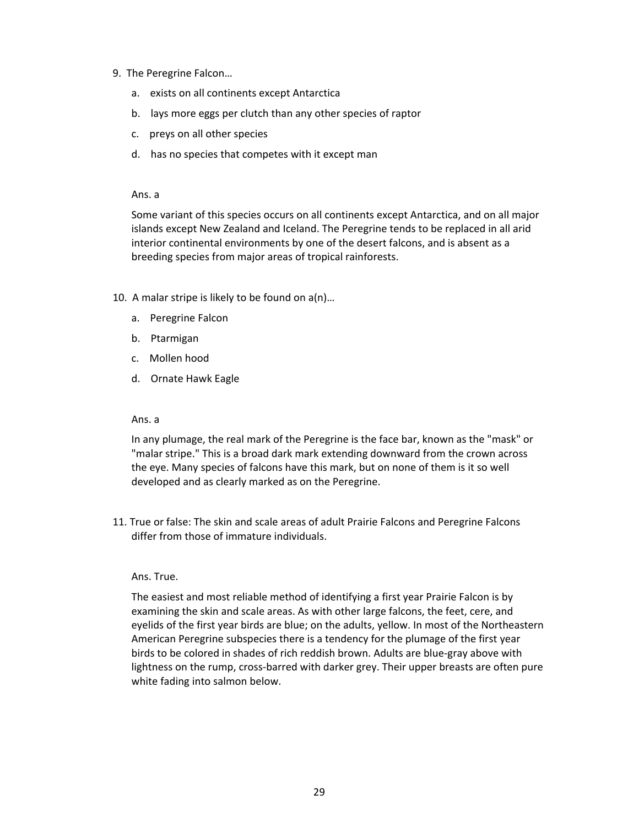- 9. The Peregrine Falcon…
	- a. exists on all continents except Antarctica
	- b. lays more eggs per clutch than any other species of raptor
	- c. preys on all other species
	- d. has no species that competes with it except man

Some variant of this species occurs on all continents except Antarctica, and on all major islands except New Zealand and Iceland. The Peregrine tends to be replaced in all arid interior continental environments by one of the desert falcons, and is absent as a breeding species from major areas of tropical rainforests.

- 10. A malar stripe is likely to be found on a(n)…
	- a. Peregrine Falcon
	- b. Ptarmigan
	- c. Mollen hood
	- d. Ornate Hawk Eagle

#### Ans. a

In any plumage, the real mark of the Peregrine is the face bar, known as the "mask" or "malar stripe." This is a broad dark mark extending downward from the crown across the eye. Many species of falcons have this mark, but on none of them is it so well developed and as clearly marked as on the Peregrine.

11. True or false: The skin and scale areas of adult Prairie Falcons and Peregrine Falcons differ from those of immature individuals.

#### Ans. True.

The easiest and most reliable method of identifying a first year Prairie Falcon is by examining the skin and scale areas. As with other large falcons, the feet, cere, and eyelids of the first year birds are blue; on the adults, yellow. In most of the Northeastern American Peregrine subspecies there is a tendency for the plumage of the first year birds to be colored in shades of rich reddish brown. Adults are blue-gray above with lightness on the rump, cross-barred with darker grey. Their upper breasts are often pure white fading into salmon below.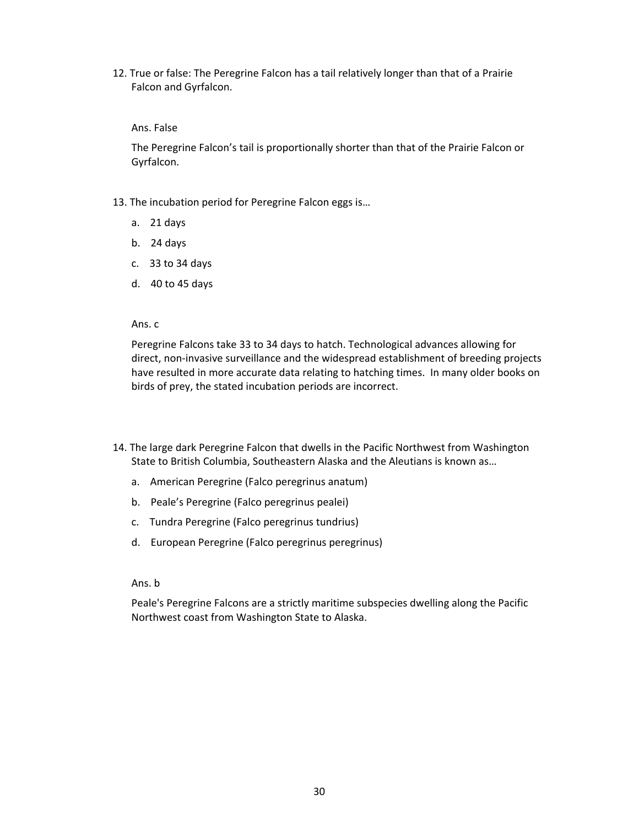12. True or false: The Peregrine Falcon has a tail relatively longer than that of a Prairie Falcon and Gyrfalcon.

# Ans. False

The Peregrine Falcon's tail is proportionally shorter than that of the Prairie Falcon or Gyrfalcon.

- 13. The incubation period for Peregrine Falcon eggs is…
	- a. 21 days
	- b. 24 days
	- c. 33 to 34 days
	- d. 40 to 45 days

#### Ans. c

Peregrine Falcons take 33 to 34 days to hatch. Technological advances allowing for direct, non-invasive surveillance and the widespread establishment of breeding projects have resulted in more accurate data relating to hatching times. In many older books on birds of prey, the stated incubation periods are incorrect.

- 14. The large dark Peregrine Falcon that dwells in the Pacific Northwest from Washington State to British Columbia, Southeastern Alaska and the Aleutians is known as…
	- a. American Peregrine (Falco peregrinus anatum)
	- b. Peale's Peregrine (Falco peregrinus pealei)
	- c. Tundra Peregrine (Falco peregrinus tundrius)
	- d. European Peregrine (Falco peregrinus peregrinus)

#### Ans. b

Peale's Peregrine Falcons are a strictly maritime subspecies dwelling along the Pacific Northwest coast from Washington State to Alaska.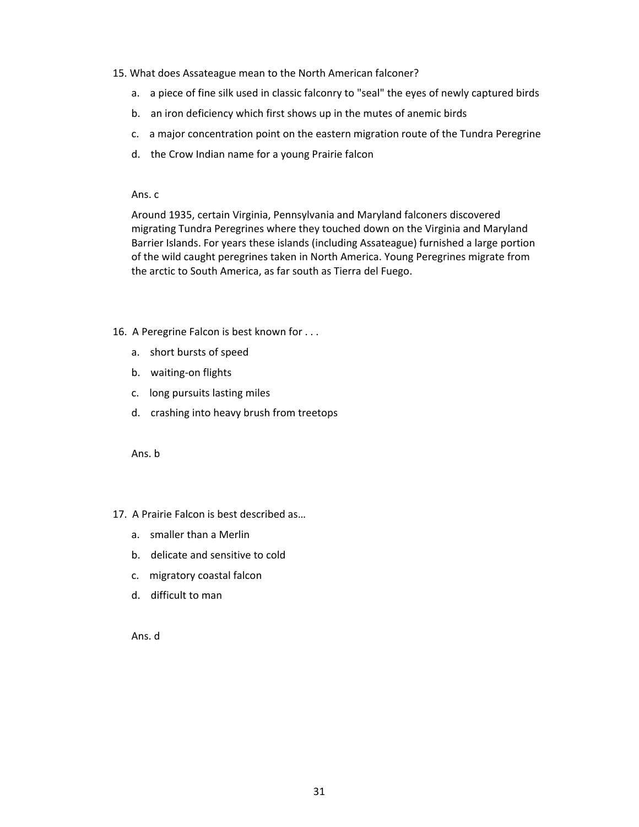## 15. What does Assateague mean to the North American falconer?

- a. a piece of fine silk used in classic falconry to "seal" the eyes of newly captured birds
- b. an iron deficiency which first shows up in the mutes of anemic birds
- c. a major concentration point on the eastern migration route of the Tundra Peregrine
- d. the Crow Indian name for a young Prairie falcon

Ans. c

Around 1935, certain Virginia, Pennsylvania and Maryland falconers discovered migrating Tundra Peregrines where they touched down on the Virginia and Maryland Barrier Islands. For years these islands (including Assateague) furnished a large portion of the wild caught peregrines taken in North America. Young Peregrines migrate from the arctic to South America, as far south as Tierra del Fuego.

# 16. A Peregrine Falcon is best known for . . .

- a. short bursts of speed
- b. waiting-on flights
- c. long pursuits lasting miles
- d. crashing into heavy brush from treetops

Ans. b

# 17. A Prairie Falcon is best described as…

- a. smaller than a Merlin
- b. delicate and sensitive to cold
- c. migratory coastal falcon
- d. difficult to man

Ans. d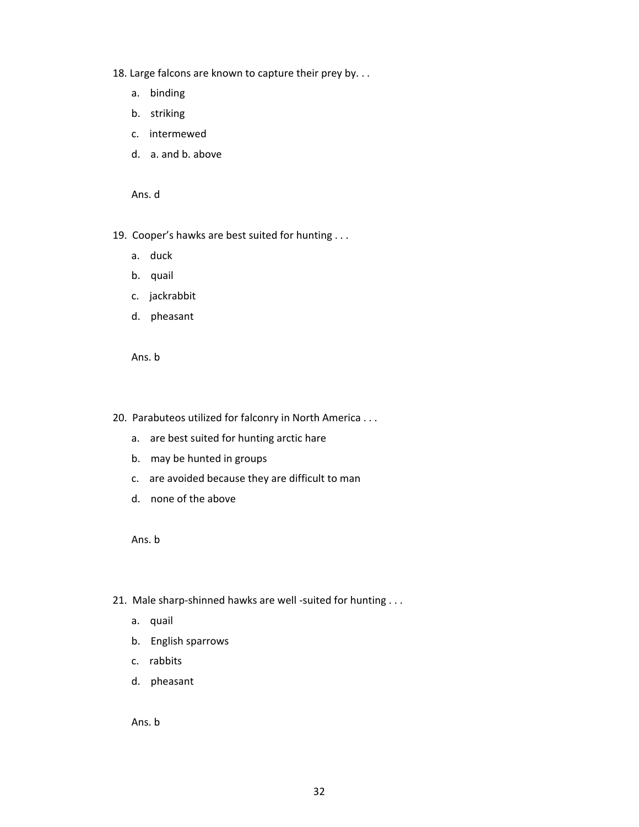- 18. Large falcons are known to capture their prey by. . .
	- a. binding
	- b. striking
	- c. intermewed
	- d. a. and b. above

- 19. Cooper's hawks are best suited for hunting . . .
	- a. duck
	- b. quail
	- c. jackrabbit
	- d. pheasant

Ans. b

- 20. Parabuteos utilized for falconry in North America . . .
	- a. are best suited for hunting arctic hare
	- b. may be hunted in groups
	- c. are avoided because they are difficult to man
	- d. none of the above

Ans. b

- 21. Male sharp-shinned hawks are well -suited for hunting . . .
	- a. quail
	- b. English sparrows
	- c. rabbits
	- d. pheasant

Ans. b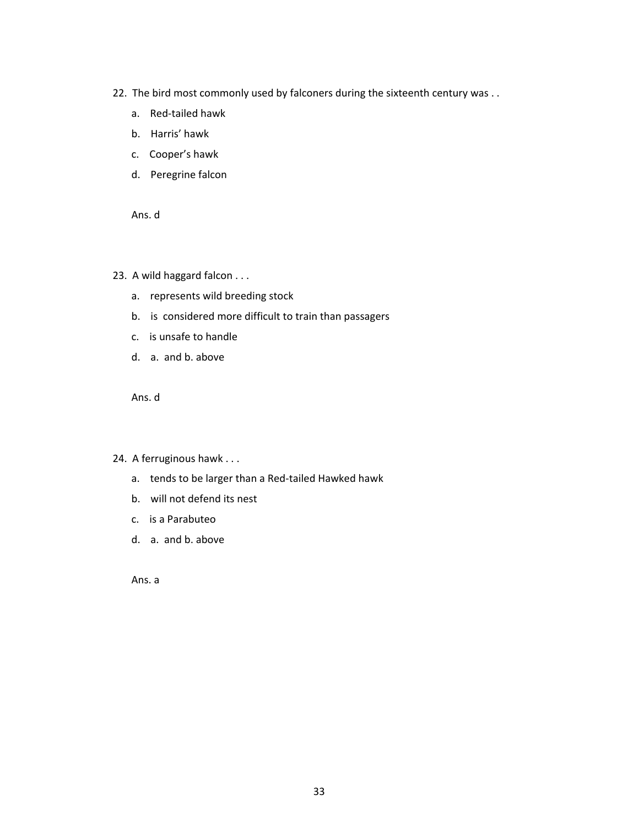- 22. The bird most commonly used by falconers during the sixteenth century was . .
	- a. Red-tailed hawk
	- b. Harris' hawk
	- c. Cooper's hawk
	- d. Peregrine falcon

- 23. A wild haggard falcon . . .
	- a. represents wild breeding stock
	- b. is considered more difficult to train than passagers
	- c. is unsafe to handle
	- d. a. and b. above

Ans. d

- 24. A ferruginous hawk . . .
	- a. tends to be larger than a Red-tailed Hawked hawk
	- b. will not defend its nest
	- c. is a Parabuteo
	- d. a. and b. above

Ans. a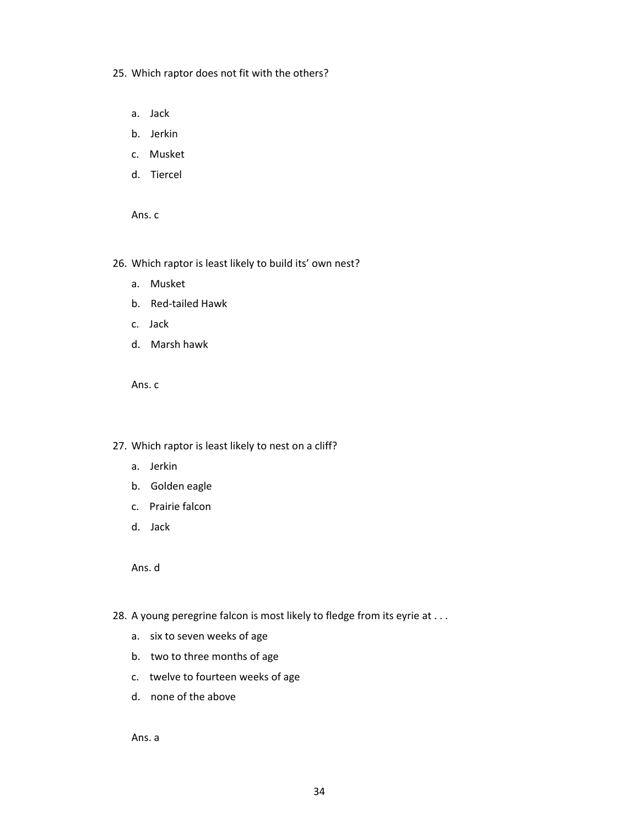- 25. Which raptor does not fit with the others?
	- a. Jack
	- b. Jerkin
	- c. Musket
	- d. Tiercel

26. Which raptor is least likely to build its' own nest?

- a. Musket
- b. Red-tailed Hawk
- c. Jack
- d. Marsh hawk

Ans. c

- 27. Which raptor is least likely to nest on a cliff?
	- a. Jerkin
	- b. Golden eagle
	- c. Prairie falcon
	- d. Jack

Ans. d

- 28. A young peregrine falcon is most likely to fledge from its eyrie at . . .
	- a. six to seven weeks of age
	- b. two to three months of age
	- c. twelve to fourteen weeks of age
	- d. none of the above

Ans. a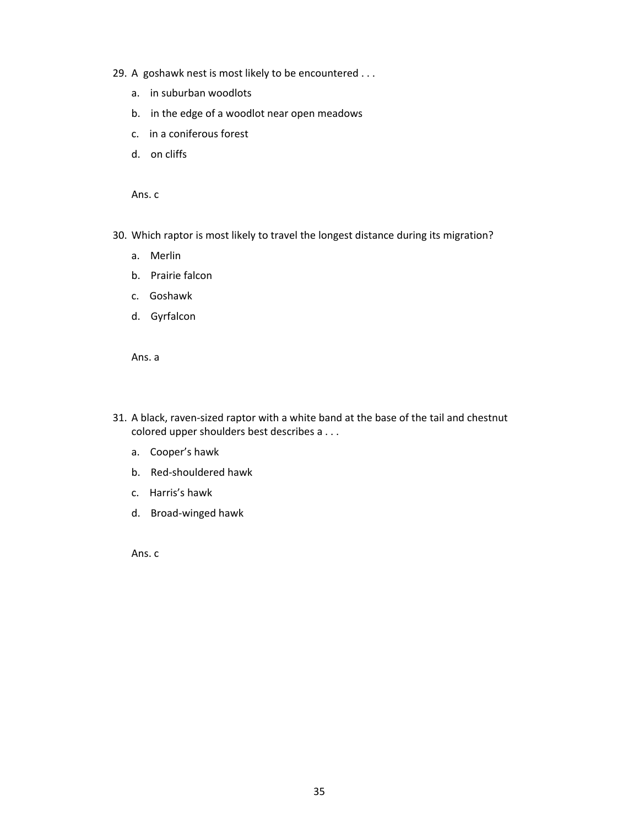- 29. A goshawk nest is most likely to be encountered . . .
	- a. in suburban woodlots
	- b. in the edge of a woodlot near open meadows
	- c. in a coniferous forest
	- d. on cliffs

- 30. Which raptor is most likely to travel the longest distance during its migration?
	- a. Merlin
	- b. Prairie falcon
	- c. Goshawk
	- d. Gyrfalcon

Ans. a

- 31. A black, raven-sized raptor with a white band at the base of the tail and chestnut colored upper shoulders best describes a . . .
	- a. Cooper's hawk
	- b. Red-shouldered hawk
	- c. Harris's hawk
	- d. Broad-winged hawk

Ans. c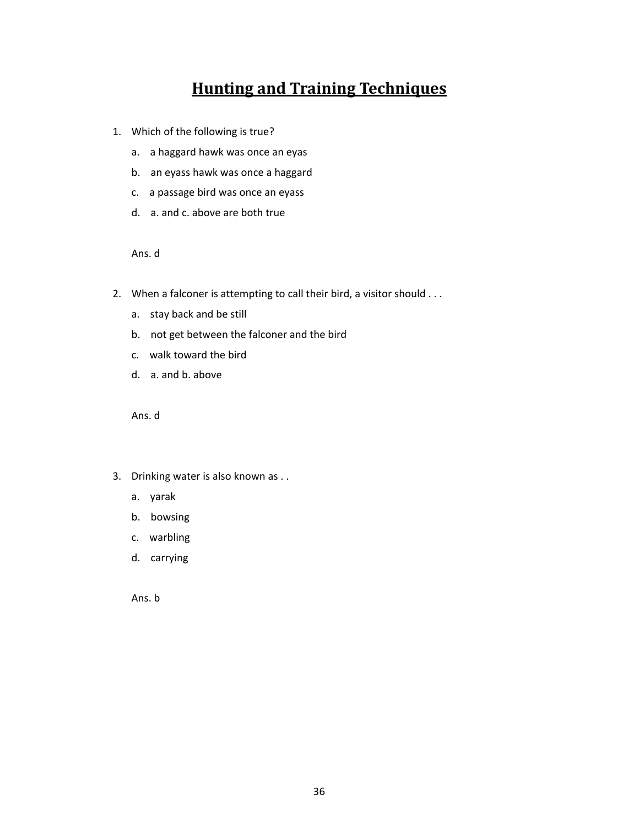# **Hunting and Training Techniques**

- 1. Which of the following is true?
	- a. a haggard hawk was once an eyas
	- b. an eyass hawk was once a haggard
	- c. a passage bird was once an eyass
	- d. a. and c. above are both true

Ans. d

- 2. When a falconer is attempting to call their bird, a visitor should . . .
	- a. stay back and be still
	- b. not get between the falconer and the bird
	- c. walk toward the bird
	- d. a. and b. above

Ans. d

- 3. Drinking water is also known as . .
	- a. yarak
	- b. bowsing
	- c. warbling
	- d. carrying

Ans. b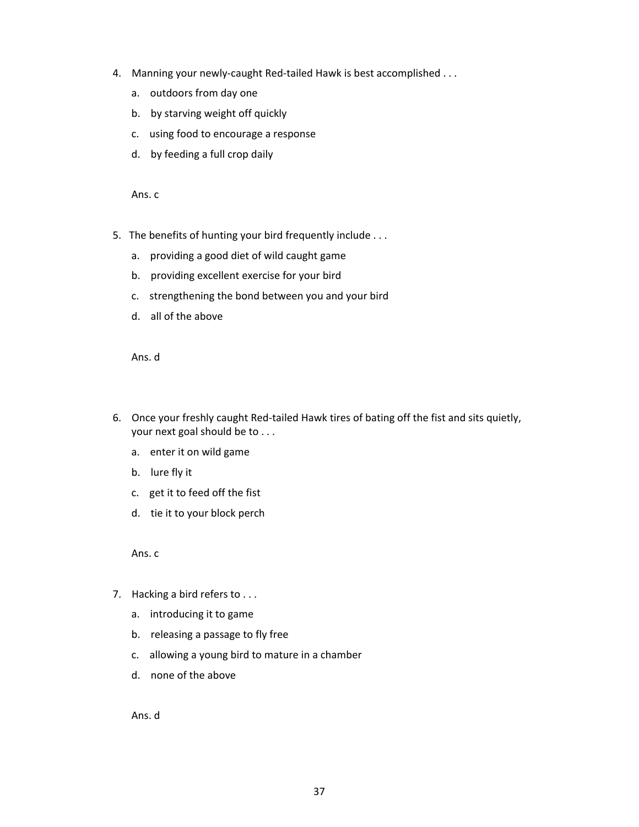- 4. Manning your newly-caught Red-tailed Hawk is best accomplished . . .
	- a. outdoors from day one
	- b. by starving weight off quickly
	- c. using food to encourage a response
	- d. by feeding a full crop daily

Ans. c

- 5. The benefits of hunting your bird frequently include . . .
	- a. providing a good diet of wild caught game
	- b. providing excellent exercise for your bird
	- c. strengthening the bond between you and your bird
	- d. all of the above

Ans. d

- 6. Once your freshly caught Red-tailed Hawk tires of bating off the fist and sits quietly, your next goal should be to . . .
	- a. enter it on wild game
	- b. lure fly it
	- c. get it to feed off the fist
	- d. tie it to your block perch

Ans. c

- 7. Hacking a bird refers to . . .
	- a. introducing it to game
	- b. releasing a passage to fly free
	- c. allowing a young bird to mature in a chamber
	- d. none of the above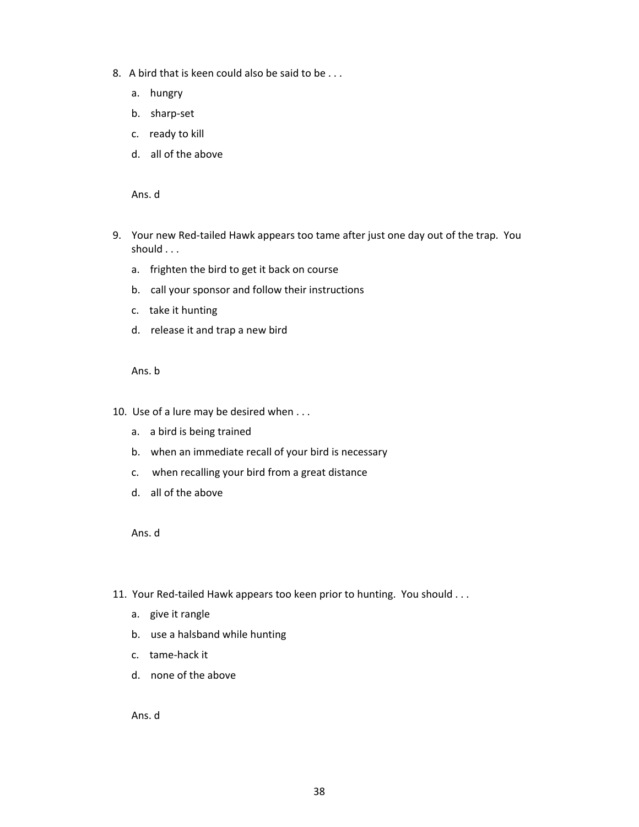- 8. A bird that is keen could also be said to be . . .
	- a. hungry
	- b. sharp-set
	- c. ready to kill
	- d. all of the above

- 9. Your new Red-tailed Hawk appears too tame after just one day out of the trap. You should . . .
	- a. frighten the bird to get it back on course
	- b. call your sponsor and follow their instructions
	- c. take it hunting
	- d. release it and trap a new bird

Ans. b

- 10. Use of a lure may be desired when . . .
	- a. a bird is being trained
	- b. when an immediate recall of your bird is necessary
	- c. when recalling your bird from a great distance
	- d. all of the above

Ans. d

- 11. Your Red-tailed Hawk appears too keen prior to hunting. You should . . .
	- a. give it rangle
	- b. use a halsband while hunting
	- c. tame-hack it
	- d. none of the above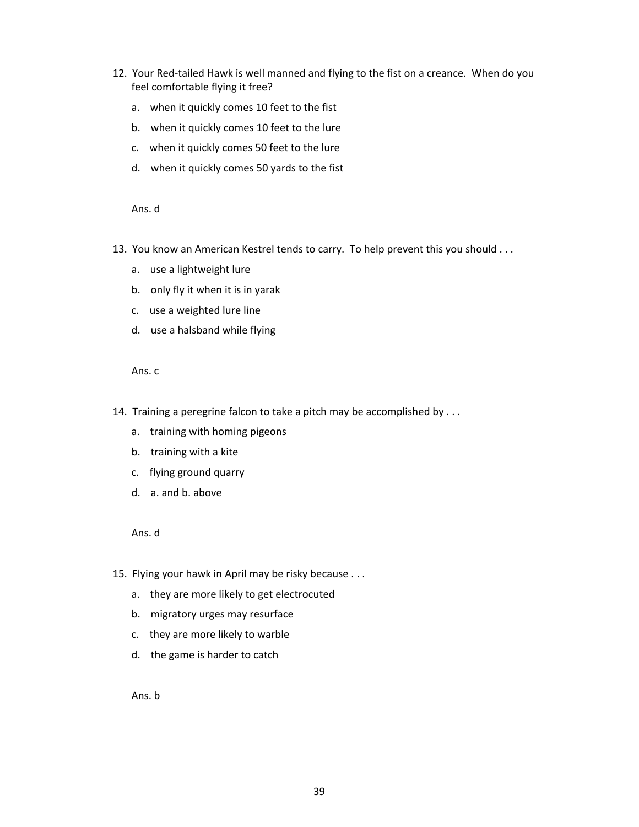- 12. Your Red-tailed Hawk is well manned and flying to the fist on a creance. When do you feel comfortable flying it free?
	- a. when it quickly comes 10 feet to the fist
	- b. when it quickly comes 10 feet to the lure
	- c. when it quickly comes 50 feet to the lure
	- d. when it quickly comes 50 yards to the fist

- 13. You know an American Kestrel tends to carry. To help prevent this you should . . .
	- a. use a lightweight lure
	- b. only fly it when it is in yarak
	- c. use a weighted lure line
	- d. use a halsband while flying

Ans. c

- 14. Training a peregrine falcon to take a pitch may be accomplished by . . .
	- a. training with homing pigeons
	- b. training with a kite
	- c. flying ground quarry
	- d. a. and b. above

Ans. d

- 15. Flying your hawk in April may be risky because . . .
	- a. they are more likely to get electrocuted
	- b. migratory urges may resurface
	- c. they are more likely to warble
	- d. the game is harder to catch

Ans. b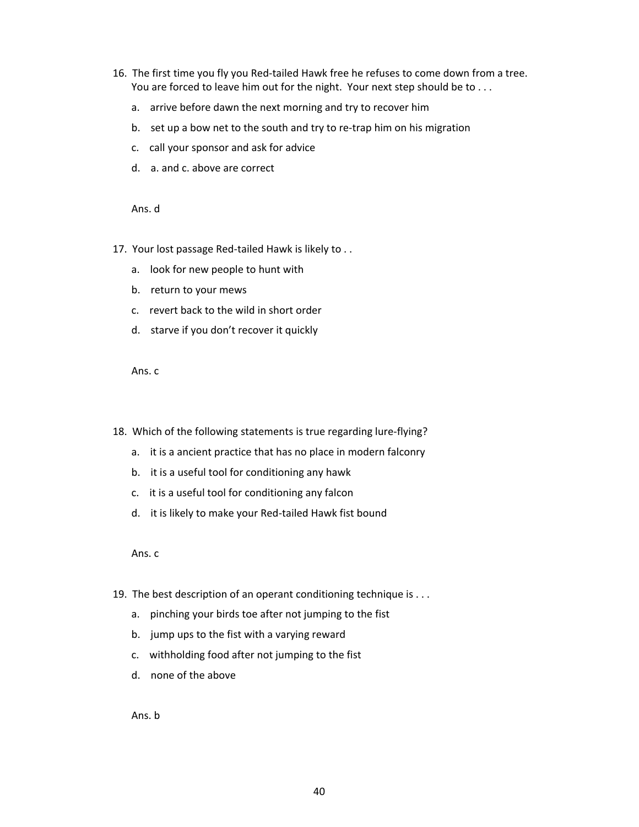- 16. The first time you fly you Red-tailed Hawk free he refuses to come down from a tree. You are forced to leave him out for the night. Your next step should be to ...
	- a. arrive before dawn the next morning and try to recover him
	- b. set up a bow net to the south and try to re-trap him on his migration
	- c. call your sponsor and ask for advice
	- d. a. and c. above are correct

- 17. Your lost passage Red-tailed Hawk is likely to . .
	- a. look for new people to hunt with
	- b. return to your mews
	- c. revert back to the wild in short order
	- d. starve if you don't recover it quickly

Ans. c

- 18. Which of the following statements is true regarding lure-flying?
	- a. it is a ancient practice that has no place in modern falconry
	- b. it is a useful tool for conditioning any hawk
	- c. it is a useful tool for conditioning any falcon
	- d. it is likely to make your Red-tailed Hawk fist bound

Ans. c

- 19. The best description of an operant conditioning technique is . . .
	- a. pinching your birds toe after not jumping to the fist
	- b. jump ups to the fist with a varying reward
	- c. withholding food after not jumping to the fist
	- d. none of the above

Ans. b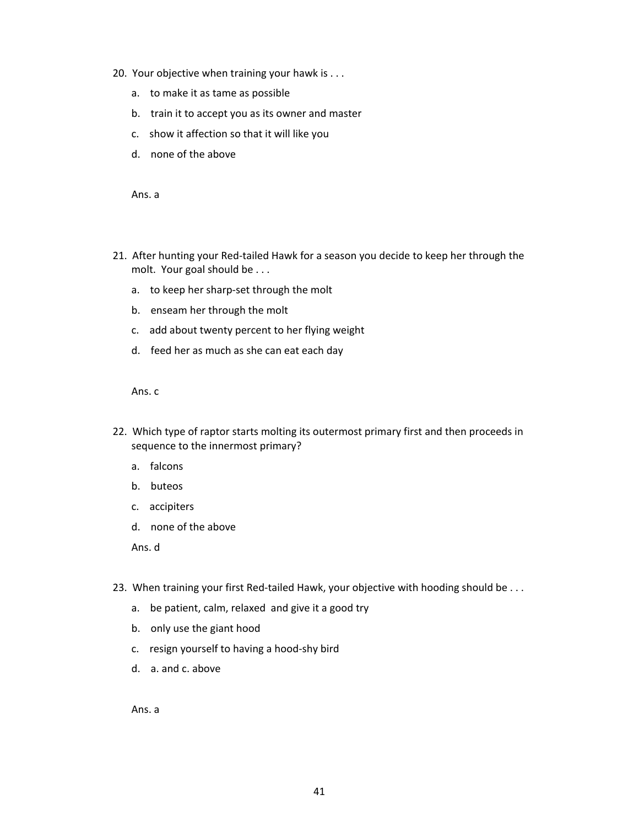- 20. Your objective when training your hawk is . . .
	- a. to make it as tame as possible
	- b. train it to accept you as its owner and master
	- c. show it affection so that it will like you
	- d. none of the above

Ans. a

- 21. After hunting your Red-tailed Hawk for a season you decide to keep her through the molt. Your goal should be . . .
	- a. to keep her sharp-set through the molt
	- b. enseam her through the molt
	- c. add about twenty percent to her flying weight
	- d. feed her as much as she can eat each day

Ans. c

- 22. Which type of raptor starts molting its outermost primary first and then proceeds in sequence to the innermost primary?
	- a. falcons
	- b. buteos
	- c. accipiters
	- d. none of the above

Ans. d

- 23. When training your first Red-tailed Hawk, your objective with hooding should be . . .
	- a. be patient, calm, relaxed and give it a good try
	- b. only use the giant hood
	- c. resign yourself to having a hood-shy bird
	- d. a. and c. above

Ans. a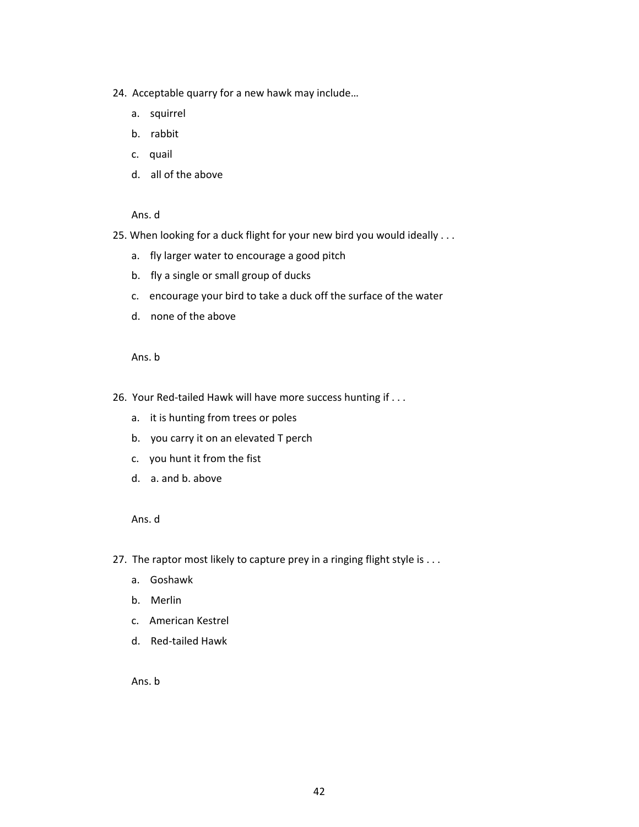- 24. Acceptable quarry for a new hawk may include…
	- a. squirrel
	- b. rabbit
	- c. quail
	- d. all of the above

- 25. When looking for a duck flight for your new bird you would ideally . . .
	- a. fly larger water to encourage a good pitch
	- b. fly a single or small group of ducks
	- c. encourage your bird to take a duck off the surface of the water
	- d. none of the above

Ans. b

- 26. Your Red-tailed Hawk will have more success hunting if . . .
	- a. it is hunting from trees or poles
	- b. you carry it on an elevated T perch
	- c. you hunt it from the fist
	- d. a. and b. above

Ans. d

- 27. The raptor most likely to capture prey in a ringing flight style is . . .
	- a. Goshawk
	- b. Merlin
	- c. American Kestrel
	- d. Red-tailed Hawk

Ans. b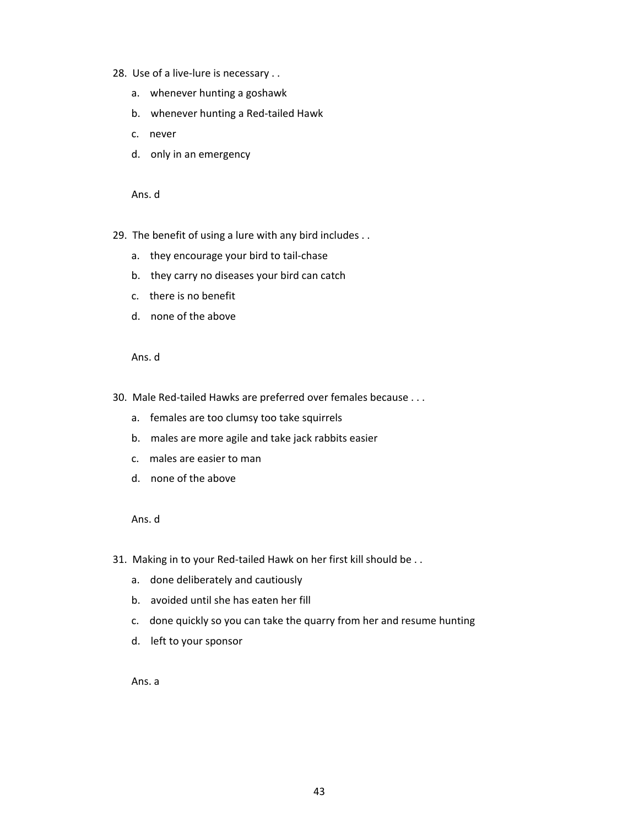- 28. Use of a live-lure is necessary . .
	- a. whenever hunting a goshawk
	- b. whenever hunting a Red-tailed Hawk
	- c. never
	- d. only in an emergency

- 29. The benefit of using a lure with any bird includes . .
	- a. they encourage your bird to tail-chase
	- b. they carry no diseases your bird can catch
	- c. there is no benefit
	- d. none of the above

Ans. d

- 30. Male Red-tailed Hawks are preferred over females because . . .
	- a. females are too clumsy too take squirrels
	- b. males are more agile and take jack rabbits easier
	- c. males are easier to man
	- d. none of the above

Ans. d

- 31. Making in to your Red-tailed Hawk on her first kill should be . .
	- a. done deliberately and cautiously
	- b. avoided until she has eaten her fill
	- c. done quickly so you can take the quarry from her and resume hunting
	- d. left to your sponsor

Ans. a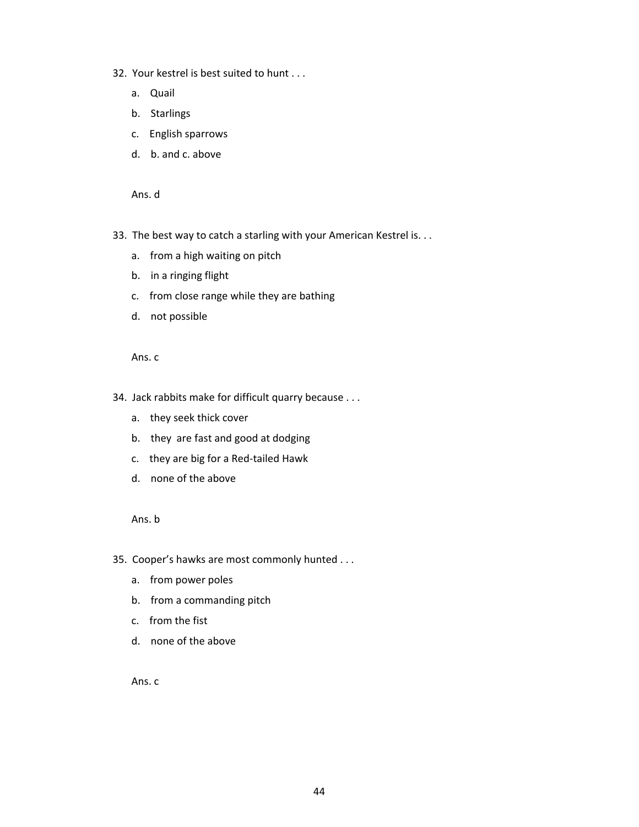- 32. Your kestrel is best suited to hunt . . .
	- a. Quail
	- b. Starlings
	- c. English sparrows
	- d. b. and c. above

- 33. The best way to catch a starling with your American Kestrel is. . .
	- a. from a high waiting on pitch
	- b. in a ringing flight
	- c. from close range while they are bathing
	- d. not possible

Ans. c

- 34. Jack rabbits make for difficult quarry because . . .
	- a. they seek thick cover
	- b. they are fast and good at dodging
	- c. they are big for a Red-tailed Hawk
	- d. none of the above

Ans. b

- 35. Cooper's hawks are most commonly hunted . . .
	- a. from power poles
	- b. from a commanding pitch
	- c. from the fist
	- d. none of the above

Ans. c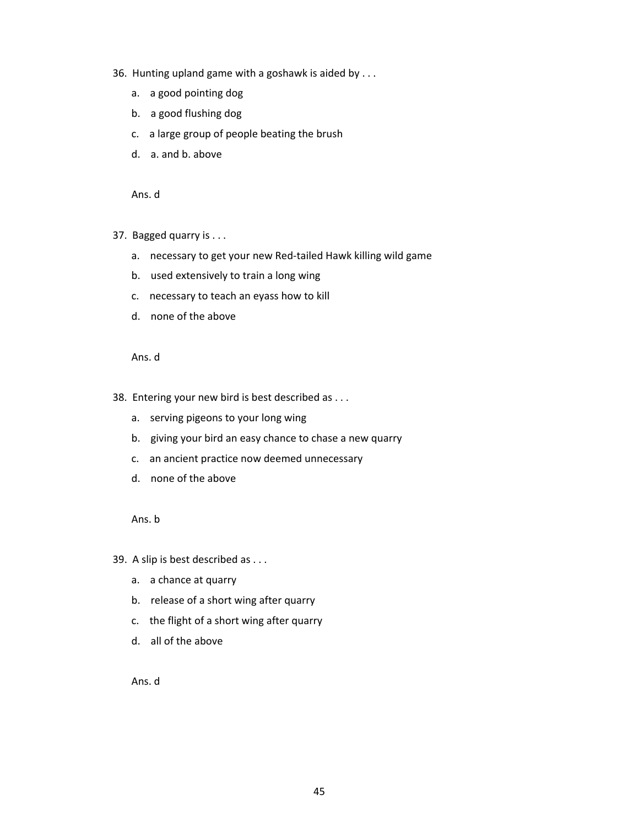- 36. Hunting upland game with a goshawk is aided by . . .
	- a. a good pointing dog
	- b. a good flushing dog
	- c. a large group of people beating the brush
	- d. a. and b. above

- 37. Bagged quarry is . . .
	- a. necessary to get your new Red-tailed Hawk killing wild game
	- b. used extensively to train a long wing
	- c. necessary to teach an eyass how to kill
	- d. none of the above

Ans. d

- 38. Entering your new bird is best described as . . .
	- a. serving pigeons to your long wing
	- b. giving your bird an easy chance to chase a new quarry
	- c. an ancient practice now deemed unnecessary
	- d. none of the above

Ans. b

- 39. A slip is best described as . . .
	- a. a chance at quarry
	- b. release of a short wing after quarry
	- c. the flight of a short wing after quarry
	- d. all of the above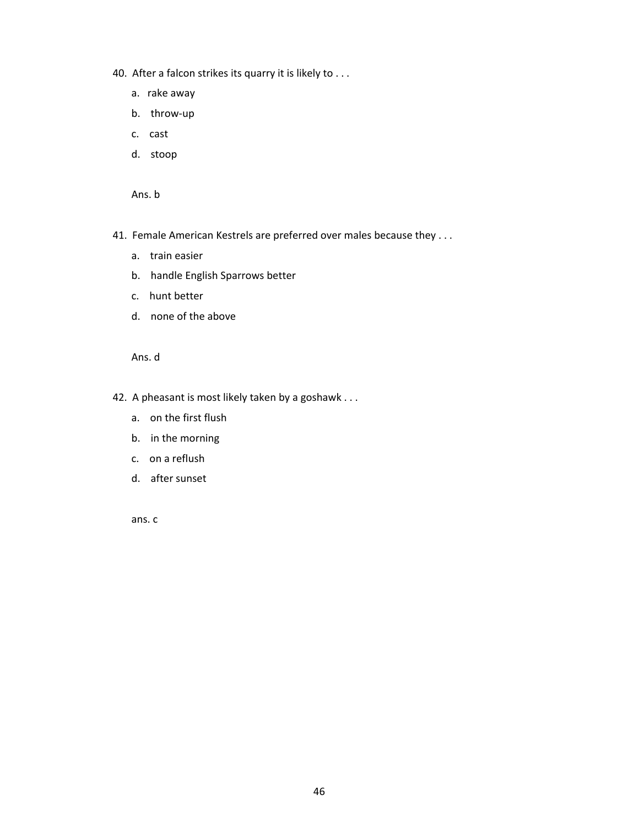- 40. After a falcon strikes its quarry it is likely to . . .
	- a. rake away
	- b. throw-up
	- c. cast
	- d. stoop

Ans. b

- 41. Female American Kestrels are preferred over males because they . . .
	- a. train easier
	- b. handle English Sparrows better
	- c. hunt better
	- d. none of the above

Ans. d

- 42. A pheasant is most likely taken by a goshawk . . .
	- a. on the first flush
	- b. in the morning
	- c. on a reflush
	- d. after sunset

ans. c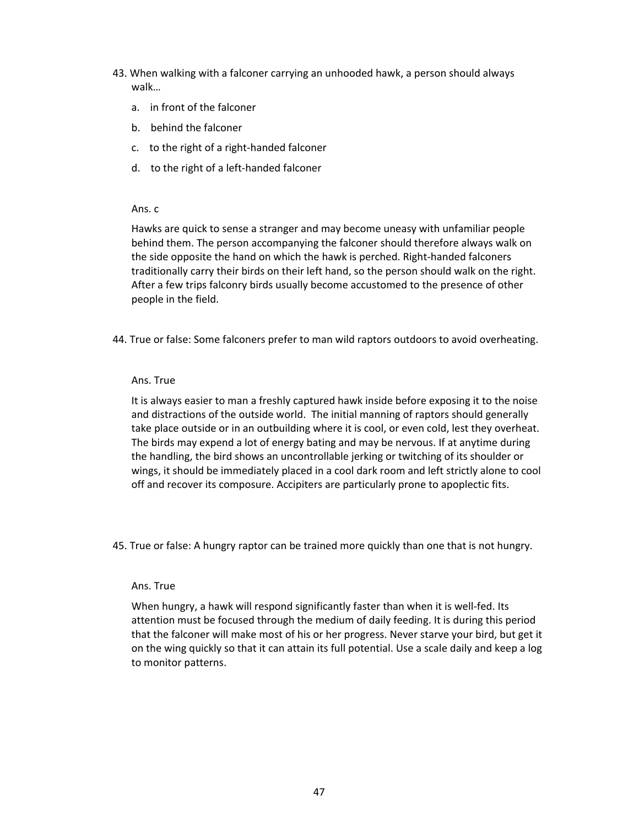- 43. When walking with a falconer carrying an unhooded hawk, a person should always walk…
	- a. in front of the falconer
	- b. behind the falconer
	- c. to the right of a right-handed falconer
	- d. to the right of a left-handed falconer

## Ans. c

Hawks are quick to sense a stranger and may become uneasy with unfamiliar people behind them. The person accompanying the falconer should therefore always walk on the side opposite the hand on which the hawk is perched. Right-handed falconers traditionally carry their birds on their left hand, so the person should walk on the right. After a few trips falconry birds usually become accustomed to the presence of other people in the field.

44. True or false: Some falconers prefer to man wild raptors outdoors to avoid overheating.

## Ans. True

It is always easier to man a freshly captured hawk inside before exposing it to the noise and distractions of the outside world. The initial manning of raptors should generally take place outside or in an outbuilding where it is cool, or even cold, lest they overheat. The birds may expend a lot of energy bating and may be nervous. If at anytime during the handling, the bird shows an uncontrollable jerking or twitching of its shoulder or wings, it should be immediately placed in a cool dark room and left strictly alone to cool off and recover its composure. Accipiters are particularly prone to apoplectic fits.

45. True or false: A hungry raptor can be trained more quickly than one that is not hungry.

## Ans. True

When hungry, a hawk will respond significantly faster than when it is well-fed. Its attention must be focused through the medium of daily feeding. It is during this period that the falconer will make most of his or her progress. Never starve your bird, but get it on the wing quickly so that it can attain its full potential. Use a scale daily and keep a log to monitor patterns.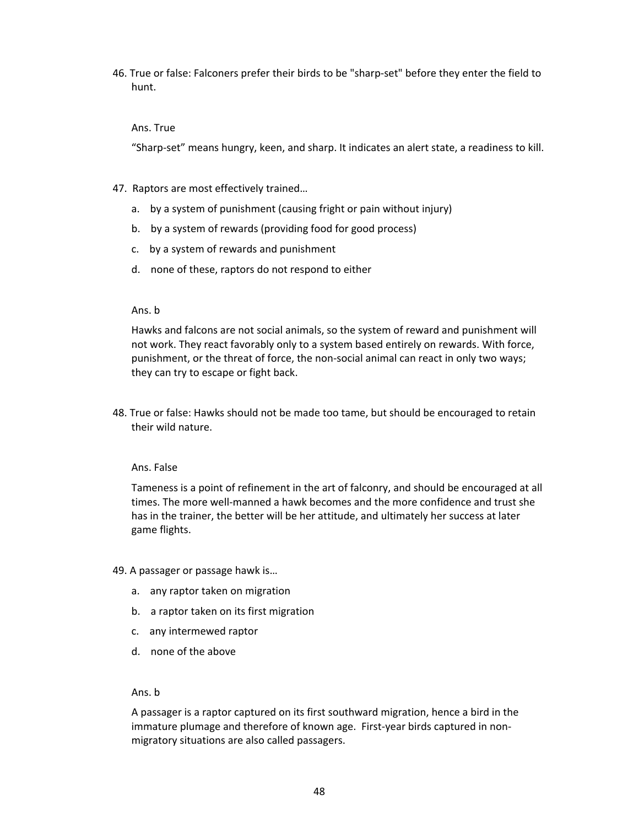46. True or false: Falconers prefer their birds to be "sharp-set" before they enter the field to hunt.

#### Ans. True

"Sharp-set" means hungry, keen, and sharp. It indicates an alert state, a readiness to kill.

- 47. Raptors are most effectively trained…
	- a. by a system of punishment (causing fright or pain without injury)
	- b. by a system of rewards (providing food for good process)
	- c. by a system of rewards and punishment
	- d. none of these, raptors do not respond to either

#### Ans. b

Hawks and falcons are not social animals, so the system of reward and punishment will not work. They react favorably only to a system based entirely on rewards. With force, punishment, or the threat of force, the non-social animal can react in only two ways; they can try to escape or fight back.

48. True or false: Hawks should not be made too tame, but should be encouraged to retain their wild nature.

#### Ans. False

Tameness is a point of refinement in the art of falconry, and should be encouraged at all times. The more well-manned a hawk becomes and the more confidence and trust she has in the trainer, the better will be her attitude, and ultimately her success at later game flights.

49. A passager or passage hawk is…

- a. any raptor taken on migration
- b. a raptor taken on its first migration
- c. any intermewed raptor
- d. none of the above

#### Ans. b

A passager is a raptor captured on its first southward migration, hence a bird in the immature plumage and therefore of known age. First-year birds captured in nonmigratory situations are also called passagers.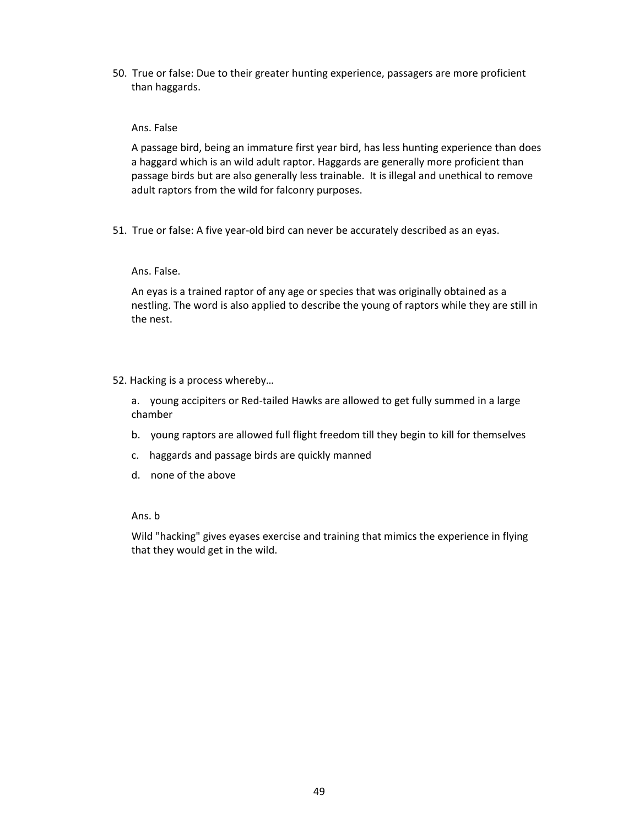50. True or false: Due to their greater hunting experience, passagers are more proficient than haggards.

## Ans. False

A passage bird, being an immature first year bird, has less hunting experience than does a haggard which is an wild adult raptor. Haggards are generally more proficient than passage birds but are also generally less trainable. It is illegal and unethical to remove adult raptors from the wild for falconry purposes.

51. True or false: A five year-old bird can never be accurately described as an eyas.

## Ans. False.

An eyas is a trained raptor of any age or species that was originally obtained as a nestling. The word is also applied to describe the young of raptors while they are still in the nest.

## 52. Hacking is a process whereby…

a. young accipiters or Red-tailed Hawks are allowed to get fully summed in a large chamber

- b. young raptors are allowed full flight freedom till they begin to kill for themselves
- c. haggards and passage birds are quickly manned
- d. none of the above

## Ans. b

Wild "hacking" gives eyases exercise and training that mimics the experience in flying that they would get in the wild.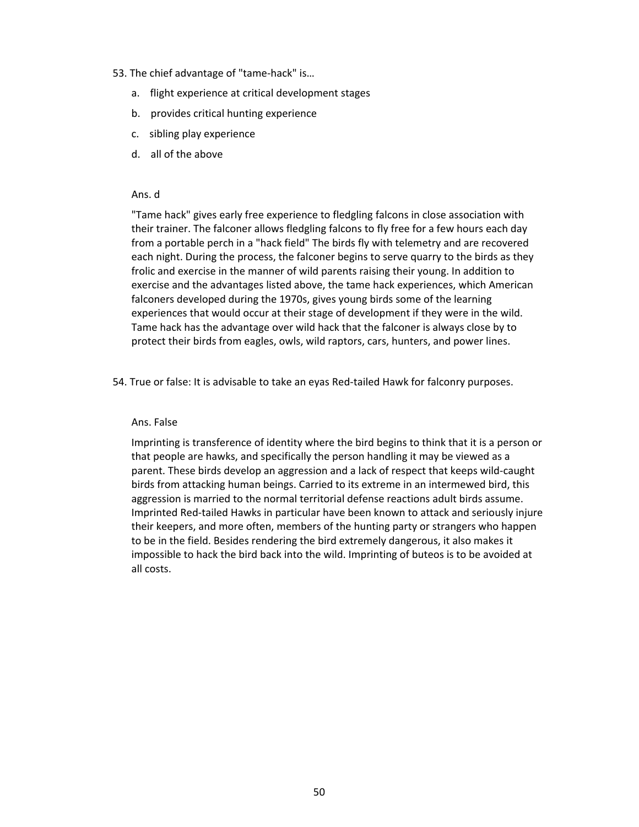#### 53. The chief advantage of "tame-hack" is…

- a. flight experience at critical development stages
- b. provides critical hunting experience
- c. sibling play experience
- d. all of the above

#### Ans. d

"Tame hack" gives early free experience to fledgling falcons in close association with their trainer. The falconer allows fledgling falcons to fly free for a few hours each day from a portable perch in a "hack field" The birds fly with telemetry and are recovered each night. During the process, the falconer begins to serve quarry to the birds as they frolic and exercise in the manner of wild parents raising their young. In addition to exercise and the advantages listed above, the tame hack experiences, which American falconers developed during the 1970s, gives young birds some of the learning experiences that would occur at their stage of development if they were in the wild. Tame hack has the advantage over wild hack that the falconer is always close by to protect their birds from eagles, owls, wild raptors, cars, hunters, and power lines.

54. True or false: It is advisable to take an eyas Red-tailed Hawk for falconry purposes.

#### Ans. False

Imprinting is transference of identity where the bird begins to think that it is a person or that people are hawks, and specifically the person handling it may be viewed as a parent. These birds develop an aggression and a lack of respect that keeps wild-caught birds from attacking human beings. Carried to its extreme in an intermewed bird, this aggression is married to the normal territorial defense reactions adult birds assume. Imprinted Red-tailed Hawks in particular have been known to attack and seriously injure their keepers, and more often, members of the hunting party or strangers who happen to be in the field. Besides rendering the bird extremely dangerous, it also makes it impossible to hack the bird back into the wild. Imprinting of buteos is to be avoided at all costs.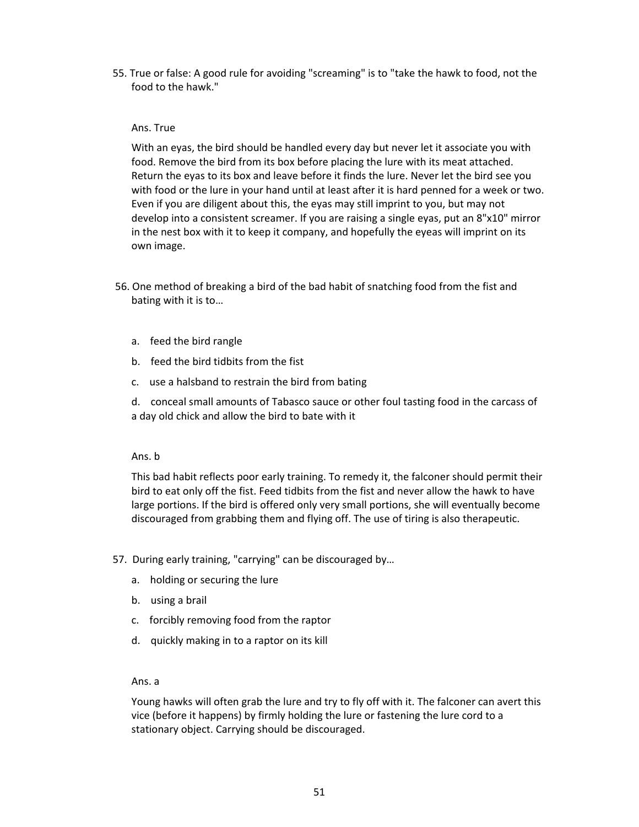55. True or false: A good rule for avoiding "screaming" is to "take the hawk to food, not the food to the hawk."

#### Ans. True

With an eyas, the bird should be handled every day but never let it associate you with food. Remove the bird from its box before placing the lure with its meat attached. Return the eyas to its box and leave before it finds the lure. Never let the bird see you with food or the lure in your hand until at least after it is hard penned for a week or two. Even if you are diligent about this, the eyas may still imprint to you, but may not develop into a consistent screamer. If you are raising a single eyas, put an 8"x10" mirror in the nest box with it to keep it company, and hopefully the eyeas will imprint on its own image.

- 56. One method of breaking a bird of the bad habit of snatching food from the fist and bating with it is to…
	- a. feed the bird rangle
	- b. feed the bird tidbits from the fist
	- c. use a halsband to restrain the bird from bating

d. conceal small amounts of Tabasco sauce or other foul tasting food in the carcass of a day old chick and allow the bird to bate with it

#### Ans. b

This bad habit reflects poor early training. To remedy it, the falconer should permit their bird to eat only off the fist. Feed tidbits from the fist and never allow the hawk to have large portions. If the bird is offered only very small portions, she will eventually become discouraged from grabbing them and flying off. The use of tiring is also therapeutic.

- 57. During early training, "carrying" can be discouraged by…
	- a. holding or securing the lure
	- b. using a brail
	- c. forcibly removing food from the raptor
	- d. quickly making in to a raptor on its kill

#### Ans. a

Young hawks will often grab the lure and try to fly off with it. The falconer can avert this vice (before it happens) by firmly holding the lure or fastening the lure cord to a stationary object. Carrying should be discouraged.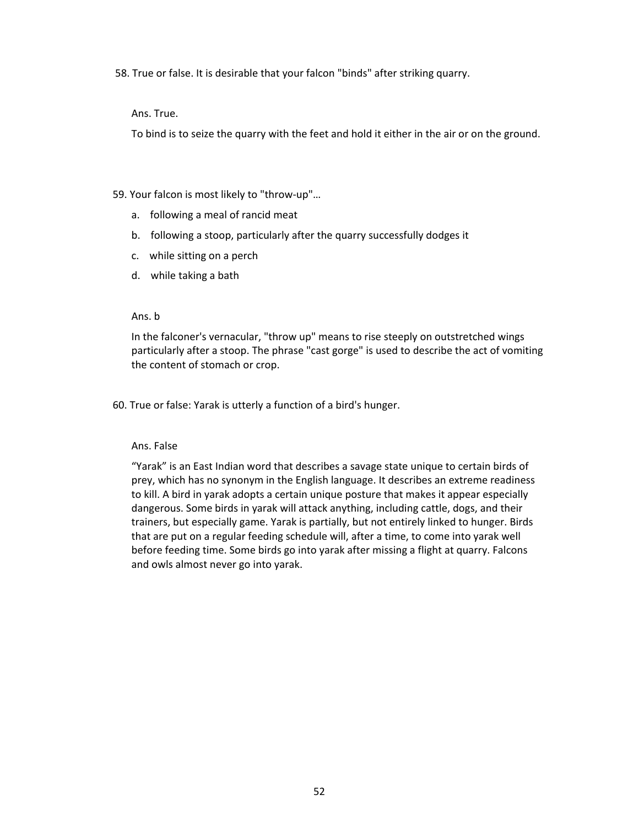58. True or false. It is desirable that your falcon "binds" after striking quarry.

Ans. True.

To bind is to seize the quarry with the feet and hold it either in the air or on the ground.

59. Your falcon is most likely to "throw-up"…

- a. following a meal of rancid meat
- b. following a stoop, particularly after the quarry successfully dodges it
- c. while sitting on a perch
- d. while taking a bath

## Ans. b

In the falconer's vernacular, "throw up" means to rise steeply on outstretched wings particularly after a stoop. The phrase "cast gorge" is used to describe the act of vomiting the content of stomach or crop.

60. True or false: Yarak is utterly a function of a bird's hunger.

#### Ans. False

"Yarak" is an East Indian word that describes a savage state unique to certain birds of prey, which has no synonym in the English language. It describes an extreme readiness to kill. A bird in yarak adopts a certain unique posture that makes it appear especially dangerous. Some birds in yarak will attack anything, including cattle, dogs, and their trainers, but especially game. Yarak is partially, but not entirely linked to hunger. Birds that are put on a regular feeding schedule will, after a time, to come into yarak well before feeding time. Some birds go into yarak after missing a flight at quarry. Falcons and owls almost never go into yarak.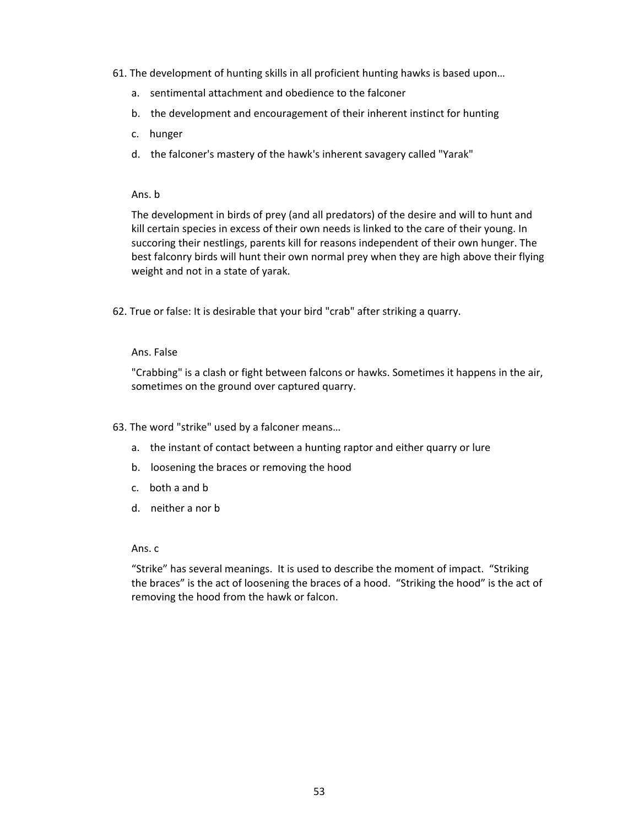- 61. The development of hunting skills in all proficient hunting hawks is based upon…
	- a. sentimental attachment and obedience to the falconer
	- b. the development and encouragement of their inherent instinct for hunting
	- c. hunger
	- d. the falconer's mastery of the hawk's inherent savagery called "Yarak"

#### Ans. b

The development in birds of prey (and all predators) of the desire and will to hunt and kill certain species in excess of their own needs is linked to the care of their young. In succoring their nestlings, parents kill for reasons independent of their own hunger. The best falconry birds will hunt their own normal prey when they are high above their flying weight and not in a state of yarak.

62. True or false: It is desirable that your bird "crab" after striking a quarry.

## Ans. False

"Crabbing" is a clash or fight between falcons or hawks. Sometimes it happens in the air, sometimes on the ground over captured quarry.

- 63. The word "strike" used by a falconer means…
	- a. the instant of contact between a hunting raptor and either quarry or lure
	- b. loosening the braces or removing the hood
	- c. both a and b
	- d. neither a nor b

#### Ans. c

"Strike" has several meanings. It is used to describe the moment of impact. "Striking the braces" is the act of loosening the braces of a hood. "Striking the hood" is the act of removing the hood from the hawk or falcon.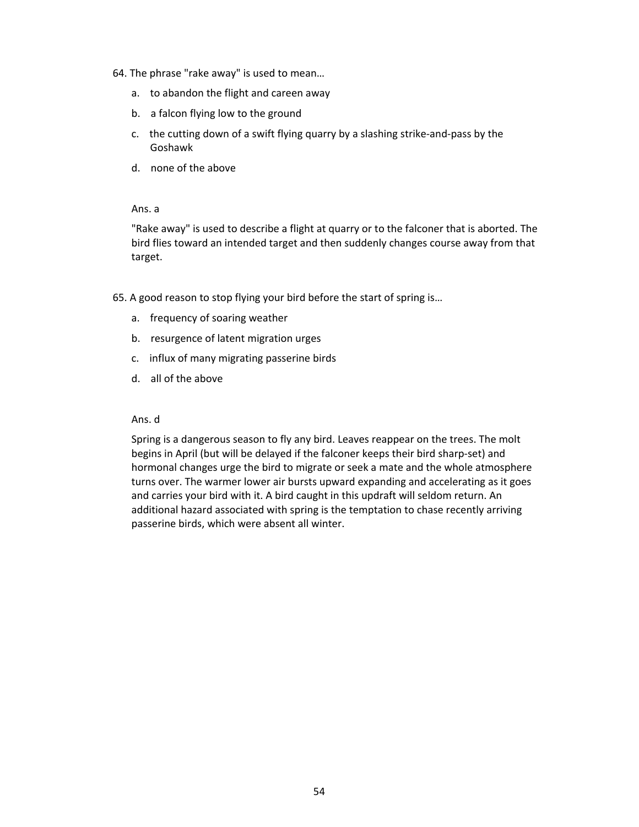- 64. The phrase "rake away" is used to mean…
	- a. to abandon the flight and careen away
	- b. a falcon flying low to the ground
	- c. the cutting down of a swift flying quarry by a slashing strike-and-pass by the Goshawk
	- d. none of the above

## Ans. a

"Rake away" is used to describe a flight at quarry or to the falconer that is aborted. The bird flies toward an intended target and then suddenly changes course away from that target.

- 65. A good reason to stop flying your bird before the start of spring is…
	- a. frequency of soaring weather
	- b. resurgence of latent migration urges
	- c. influx of many migrating passerine birds
	- d. all of the above

#### Ans. d

Spring is a dangerous season to fly any bird. Leaves reappear on the trees. The molt begins in April (but will be delayed if the falconer keeps their bird sharp-set) and hormonal changes urge the bird to migrate or seek a mate and the whole atmosphere turns over. The warmer lower air bursts upward expanding and accelerating as it goes and carries your bird with it. A bird caught in this updraft will seldom return. An additional hazard associated with spring is the temptation to chase recently arriving passerine birds, which were absent all winter.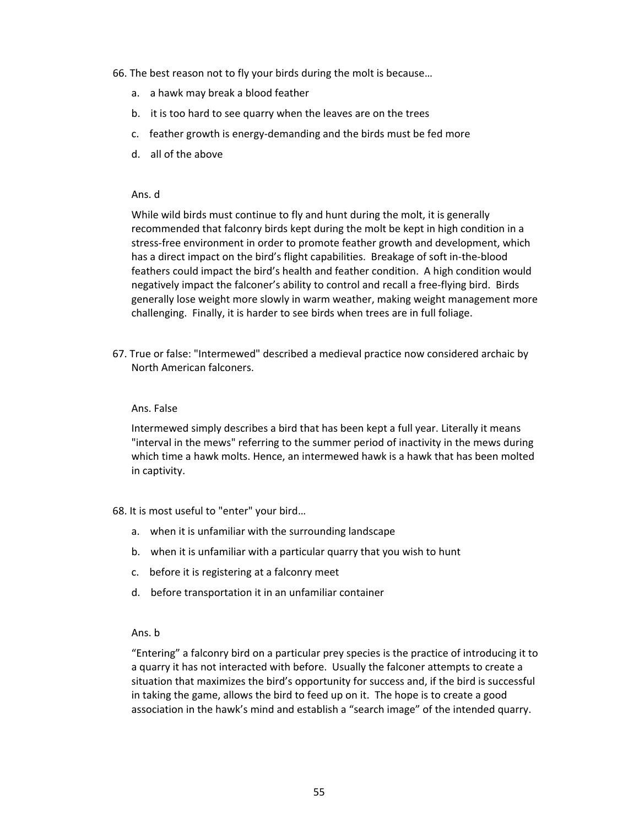- 66. The best reason not to fly your birds during the molt is because…
	- a. a hawk may break a blood feather
	- b. it is too hard to see quarry when the leaves are on the trees
	- c. feather growth is energy-demanding and the birds must be fed more
	- d. all of the above

While wild birds must continue to fly and hunt during the molt, it is generally recommended that falconry birds kept during the molt be kept in high condition in a stress-free environment in order to promote feather growth and development, which has a direct impact on the bird's flight capabilities. Breakage of soft in-the-blood feathers could impact the bird's health and feather condition. A high condition would negatively impact the falconer's ability to control and recall a free-flying bird. Birds generally lose weight more slowly in warm weather, making weight management more challenging. Finally, it is harder to see birds when trees are in full foliage.

67. True or false: "Intermewed" described a medieval practice now considered archaic by North American falconers.

#### Ans. False

Intermewed simply describes a bird that has been kept a full year. Literally it means "interval in the mews" referring to the summer period of inactivity in the mews during which time a hawk molts. Hence, an intermewed hawk is a hawk that has been molted in captivity.

68. It is most useful to "enter" your bird…

- a. when it is unfamiliar with the surrounding landscape
- b. when it is unfamiliar with a particular quarry that you wish to hunt
- c. before it is registering at a falconry meet
- d. before transportation it in an unfamiliar container

#### Ans. b

"Entering" a falconry bird on a particular prey species is the practice of introducing it to a quarry it has not interacted with before. Usually the falconer attempts to create a situation that maximizes the bird's opportunity for success and, if the bird is successful in taking the game, allows the bird to feed up on it. The hope is to create a good association in the hawk's mind and establish a "search image" of the intended quarry.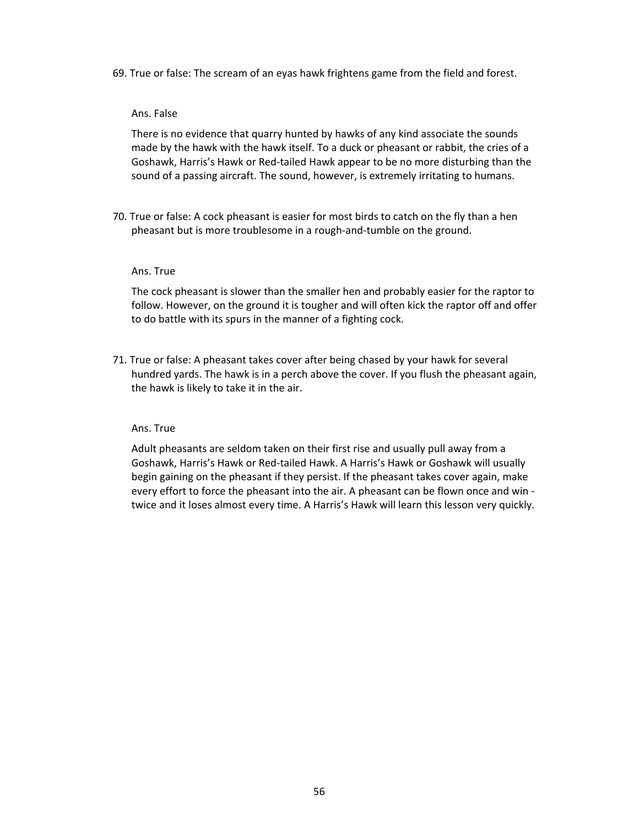69. True or false: The scream of an eyas hawk frightens game from the field and forest.

#### Ans. False

There is no evidence that quarry hunted by hawks of any kind associate the sounds made by the hawk with the hawk itself. To a duck or pheasant or rabbit, the cries of a Goshawk, Harris's Hawk or Red-tailed Hawk appear to be no more disturbing than the sound of a passing aircraft. The sound, however, is extremely irritating to humans.

70. True or false: A cock pheasant is easier for most birds to catch on the fly than a hen pheasant but is more troublesome in a rough-and-tumble on the ground.

#### Ans. True

The cock pheasant is slower than the smaller hen and probably easier for the raptor to follow. However, on the ground it is tougher and will often kick the raptor off and offer to do battle with its spurs in the manner of a fighting cock.

71. True or false: A pheasant takes cover after being chased by your hawk for several hundred yards. The hawk is in a perch above the cover. If you flush the pheasant again, the hawk is likely to take it in the air.

## Ans. True

Adult pheasants are seldom taken on their first rise and usually pull away from a Goshawk, Harris's Hawk or Red-tailed Hawk. A Harris's Hawk or Goshawk will usually begin gaining on the pheasant if they persist. If the pheasant takes cover again, make every effort to force the pheasant into the air. A pheasant can be flown once and win twice and it loses almost every time. A Harris's Hawk will learn this lesson very quickly.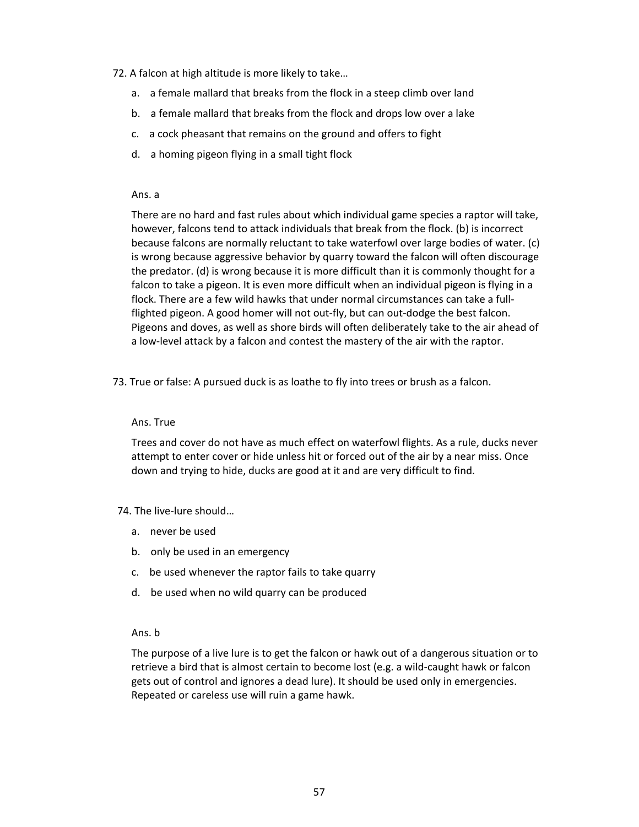- 72. A falcon at high altitude is more likely to take…
	- a. a female mallard that breaks from the flock in a steep climb over land
	- b. a female mallard that breaks from the flock and drops low over a lake
	- c. a cock pheasant that remains on the ground and offers to fight
	- d. a homing pigeon flying in a small tight flock

#### Ans. a

There are no hard and fast rules about which individual game species a raptor will take, however, falcons tend to attack individuals that break from the flock. (b) is incorrect because falcons are normally reluctant to take waterfowl over large bodies of water. (c) is wrong because aggressive behavior by quarry toward the falcon will often discourage the predator. (d) is wrong because it is more difficult than it is commonly thought for a falcon to take a pigeon. It is even more difficult when an individual pigeon is flying in a flock. There are a few wild hawks that under normal circumstances can take a fullflighted pigeon. A good homer will not out-fly, but can out-dodge the best falcon. Pigeons and doves, as well as shore birds will often deliberately take to the air ahead of a low-level attack by a falcon and contest the mastery of the air with the raptor.

73. True or false: A pursued duck is as loathe to fly into trees or brush as a falcon.

#### Ans. True

Trees and cover do not have as much effect on waterfowl flights. As a rule, ducks never attempt to enter cover or hide unless hit or forced out of the air by a near miss. Once down and trying to hide, ducks are good at it and are very difficult to find.

#### 74. The live-lure should…

- a. never be used
- b. only be used in an emergency
- c. be used whenever the raptor fails to take quarry
- d. be used when no wild quarry can be produced

## Ans. b

The purpose of a live lure is to get the falcon or hawk out of a dangerous situation or to retrieve a bird that is almost certain to become lost (e.g. a wild-caught hawk or falcon gets out of control and ignores a dead lure). It should be used only in emergencies. Repeated or careless use will ruin a game hawk.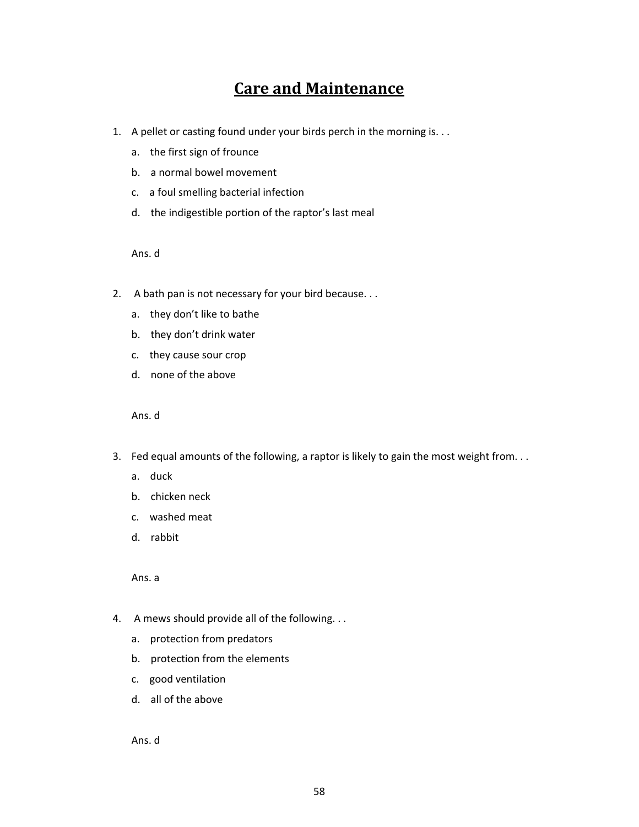## **Care and Maintenance**

- 1. A pellet or casting found under your birds perch in the morning is. . .
	- a. the first sign of frounce
	- b. a normal bowel movement
	- c. a foul smelling bacterial infection
	- d. the indigestible portion of the raptor's last meal

Ans. d

- 2. A bath pan is not necessary for your bird because. . .
	- a. they don't like to bathe
	- b. they don't drink water
	- c. they cause sour crop
	- d. none of the above

Ans. d

- 3. Fed equal amounts of the following, a raptor is likely to gain the most weight from. . .
	- a. duck
	- b. chicken neck
	- c. washed meat
	- d. rabbit

Ans. a

- 4. A mews should provide all of the following. . .
	- a. protection from predators
	- b. protection from the elements
	- c. good ventilation
	- d. all of the above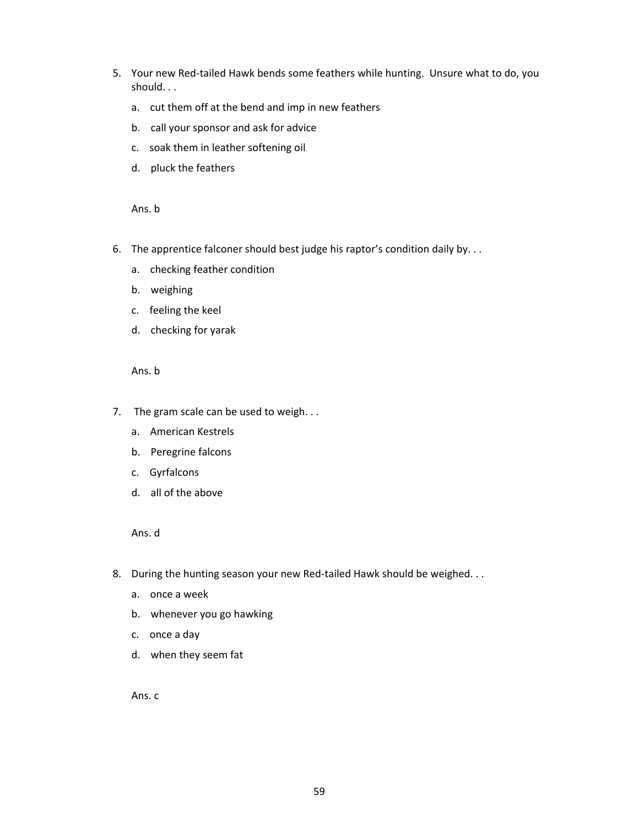- 5. Your new Red-tailed Hawk bends some feathers while hunting. Unsure what to do, you should. . .
	- a. cut them off at the bend and imp in new feathers
	- b. call your sponsor and ask for advice
	- c. soak them in leather softening oil
	- d. pluck the feathers

Ans. b

- 6. The apprentice falconer should best judge his raptor's condition daily by. . .
	- a. checking feather condition
	- b. weighing
	- c. feeling the keel
	- d. checking for yarak

Ans. b

- 7. The gram scale can be used to weigh...
	- a. American Kestrels
	- b. Peregrine falcons
	- c. Gyrfalcons
	- d. all of the above

Ans. d

- 8. During the hunting season your new Red-tailed Hawk should be weighed...
	- a. once a week
	- b. whenever you go hawking
	- c. once a day
	- d. when they seem fat

Ans. c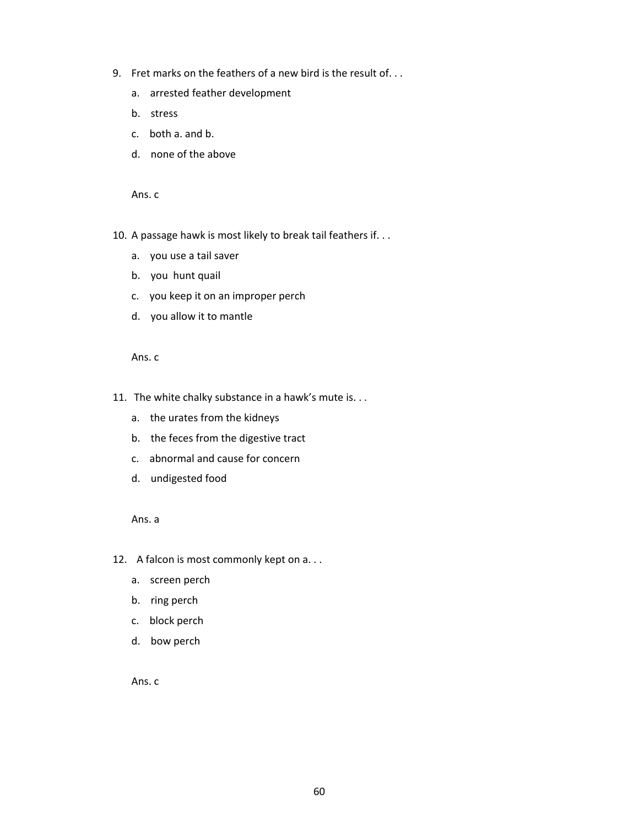- 9. Fret marks on the feathers of a new bird is the result of. . .
	- a. arrested feather development
	- b. stress
	- c. both a. and b.
	- d. none of the above

Ans. c

- 10. A passage hawk is most likely to break tail feathers if. . .
	- a. you use a tail saver
	- b. you hunt quail
	- c. you keep it on an improper perch
	- d. you allow it to mantle

Ans. c

- 11. The white chalky substance in a hawk's mute is. . .
	- a. the urates from the kidneys
	- b. the feces from the digestive tract
	- c. abnormal and cause for concern
	- d. undigested food

Ans. a

- 12. A falcon is most commonly kept on a...
	- a. screen perch
	- b. ring perch
	- c. block perch
	- d. bow perch

Ans. c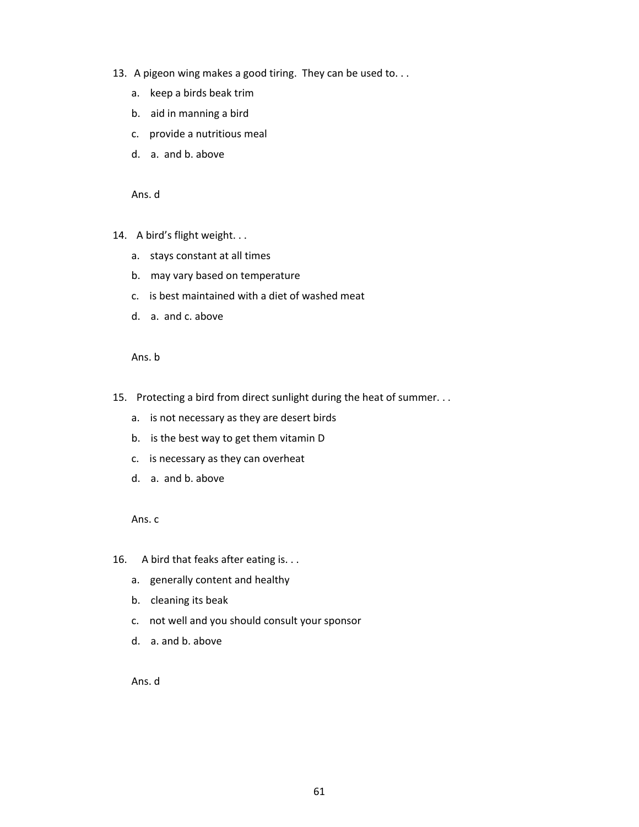- 13. A pigeon wing makes a good tiring. They can be used to. . .
	- a. keep a birds beak trim
	- b. aid in manning a bird
	- c. provide a nutritious meal
	- d. a. and b. above

- 14. A bird's flight weight. . .
	- a. stays constant at all times
	- b. may vary based on temperature
	- c. is best maintained with a diet of washed meat
	- d. a. and c. above

Ans. b

- 15. Protecting a bird from direct sunlight during the heat of summer. . .
	- a. is not necessary as they are desert birds
	- b. is the best way to get them vitamin D
	- c. is necessary as they can overheat
	- d. a. and b. above

Ans. c

- 16. A bird that feaks after eating is. . .
	- a. generally content and healthy
	- b. cleaning its beak
	- c. not well and you should consult your sponsor
	- d. a. and b. above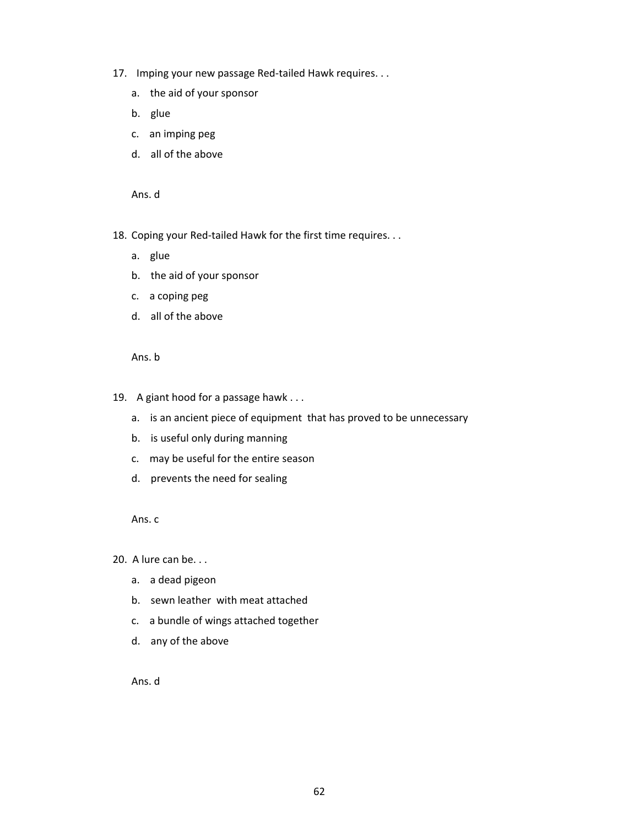- 17. Imping your new passage Red-tailed Hawk requires. . .
	- a. the aid of your sponsor
	- b. glue
	- c. an imping peg
	- d. all of the above

18. Coping your Red-tailed Hawk for the first time requires. . .

- a. glue
- b. the aid of your sponsor
- c. a coping peg
- d. all of the above

Ans. b

- 19. A giant hood for a passage hawk . . .
	- a. is an ancient piece of equipment that has proved to be unnecessary
	- b. is useful only during manning
	- c. may be useful for the entire season
	- d. prevents the need for sealing

Ans. c

20. A lure can be. . .

- a. a dead pigeon
- b. sewn leather with meat attached
- c. a bundle of wings attached together
- d. any of the above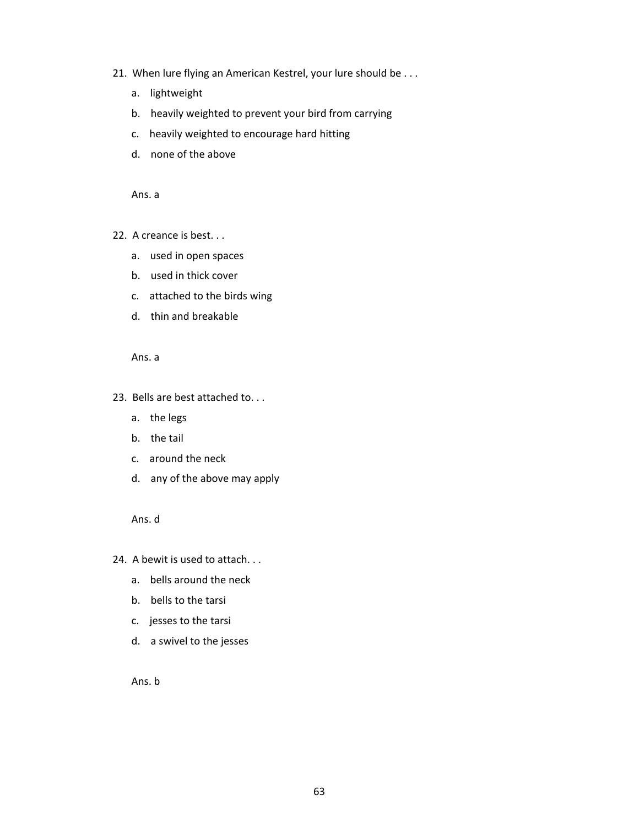- 21. When lure flying an American Kestrel, your lure should be . . .
	- a. lightweight
	- b. heavily weighted to prevent your bird from carrying
	- c. heavily weighted to encourage hard hitting
	- d. none of the above

Ans. a

- 22. A creance is best. . .
	- a. used in open spaces
	- b. used in thick cover
	- c. attached to the birds wing
	- d. thin and breakable

Ans. a

- 23. Bells are best attached to. . .
	- a. the legs
	- b. the tail
	- c. around the neck
	- d. any of the above may apply

Ans. d

- 24. A bewit is used to attach. . .
	- a. bells around the neck
	- b. bells to the tarsi
	- c. jesses to the tarsi
	- d. a swivel to the jesses

Ans. b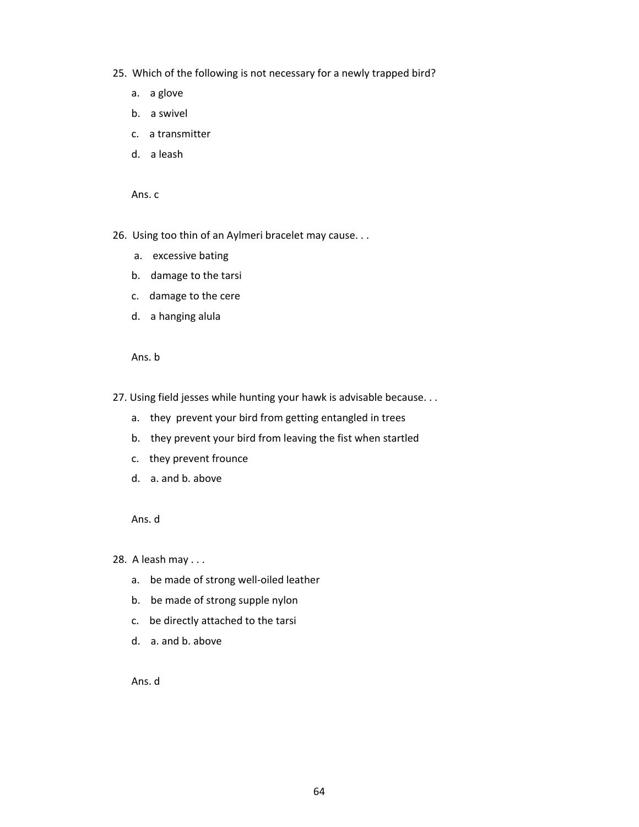- 25. Which of the following is not necessary for a newly trapped bird?
	- a. a glove
	- b. a swivel
	- c. a transmitter
	- d. a leash

Ans. c

- 26. Using too thin of an Aylmeri bracelet may cause. . .
	- a. excessive bating
	- b. damage to the tarsi
	- c. damage to the cere
	- d. a hanging alula

Ans. b

- 27. Using field jesses while hunting your hawk is advisable because. . .
	- a. they prevent your bird from getting entangled in trees
	- b. they prevent your bird from leaving the fist when startled
	- c. they prevent frounce
	- d. a. and b. above

Ans. d

28. A leash may . . .

- a. be made of strong well-oiled leather
- b. be made of strong supple nylon
- c. be directly attached to the tarsi
- d. a. and b. above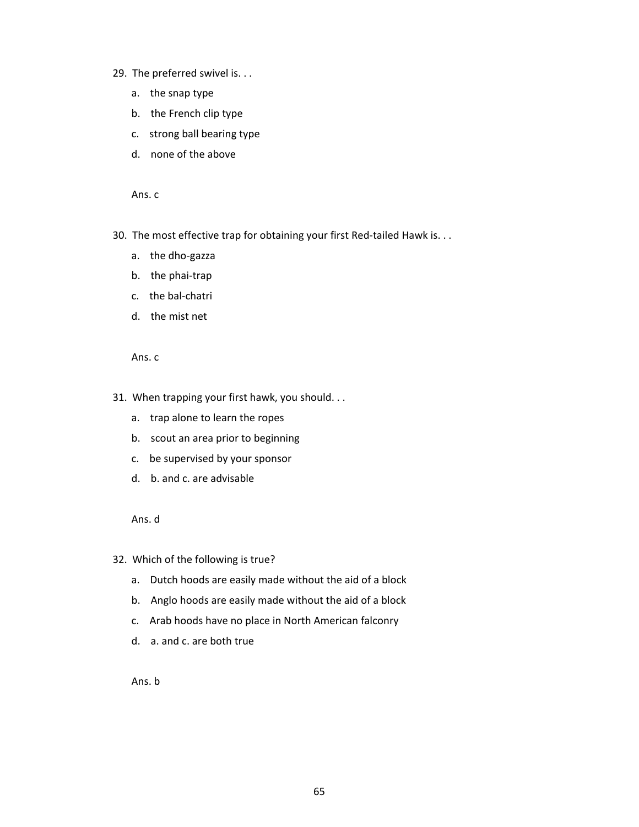- 29. The preferred swivel is. . .
	- a. the snap type
	- b. the French clip type
	- c. strong ball bearing type
	- d. none of the above

Ans. c

- 30. The most effective trap for obtaining your first Red-tailed Hawk is. . .
	- a. the dho-gazza
	- b. the phai-trap
	- c. the bal-chatri
	- d. the mist net

Ans. c

- 31. When trapping your first hawk, you should. . .
	- a. trap alone to learn the ropes
	- b. scout an area prior to beginning
	- c. be supervised by your sponsor
	- d. b. and c. are advisable

Ans. d

- 32. Which of the following is true?
	- a. Dutch hoods are easily made without the aid of a block
	- b. Anglo hoods are easily made without the aid of a block
	- c. Arab hoods have no place in North American falconry
	- d. a. and c. are both true

Ans. b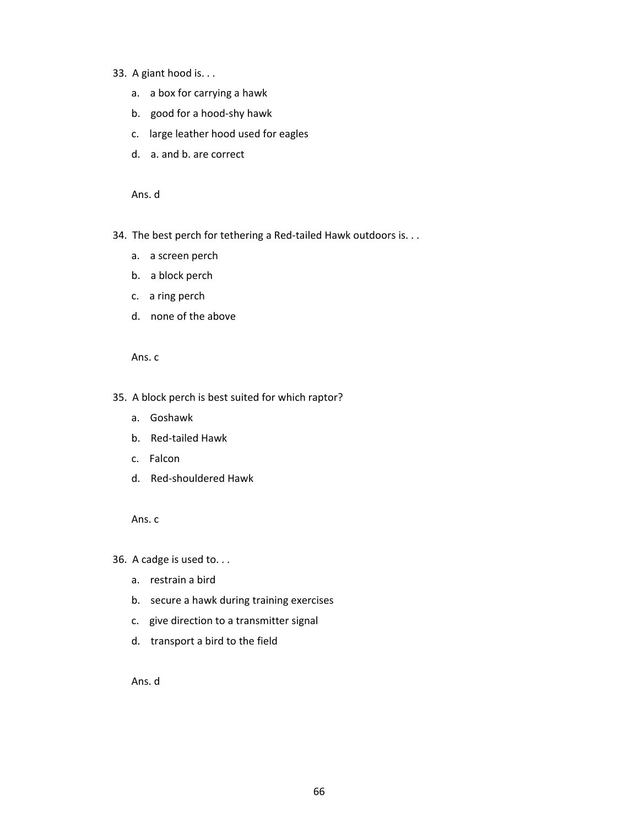- 33. A giant hood is. . .
	- a. a box for carrying a hawk
	- b. good for a hood-shy hawk
	- c. large leather hood used for eagles
	- d. a. and b. are correct

- 34. The best perch for tethering a Red-tailed Hawk outdoors is. . .
	- a. a screen perch
	- b. a block perch
	- c. a ring perch
	- d. none of the above

Ans. c

## 35. A block perch is best suited for which raptor?

- a. Goshawk
- b. Red-tailed Hawk
- c. Falcon
- d. Red-shouldered Hawk

Ans. c

36. A cadge is used to. . .

- a. restrain a bird
- b. secure a hawk during training exercises
- c. give direction to a transmitter signal
- d. transport a bird to the field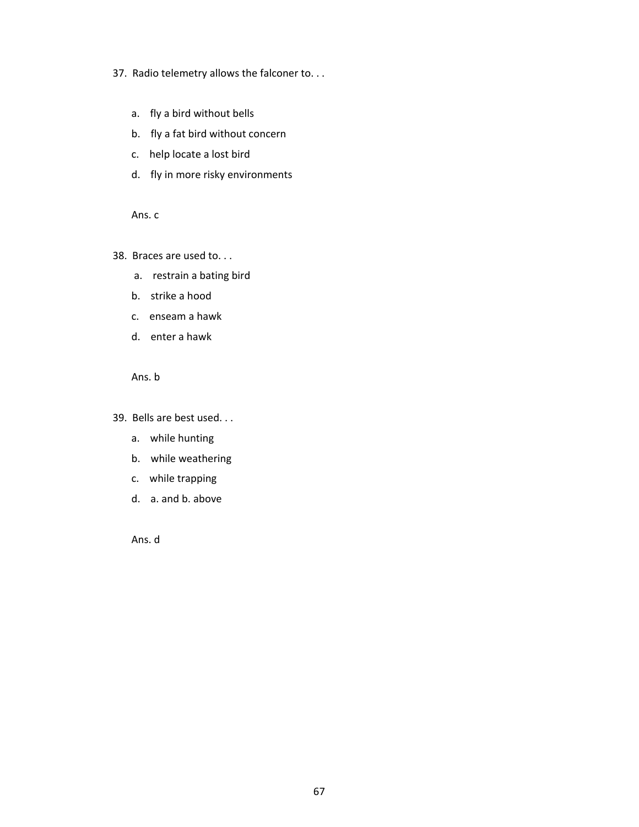## 37. Radio telemetry allows the falconer to. . .

- a. fly a bird without bells
- b. fly a fat bird without concern
- c. help locate a lost bird
- d. fly in more risky environments

Ans. c

38. Braces are used to. . .

- a. restrain a bating bird
- b. strike a hood
- c. enseam a hawk
- d. enter a hawk

Ans. b

39. Bells are best used. . .

- a. while hunting
- b. while weathering
- c. while trapping
- d. a. and b. above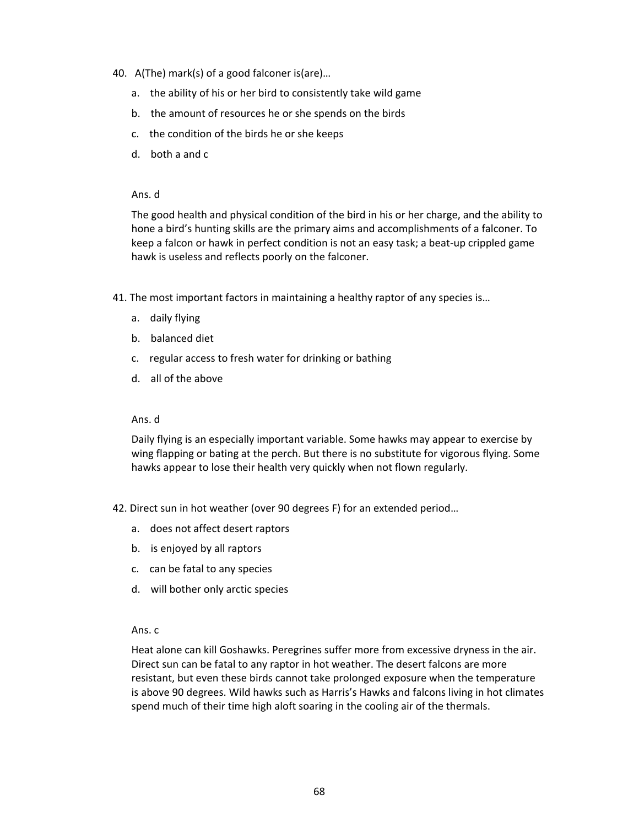- 40. A(The) mark(s) of a good falconer is(are)…
	- a. the ability of his or her bird to consistently take wild game
	- b. the amount of resources he or she spends on the birds
	- c. the condition of the birds he or she keeps
	- d. both a and c

The good health and physical condition of the bird in his or her charge, and the ability to hone a bird's hunting skills are the primary aims and accomplishments of a falconer. To keep a falcon or hawk in perfect condition is not an easy task; a beat-up crippled game hawk is useless and reflects poorly on the falconer.

- 41. The most important factors in maintaining a healthy raptor of any species is…
	- a. daily flying
	- b. balanced diet
	- c. regular access to fresh water for drinking or bathing
	- d. all of the above

#### Ans. d

Daily flying is an especially important variable. Some hawks may appear to exercise by wing flapping or bating at the perch. But there is no substitute for vigorous flying. Some hawks appear to lose their health very quickly when not flown regularly.

- 42. Direct sun in hot weather (over 90 degrees F) for an extended period…
	- a. does not affect desert raptors
	- b. is enjoyed by all raptors
	- c. can be fatal to any species
	- d. will bother only arctic species

#### Ans. c

Heat alone can kill Goshawks. Peregrines suffer more from excessive dryness in the air. Direct sun can be fatal to any raptor in hot weather. The desert falcons are more resistant, but even these birds cannot take prolonged exposure when the temperature is above 90 degrees. Wild hawks such as Harris's Hawks and falcons living in hot climates spend much of their time high aloft soaring in the cooling air of the thermals.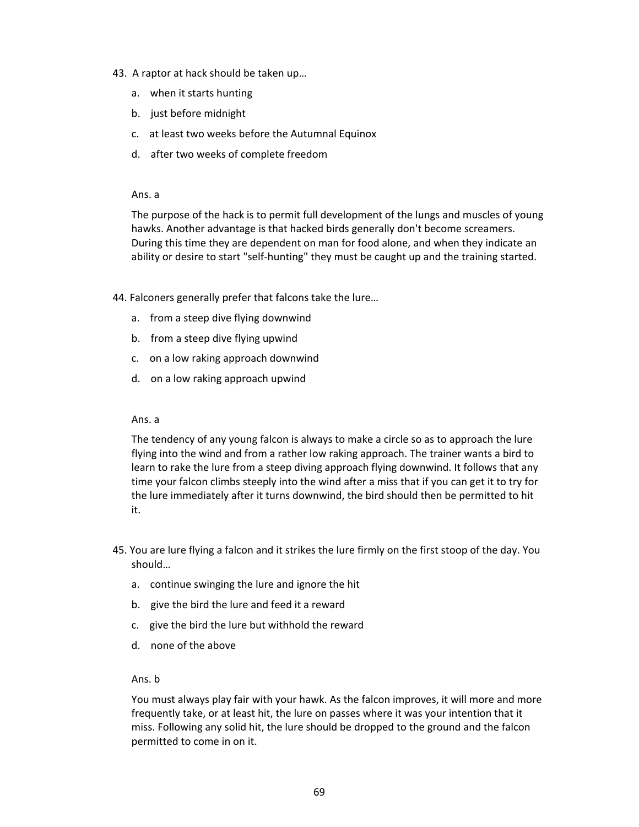- 43. A raptor at hack should be taken up…
	- a. when it starts hunting
	- b. just before midnight
	- c. at least two weeks before the Autumnal Equinox
	- d. after two weeks of complete freedom

#### Ans. a

The purpose of the hack is to permit full development of the lungs and muscles of young hawks. Another advantage is that hacked birds generally don't become screamers. During this time they are dependent on man for food alone, and when they indicate an ability or desire to start "self-hunting" they must be caught up and the training started.

44. Falconers generally prefer that falcons take the lure…

- a. from a steep dive flying downwind
- b. from a steep dive flying upwind
- c. on a low raking approach downwind
- d. on a low raking approach upwind

#### Ans. a

The tendency of any young falcon is always to make a circle so as to approach the lure flying into the wind and from a rather low raking approach. The trainer wants a bird to learn to rake the lure from a steep diving approach flying downwind. It follows that any time your falcon climbs steeply into the wind after a miss that if you can get it to try for the lure immediately after it turns downwind, the bird should then be permitted to hit it.

- 45. You are lure flying a falcon and it strikes the lure firmly on the first stoop of the day. You should…
	- a. continue swinging the lure and ignore the hit
	- b. give the bird the lure and feed it a reward
	- c. give the bird the lure but withhold the reward
	- d. none of the above

#### Ans. b

You must always play fair with your hawk. As the falcon improves, it will more and more frequently take, or at least hit, the lure on passes where it was your intention that it miss. Following any solid hit, the lure should be dropped to the ground and the falcon permitted to come in on it.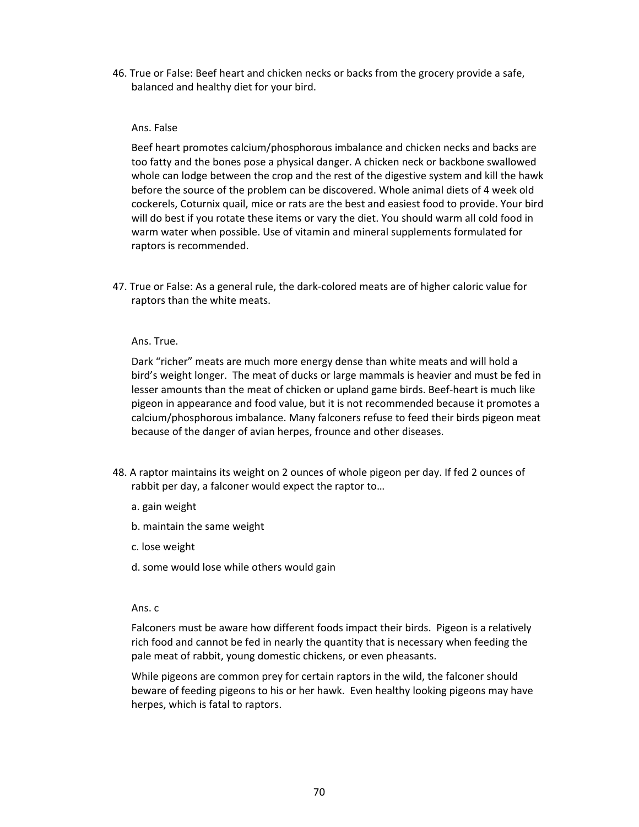46. True or False: Beef heart and chicken necks or backs from the grocery provide a safe, balanced and healthy diet for your bird.

#### Ans. False

Beef heart promotes calcium/phosphorous imbalance and chicken necks and backs are too fatty and the bones pose a physical danger. A chicken neck or backbone swallowed whole can lodge between the crop and the rest of the digestive system and kill the hawk before the source of the problem can be discovered. Whole animal diets of 4 week old cockerels, Coturnix quail, mice or rats are the best and easiest food to provide. Your bird will do best if you rotate these items or vary the diet. You should warm all cold food in warm water when possible. Use of vitamin and mineral supplements formulated for raptors is recommended.

47. True or False: As a general rule, the dark-colored meats are of higher caloric value for raptors than the white meats.

## Ans. True.

Dark "richer" meats are much more energy dense than white meats and will hold a bird's weight longer. The meat of ducks or large mammals is heavier and must be fed in lesser amounts than the meat of chicken or upland game birds. Beef-heart is much like pigeon in appearance and food value, but it is not recommended because it promotes a calcium/phosphorous imbalance. Many falconers refuse to feed their birds pigeon meat because of the danger of avian herpes, frounce and other diseases.

- 48. A raptor maintains its weight on 2 ounces of whole pigeon per day. If fed 2 ounces of rabbit per day, a falconer would expect the raptor to…
	- a. gain weight
	- b. maintain the same weight
	- c. lose weight
	- d. some would lose while others would gain

#### Ans. c

Falconers must be aware how different foods impact their birds. Pigeon is a relatively rich food and cannot be fed in nearly the quantity that is necessary when feeding the pale meat of rabbit, young domestic chickens, or even pheasants.

While pigeons are common prey for certain raptors in the wild, the falconer should beware of feeding pigeons to his or her hawk. Even healthy looking pigeons may have herpes, which is fatal to raptors.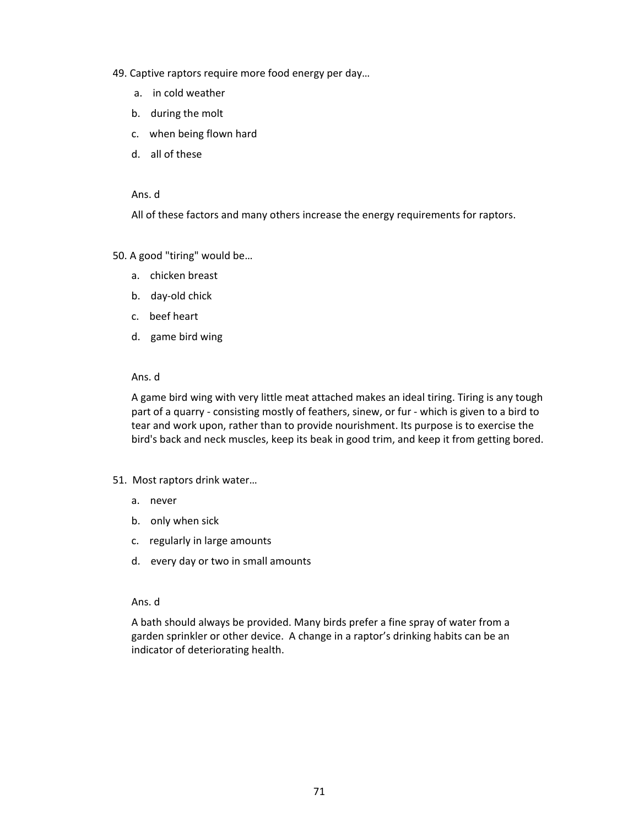- 49. Captive raptors require more food energy per day…
	- a. in cold weather
	- b. during the molt
	- c. when being flown hard
	- d. all of these

All of these factors and many others increase the energy requirements for raptors.

50. A good "tiring" would be…

- a. chicken breast
- b. day-old chick
- c. beef heart
- d. game bird wing

## Ans. d

A game bird wing with very little meat attached makes an ideal tiring. Tiring is any tough part of a quarry - consisting mostly of feathers, sinew, or fur - which is given to a bird to tear and work upon, rather than to provide nourishment. Its purpose is to exercise the bird's back and neck muscles, keep its beak in good trim, and keep it from getting bored.

- 51. Most raptors drink water…
	- a. never
	- b. only when sick
	- c. regularly in large amounts
	- d. every day or two in small amounts

## Ans. d

A bath should always be provided. Many birds prefer a fine spray of water from a garden sprinkler or other device. A change in a raptor's drinking habits can be an indicator of deteriorating health.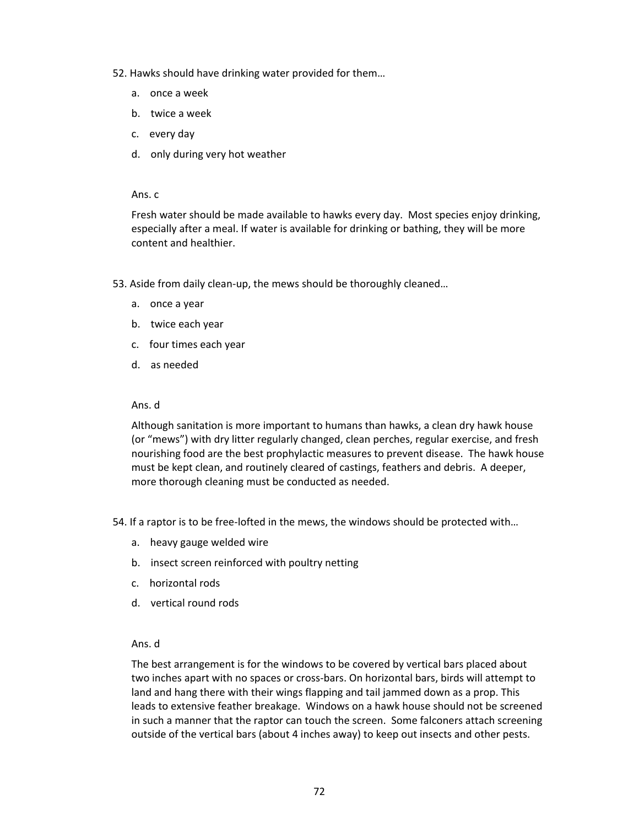- 52. Hawks should have drinking water provided for them…
	- a. once a week
	- b. twice a week
	- c. every day
	- d. only during very hot weather

Fresh water should be made available to hawks every day. Most species enjoy drinking, especially after a meal. If water is available for drinking or bathing, they will be more content and healthier.

- 53. Aside from daily clean-up, the mews should be thoroughly cleaned…
	- a. once a year
	- b. twice each year
	- c. four times each year
	- d. as needed

#### Ans. d

Although sanitation is more important to humans than hawks, a clean dry hawk house (or "mews") with dry litter regularly changed, clean perches, regular exercise, and fresh nourishing food are the best prophylactic measures to prevent disease. The hawk house must be kept clean, and routinely cleared of castings, feathers and debris. A deeper, more thorough cleaning must be conducted as needed.

54. If a raptor is to be free-lofted in the mews, the windows should be protected with…

- a. heavy gauge welded wire
- b. insect screen reinforced with poultry netting
- c. horizontal rods
- d. vertical round rods

# Ans. d

The best arrangement is for the windows to be covered by vertical bars placed about two inches apart with no spaces or cross-bars. On horizontal bars, birds will attempt to land and hang there with their wings flapping and tail jammed down as a prop. This leads to extensive feather breakage. Windows on a hawk house should not be screened in such a manner that the raptor can touch the screen. Some falconers attach screening outside of the vertical bars (about 4 inches away) to keep out insects and other pests.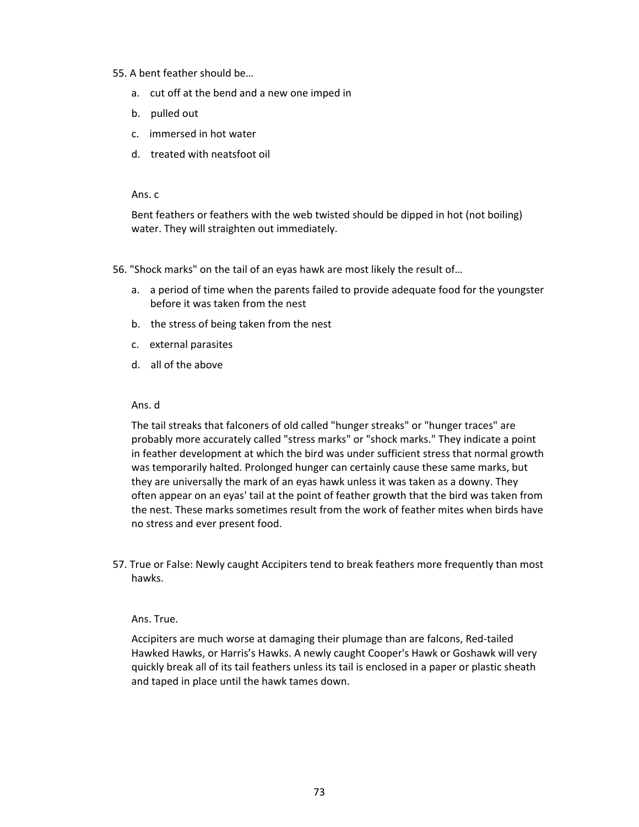#### 55. A bent feather should be…

- a. cut off at the bend and a new one imped in
- b. pulled out
- c. immersed in hot water
- d. treated with neatsfoot oil

Ans. c

Bent feathers or feathers with the web twisted should be dipped in hot (not boiling) water. They will straighten out immediately.

- 56. "Shock marks" on the tail of an eyas hawk are most likely the result of…
	- a. a period of time when the parents failed to provide adequate food for the youngster before it was taken from the nest
	- b. the stress of being taken from the nest
	- c. external parasites
	- d. all of the above

#### Ans. d

The tail streaks that falconers of old called "hunger streaks" or "hunger traces" are probably more accurately called "stress marks" or "shock marks." They indicate a point in feather development at which the bird was under sufficient stress that normal growth was temporarily halted. Prolonged hunger can certainly cause these same marks, but they are universally the mark of an eyas hawk unless it was taken as a downy. They often appear on an eyas' tail at the point of feather growth that the bird was taken from the nest. These marks sometimes result from the work of feather mites when birds have no stress and ever present food.

57. True or False: Newly caught Accipiters tend to break feathers more frequently than most hawks.

#### Ans. True.

Accipiters are much worse at damaging their plumage than are falcons, Red-tailed Hawked Hawks, or Harris's Hawks. A newly caught Cooper's Hawk or Goshawk will very quickly break all of its tail feathers unless its tail is enclosed in a paper or plastic sheath and taped in place until the hawk tames down.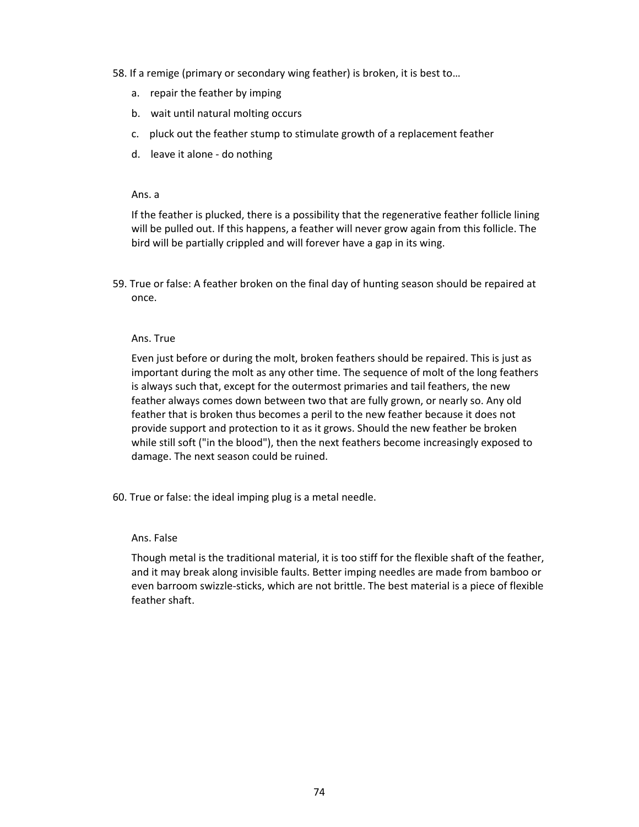58. If a remige (primary or secondary wing feather) is broken, it is best to…

- a. repair the feather by imping
- b. wait until natural molting occurs
- c. pluck out the feather stump to stimulate growth of a replacement feather
- d. leave it alone do nothing

Ans. a

If the feather is plucked, there is a possibility that the regenerative feather follicle lining will be pulled out. If this happens, a feather will never grow again from this follicle. The bird will be partially crippled and will forever have a gap in its wing.

59. True or false: A feather broken on the final day of hunting season should be repaired at once.

#### Ans. True

Even just before or during the molt, broken feathers should be repaired. This is just as important during the molt as any other time. The sequence of molt of the long feathers is always such that, except for the outermost primaries and tail feathers, the new feather always comes down between two that are fully grown, or nearly so. Any old feather that is broken thus becomes a peril to the new feather because it does not provide support and protection to it as it grows. Should the new feather be broken while still soft ("in the blood"), then the next feathers become increasingly exposed to damage. The next season could be ruined.

60. True or false: the ideal imping plug is a metal needle.

#### Ans. False

Though metal is the traditional material, it is too stiff for the flexible shaft of the feather, and it may break along invisible faults. Better imping needles are made from bamboo or even barroom swizzle-sticks, which are not brittle. The best material is a piece of flexible feather shaft.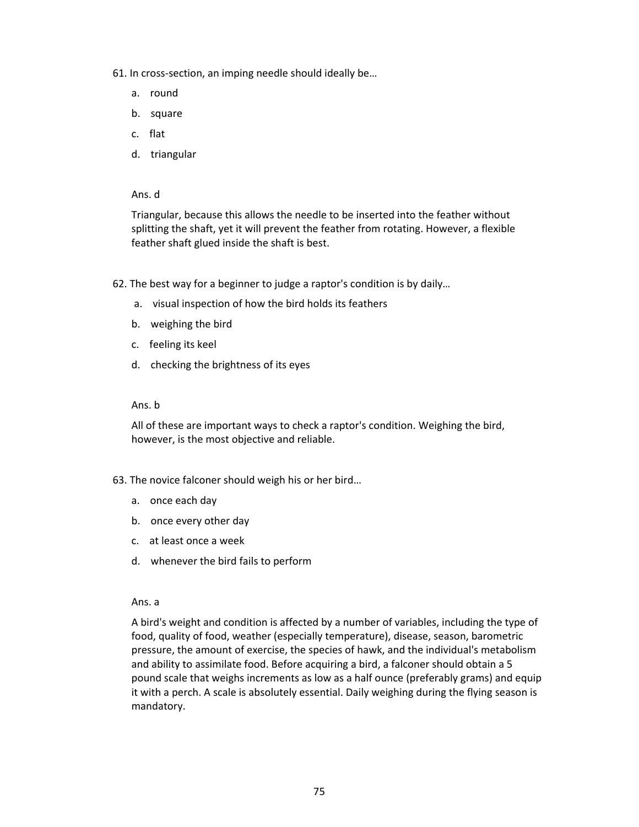- 61. In cross-section, an imping needle should ideally be…
	- a. round
	- b. square
	- c. flat
	- d. triangular

Ans. d

Triangular, because this allows the needle to be inserted into the feather without splitting the shaft, yet it will prevent the feather from rotating. However, a flexible feather shaft glued inside the shaft is best.

- 62. The best way for a beginner to judge a raptor's condition is by daily…
	- a. visual inspection of how the bird holds its feathers
	- b. weighing the bird
	- c. feeling its keel
	- d. checking the brightness of its eyes

#### Ans. b

All of these are important ways to check a raptor's condition. Weighing the bird, however, is the most objective and reliable.

- 63. The novice falconer should weigh his or her bird…
	- a. once each day
	- b. once every other day
	- c. at least once a week
	- d. whenever the bird fails to perform

#### Ans. a

A bird's weight and condition is affected by a number of variables, including the type of food, quality of food, weather (especially temperature), disease, season, barometric pressure, the amount of exercise, the species of hawk, and the individual's metabolism and ability to assimilate food. Before acquiring a bird, a falconer should obtain a 5 pound scale that weighs increments as low as a half ounce (preferably grams) and equip it with a perch. A scale is absolutely essential. Daily weighing during the flying season is mandatory.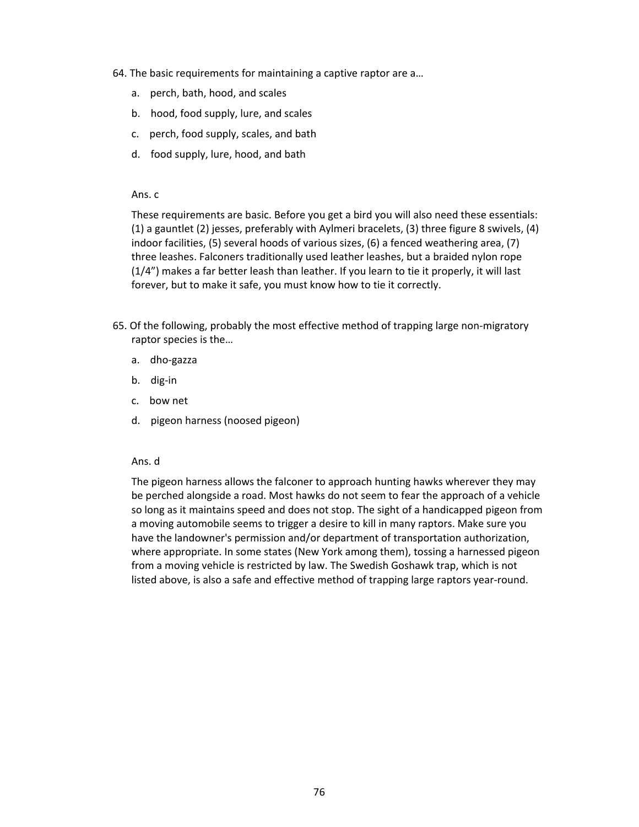- 64. The basic requirements for maintaining a captive raptor are a…
	- a. perch, bath, hood, and scales
	- b. hood, food supply, lure, and scales
	- c. perch, food supply, scales, and bath
	- d. food supply, lure, hood, and bath

These requirements are basic. Before you get a bird you will also need these essentials: (1) a gauntlet (2) jesses, preferably with Aylmeri bracelets, (3) three figure 8 swivels, (4) indoor facilities, (5) several hoods of various sizes, (6) a fenced weathering area, (7) three leashes. Falconers traditionally used leather leashes, but a braided nylon rope (1/4") makes a far better leash than leather. If you learn to tie it properly, it will last forever, but to make it safe, you must know how to tie it correctly.

- 65. Of the following, probably the most effective method of trapping large non-migratory raptor species is the…
	- a. dho-gazza
	- b. dig-in
	- c. bow net
	- d. pigeon harness (noosed pigeon)

# Ans. d

The pigeon harness allows the falconer to approach hunting hawks wherever they may be perched alongside a road. Most hawks do not seem to fear the approach of a vehicle so long as it maintains speed and does not stop. The sight of a handicapped pigeon from a moving automobile seems to trigger a desire to kill in many raptors. Make sure you have the landowner's permission and/or department of transportation authorization, where appropriate. In some states (New York among them), tossing a harnessed pigeon from a moving vehicle is restricted by law. The Swedish Goshawk trap, which is not listed above, is also a safe and effective method of trapping large raptors year-round.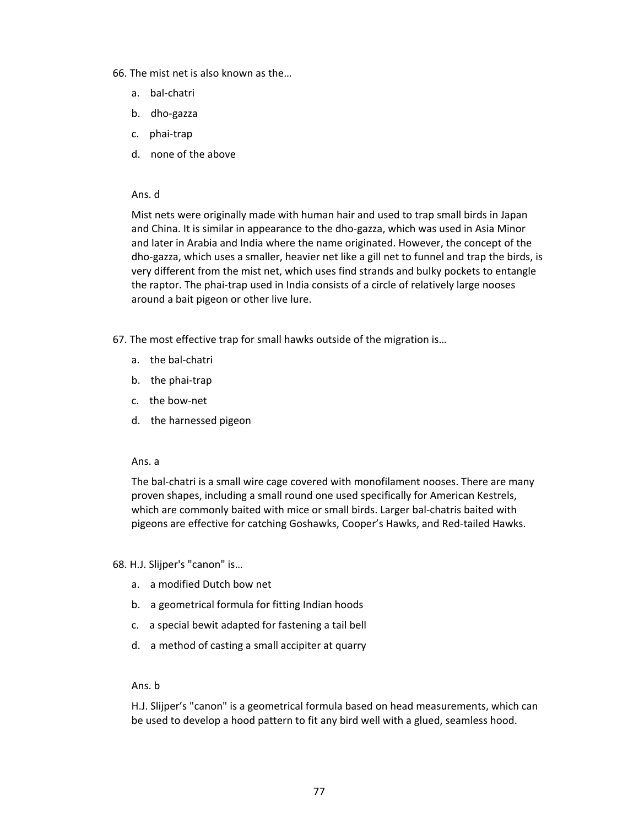- 66. The mist net is also known as the…
	- a. bal-chatri
	- b. dho-gazza
	- c. phai-trap
	- d. none of the above

#### Ans. d

Mist nets were originally made with human hair and used to trap small birds in Japan and China. It is similar in appearance to the dho-gazza, which was used in Asia Minor and later in Arabia and India where the name originated. However, the concept of the dho-gazza, which uses a smaller, heavier net like a gill net to funnel and trap the birds, is very different from the mist net, which uses find strands and bulky pockets to entangle the raptor. The phai-trap used in India consists of a circle of relatively large nooses around a bait pigeon or other live lure.

- 67. The most effective trap for small hawks outside of the migration is…
	- a. the bal-chatri
	- b. the phai-trap
	- c. the bow-net
	- d. the harnessed pigeon

#### Ans. a

The bal-chatri is a small wire cage covered with monofilament nooses. There are many proven shapes, including a small round one used specifically for American Kestrels, which are commonly baited with mice or small birds. Larger bal-chatris baited with pigeons are effective for catching Goshawks, Cooper's Hawks, and Red-tailed Hawks.

68. H.J. Slijper's "canon" is…

- a. a modified Dutch bow net
- b. a geometrical formula for fitting Indian hoods
- c. a special bewit adapted for fastening a tail bell
- d. a method of casting a small accipiter at quarry

#### Ans. b

H.J. Slijper's "canon" is a geometrical formula based on head measurements, which can be used to develop a hood pattern to fit any bird well with a glued, seamless hood.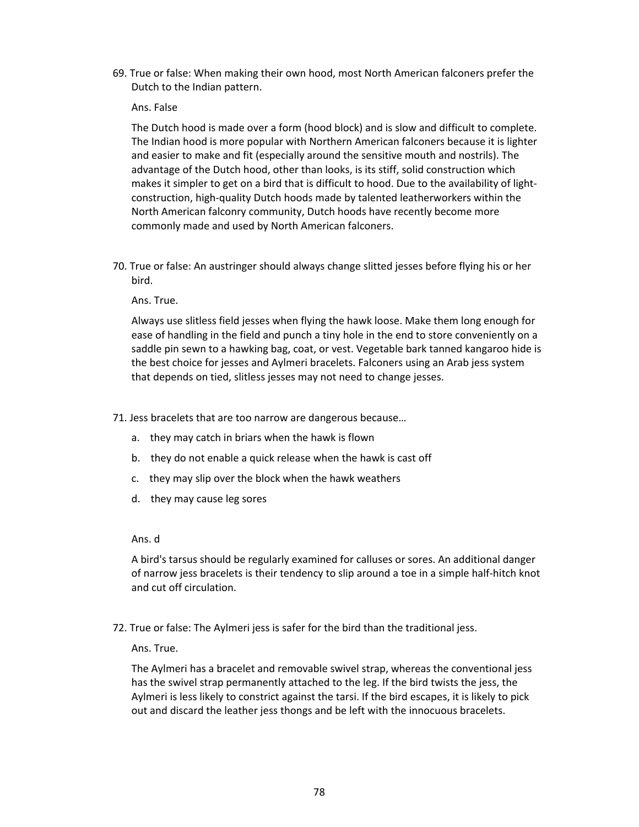69. True or false: When making their own hood, most North American falconers prefer the Dutch to the Indian pattern.

#### Ans. False

The Dutch hood is made over a form (hood block) and is slow and difficult to complete. The Indian hood is more popular with Northern American falconers because it is lighter and easier to make and fit (especially around the sensitive mouth and nostrils). The advantage of the Dutch hood, other than looks, is its stiff, solid construction which makes it simpler to get on a bird that is difficult to hood. Due to the availability of lightconstruction, high-quality Dutch hoods made by talented leatherworkers within the North American falconry community, Dutch hoods have recently become more commonly made and used by North American falconers.

70. True or false: An austringer should always change slitted jesses before flying his or her bird.

#### Ans. True.

Always use slitless field jesses when flying the hawk loose. Make them long enough for ease of handling in the field and punch a tiny hole in the end to store conveniently on a saddle pin sewn to a hawking bag, coat, or vest. Vegetable bark tanned kangaroo hide is the best choice for jesses and Aylmeri bracelets. Falconers using an Arab jess system that depends on tied, slitless jesses may not need to change jesses.

71. Jess bracelets that are too narrow are dangerous because…

- a. they may catch in briars when the hawk is flown
- b. they do not enable a quick release when the hawk is cast off
- c. they may slip over the block when the hawk weathers
- d. they may cause leg sores

#### Ans. d

A bird's tarsus should be regularly examined for calluses or sores. An additional danger of narrow jess bracelets is their tendency to slip around a toe in a simple half-hitch knot and cut off circulation.

72. True or false: The Aylmeri jess is safer for the bird than the traditional jess.

Ans. True.

The Aylmeri has a bracelet and removable swivel strap, whereas the conventional jess has the swivel strap permanently attached to the leg. If the bird twists the jess, the Aylmeri is less likely to constrict against the tarsi. If the bird escapes, it is likely to pick out and discard the leather jess thongs and be left with the innocuous bracelets.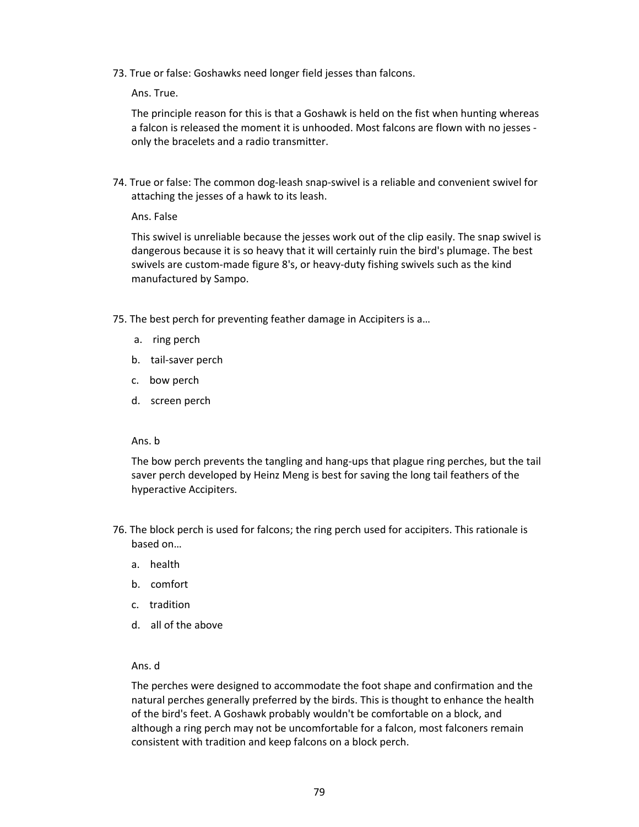73. True or false: Goshawks need longer field jesses than falcons.

Ans. True.

The principle reason for this is that a Goshawk is held on the fist when hunting whereas a falcon is released the moment it is unhooded. Most falcons are flown with no jesses only the bracelets and a radio transmitter.

74. True or false: The common dog-leash snap-swivel is a reliable and convenient swivel for attaching the jesses of a hawk to its leash.

Ans. False

This swivel is unreliable because the jesses work out of the clip easily. The snap swivel is dangerous because it is so heavy that it will certainly ruin the bird's plumage. The best swivels are custom-made figure 8's, or heavy-duty fishing swivels such as the kind manufactured by Sampo.

- 75. The best perch for preventing feather damage in Accipiters is a…
	- a. ring perch
	- b. tail-saver perch
	- c. bow perch
	- d. screen perch

#### Ans. b

The bow perch prevents the tangling and hang-ups that plague ring perches, but the tail saver perch developed by Heinz Meng is best for saving the long tail feathers of the hyperactive Accipiters.

- 76. The block perch is used for falcons; the ring perch used for accipiters. This rationale is based on…
	- a. health
	- b. comfort
	- c. tradition
	- d. all of the above

# Ans. d

The perches were designed to accommodate the foot shape and confirmation and the natural perches generally preferred by the birds. This is thought to enhance the health of the bird's feet. A Goshawk probably wouldn't be comfortable on a block, and although a ring perch may not be uncomfortable for a falcon, most falconers remain consistent with tradition and keep falcons on a block perch.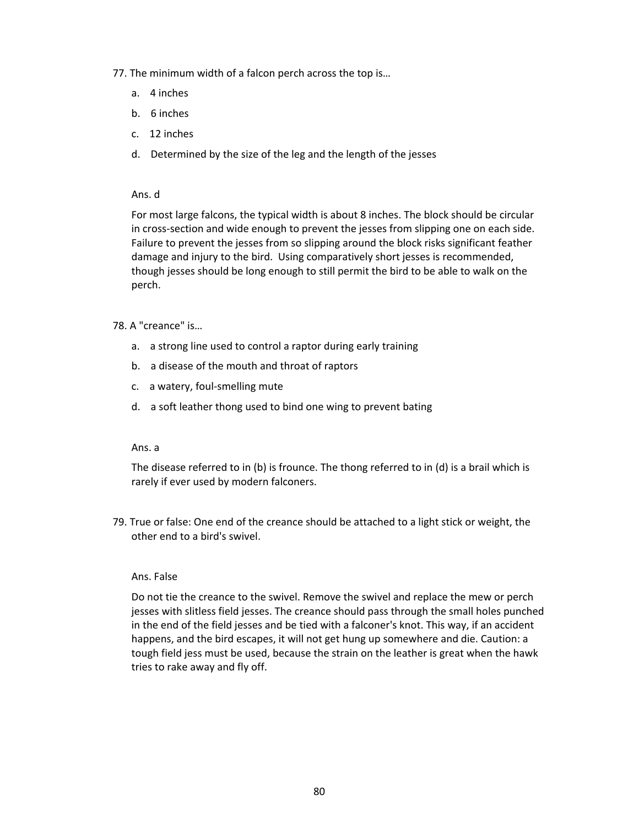- 77. The minimum width of a falcon perch across the top is…
	- a. 4 inches
	- b. 6 inches
	- c. 12 inches
	- d. Determined by the size of the leg and the length of the jesses

#### Ans. d

For most large falcons, the typical width is about 8 inches. The block should be circular in cross-section and wide enough to prevent the jesses from slipping one on each side. Failure to prevent the jesses from so slipping around the block risks significant feather damage and injury to the bird. Using comparatively short jesses is recommended, though jesses should be long enough to still permit the bird to be able to walk on the perch.

#### 78. A "creance" is…

- a. a strong line used to control a raptor during early training
- b. a disease of the mouth and throat of raptors
- c. a watery, foul-smelling mute
- d. a soft leather thong used to bind one wing to prevent bating

#### Ans. a

The disease referred to in (b) is frounce. The thong referred to in (d) is a brail which is rarely if ever used by modern falconers.

79. True or false: One end of the creance should be attached to a light stick or weight, the other end to a bird's swivel.

#### Ans. False

Do not tie the creance to the swivel. Remove the swivel and replace the mew or perch jesses with slitless field jesses. The creance should pass through the small holes punched in the end of the field jesses and be tied with a falconer's knot. This way, if an accident happens, and the bird escapes, it will not get hung up somewhere and die. Caution: a tough field jess must be used, because the strain on the leather is great when the hawk tries to rake away and fly off.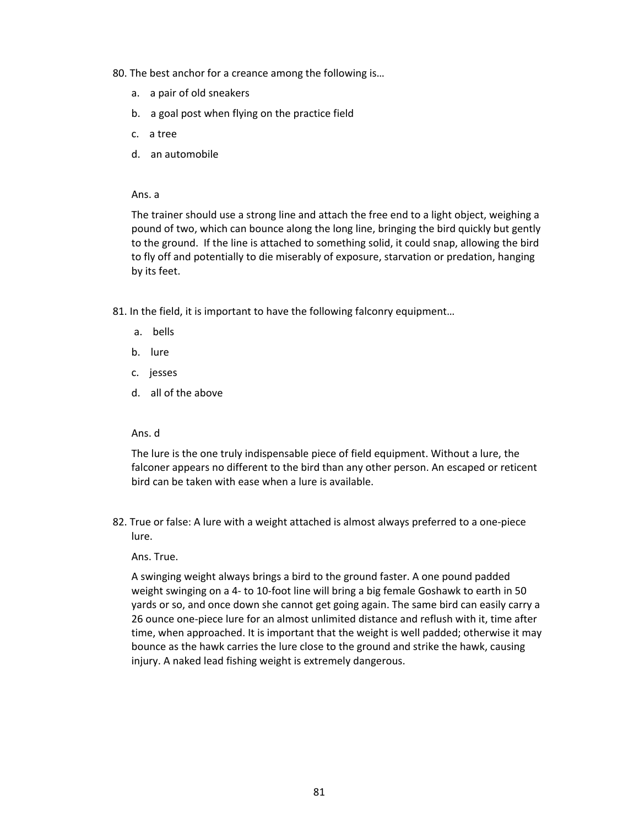80. The best anchor for a creance among the following is…

- a. a pair of old sneakers
- b. a goal post when flying on the practice field
- c. a tree
- d. an automobile

Ans. a

The trainer should use a strong line and attach the free end to a light object, weighing a pound of two, which can bounce along the long line, bringing the bird quickly but gently to the ground. If the line is attached to something solid, it could snap, allowing the bird to fly off and potentially to die miserably of exposure, starvation or predation, hanging by its feet.

81. In the field, it is important to have the following falconry equipment…

- a. bells
- b. lure
- c. jesses
- d. all of the above

#### Ans. d

The lure is the one truly indispensable piece of field equipment. Without a lure, the falconer appears no different to the bird than any other person. An escaped or reticent bird can be taken with ease when a lure is available.

82. True or false: A lure with a weight attached is almost always preferred to a one-piece lure.

Ans. True.

A swinging weight always brings a bird to the ground faster. A one pound padded weight swinging on a 4- to 10-foot line will bring a big female Goshawk to earth in 50 yards or so, and once down she cannot get going again. The same bird can easily carry a 26 ounce one-piece lure for an almost unlimited distance and reflush with it, time after time, when approached. It is important that the weight is well padded; otherwise it may bounce as the hawk carries the lure close to the ground and strike the hawk, causing injury. A naked lead fishing weight is extremely dangerous.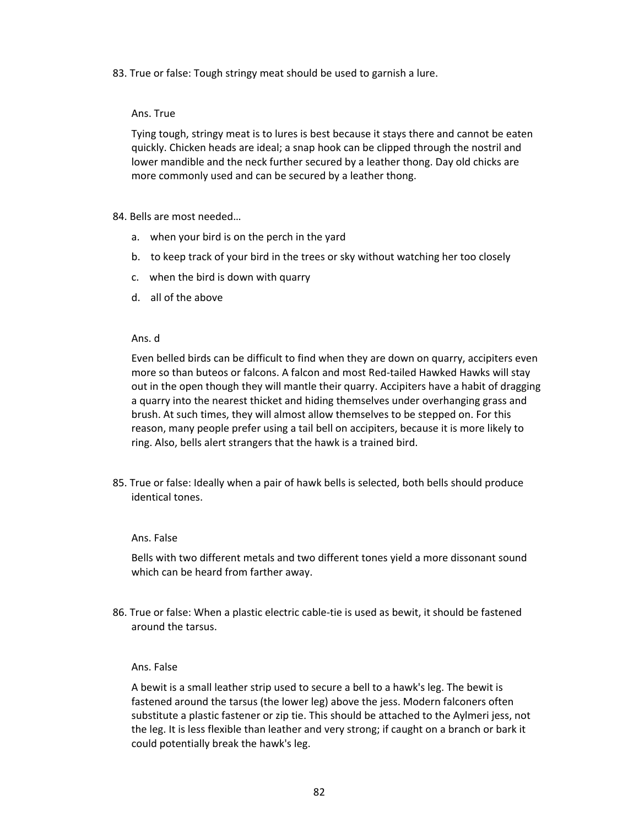83. True or false: Tough stringy meat should be used to garnish a lure.

# Ans. True

Tying tough, stringy meat is to lures is best because it stays there and cannot be eaten quickly. Chicken heads are ideal; a snap hook can be clipped through the nostril and lower mandible and the neck further secured by a leather thong. Day old chicks are more commonly used and can be secured by a leather thong.

# 84. Bells are most needed…

- a. when your bird is on the perch in the yard
- b. to keep track of your bird in the trees or sky without watching her too closely
- c. when the bird is down with quarry
- d. all of the above

# Ans. d

Even belled birds can be difficult to find when they are down on quarry, accipiters even more so than buteos or falcons. A falcon and most Red-tailed Hawked Hawks will stay out in the open though they will mantle their quarry. Accipiters have a habit of dragging a quarry into the nearest thicket and hiding themselves under overhanging grass and brush. At such times, they will almost allow themselves to be stepped on. For this reason, many people prefer using a tail bell on accipiters, because it is more likely to ring. Also, bells alert strangers that the hawk is a trained bird.

85. True or false: Ideally when a pair of hawk bells is selected, both bells should produce identical tones.

#### Ans. False

Bells with two different metals and two different tones yield a more dissonant sound which can be heard from farther away.

86. True or false: When a plastic electric cable-tie is used as bewit, it should be fastened around the tarsus.

#### Ans. False

A bewit is a small leather strip used to secure a bell to a hawk's leg. The bewit is fastened around the tarsus (the lower leg) above the jess. Modern falconers often substitute a plastic fastener or zip tie. This should be attached to the Aylmeri jess, not the leg. It is less flexible than leather and very strong; if caught on a branch or bark it could potentially break the hawk's leg.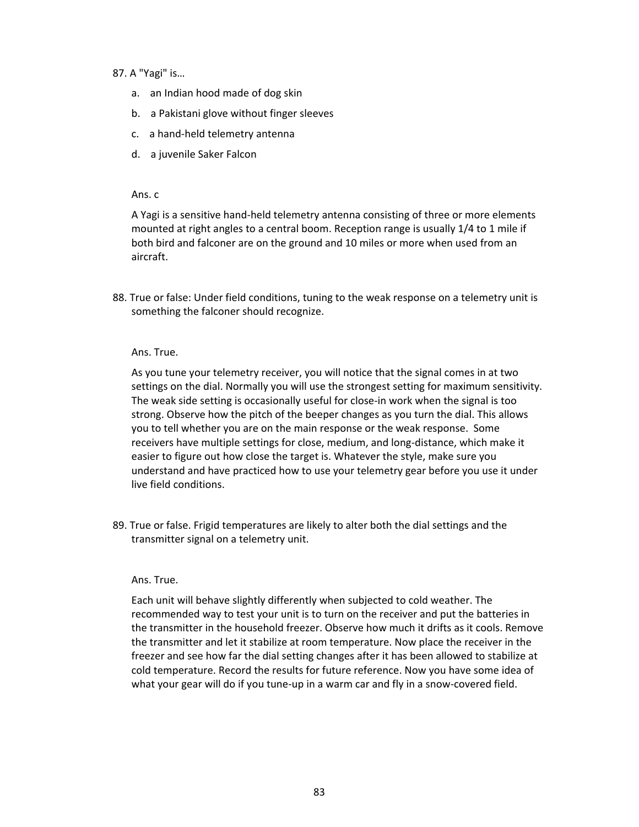# 87. A "Yagi" is…

- a. an Indian hood made of dog skin
- b. a Pakistani glove without finger sleeves
- c. a hand-held telemetry antenna
- d. a juvenile Saker Falcon

#### Ans. c

A Yagi is a sensitive hand-held telemetry antenna consisting of three or more elements mounted at right angles to a central boom. Reception range is usually 1/4 to 1 mile if both bird and falconer are on the ground and 10 miles or more when used from an aircraft.

88. True or false: Under field conditions, tuning to the weak response on a telemetry unit is something the falconer should recognize.

#### Ans. True.

As you tune your telemetry receiver, you will notice that the signal comes in at two settings on the dial. Normally you will use the strongest setting for maximum sensitivity. The weak side setting is occasionally useful for close-in work when the signal is too strong. Observe how the pitch of the beeper changes as you turn the dial. This allows you to tell whether you are on the main response or the weak response. Some receivers have multiple settings for close, medium, and long-distance, which make it easier to figure out how close the target is. Whatever the style, make sure you understand and have practiced how to use your telemetry gear before you use it under live field conditions.

89. True or false. Frigid temperatures are likely to alter both the dial settings and the transmitter signal on a telemetry unit.

#### Ans. True.

Each unit will behave slightly differently when subjected to cold weather. The recommended way to test your unit is to turn on the receiver and put the batteries in the transmitter in the household freezer. Observe how much it drifts as it cools. Remove the transmitter and let it stabilize at room temperature. Now place the receiver in the freezer and see how far the dial setting changes after it has been allowed to stabilize at cold temperature. Record the results for future reference. Now you have some idea of what your gear will do if you tune-up in a warm car and fly in a snow-covered field.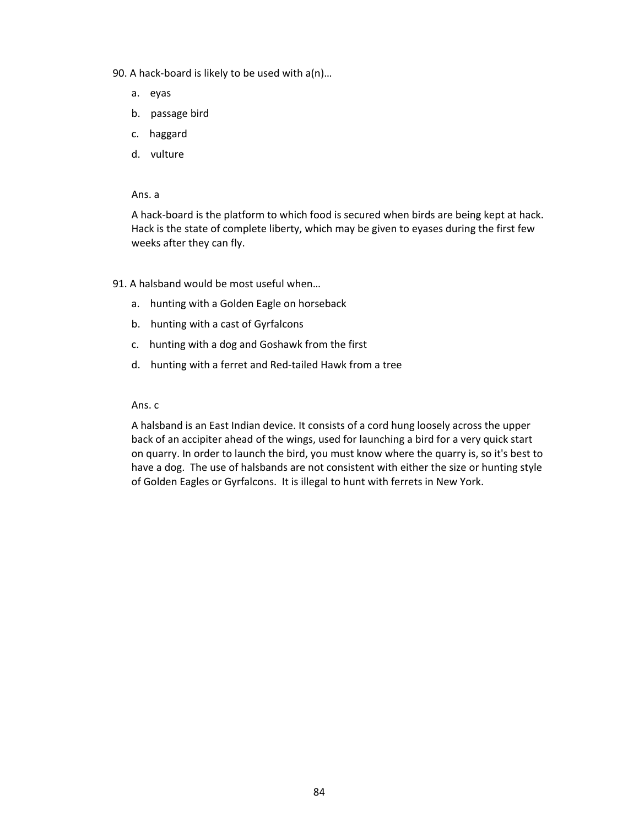- 90. A hack-board is likely to be used with a(n)…
	- a. eyas
	- b. passage bird
	- c. haggard
	- d. vulture

A hack-board is the platform to which food is secured when birds are being kept at hack. Hack is the state of complete liberty, which may be given to eyases during the first few weeks after they can fly.

- 91. A halsband would be most useful when…
	- a. hunting with a Golden Eagle on horseback
	- b. hunting with a cast of Gyrfalcons
	- c. hunting with a dog and Goshawk from the first
	- d. hunting with a ferret and Red-tailed Hawk from a tree

Ans. c

A halsband is an East Indian device. It consists of a cord hung loosely across the upper back of an accipiter ahead of the wings, used for launching a bird for a very quick start on quarry. In order to launch the bird, you must know where the quarry is, so it's best to have a dog. The use of halsbands are not consistent with either the size or hunting style of Golden Eagles or Gyrfalcons. It is illegal to hunt with ferrets in New York.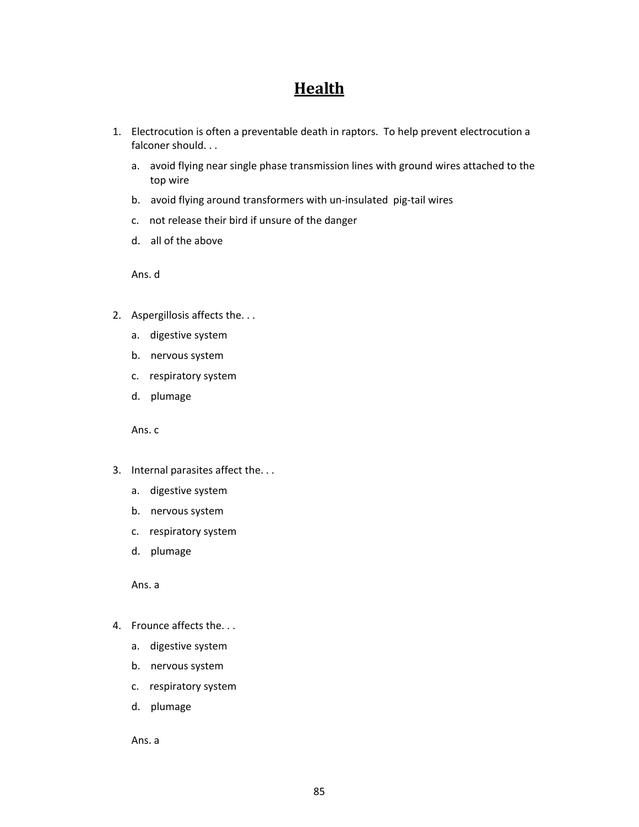# **Health**

- 1. Electrocution is often a preventable death in raptors. To help prevent electrocution a falconer should. . .
	- a. avoid flying near single phase transmission lines with ground wires attached to the top wire
	- b. avoid flying around transformers with un-insulated pig-tail wires
	- c. not release their bird if unsure of the danger
	- d. all of the above

Ans. d

- 2. Aspergillosis affects the. . .
	- a. digestive system
	- b. nervous system
	- c. respiratory system
	- d. plumage

Ans. c

- 3. Internal parasites affect the. . .
	- a. digestive system
	- b. nervous system
	- c. respiratory system
	- d. plumage

Ans. a

- 4. Frounce affects the. . .
	- a. digestive system
	- b. nervous system
	- c. respiratory system
	- d. plumage

Ans. a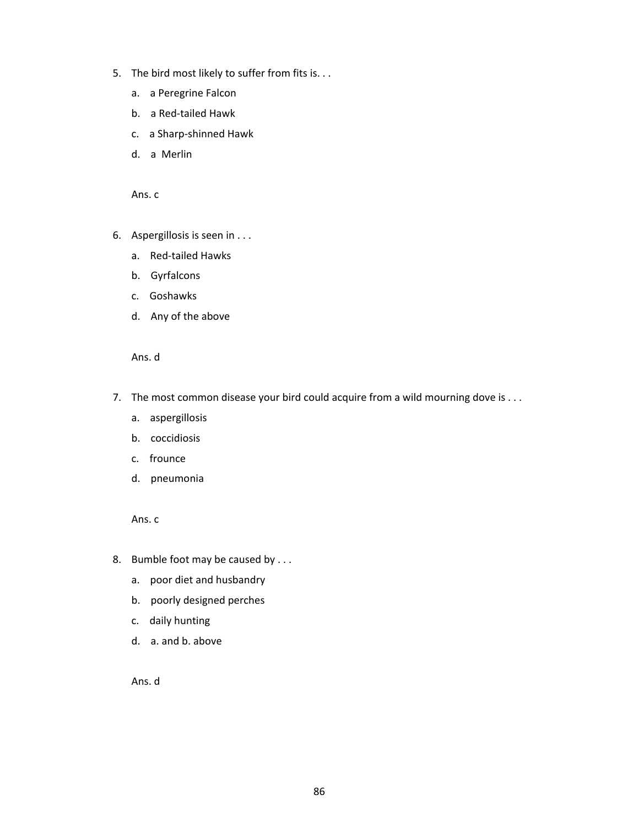- 5. The bird most likely to suffer from fits is. . .
	- a. a Peregrine Falcon
	- b. a Red-tailed Hawk
	- c. a Sharp-shinned Hawk
	- d. a Merlin

- 6. Aspergillosis is seen in . . .
	- a. Red-tailed Hawks
	- b. Gyrfalcons
	- c. Goshawks
	- d. Any of the above

Ans. d

- 7. The most common disease your bird could acquire from a wild mourning dove is ...
	- a. aspergillosis
	- b. coccidiosis
	- c. frounce
	- d. pneumonia

Ans. c

- 8. Bumble foot may be caused by . . .
	- a. poor diet and husbandry
	- b. poorly designed perches
	- c. daily hunting
	- d. a. and b. above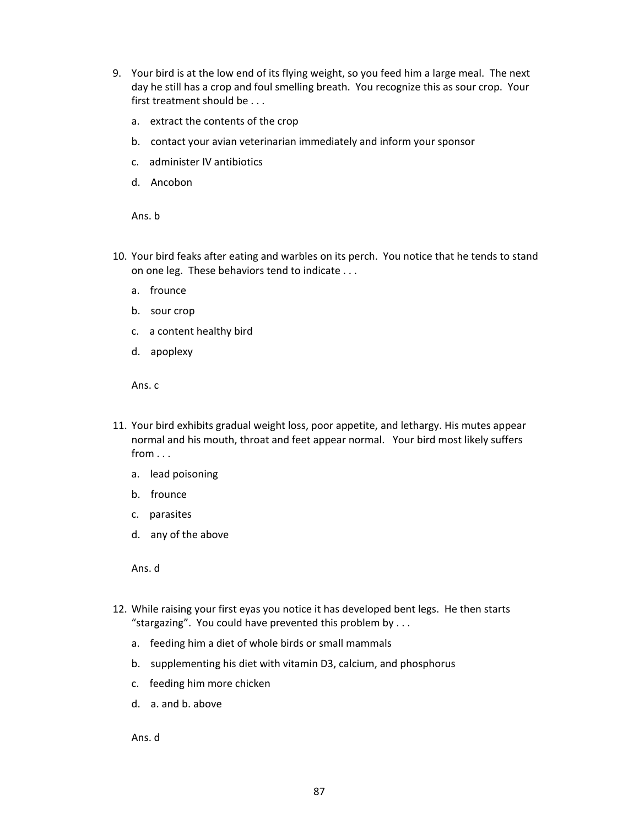- 9. Your bird is at the low end of its flying weight, so you feed him a large meal. The next day he still has a crop and foul smelling breath. You recognize this as sour crop. Your first treatment should be . . .
	- a. extract the contents of the crop
	- b. contact your avian veterinarian immediately and inform your sponsor
	- c. administer IV antibiotics
	- d. Ancobon

Ans. b

- 10. Your bird feaks after eating and warbles on its perch. You notice that he tends to stand on one leg. These behaviors tend to indicate . . .
	- a. frounce
	- b. sour crop
	- c. a content healthy bird
	- d. apoplexy

Ans. c

- 11. Your bird exhibits gradual weight loss, poor appetite, and lethargy. His mutes appear normal and his mouth, throat and feet appear normal. Your bird most likely suffers from . . .
	- a. lead poisoning
	- b. frounce
	- c. parasites
	- d. any of the above

Ans. d

- 12. While raising your first eyas you notice it has developed bent legs. He then starts "stargazing". You could have prevented this problem by . . .
	- a. feeding him a diet of whole birds or small mammals
	- b. supplementing his diet with vitamin D3, calcium, and phosphorus
	- c. feeding him more chicken
	- d. a. and b. above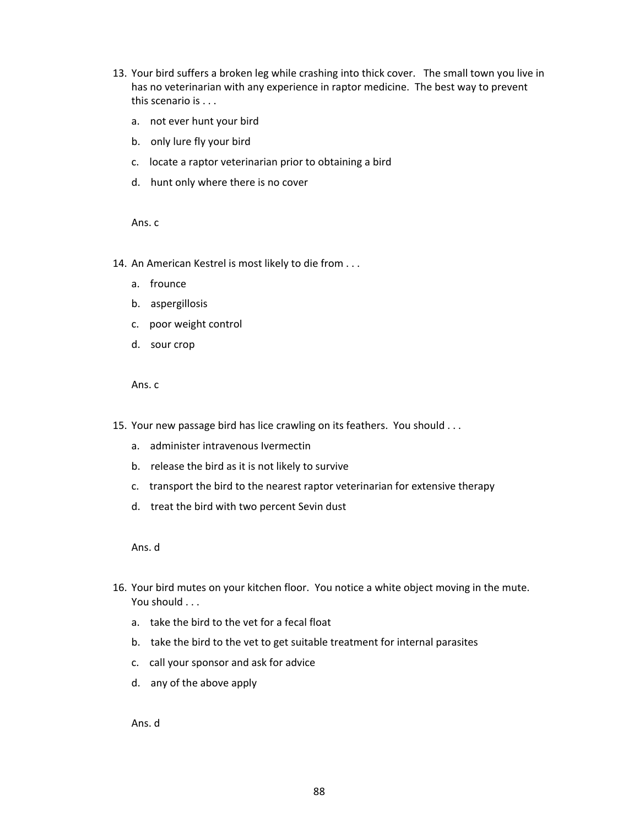- 13. Your bird suffers a broken leg while crashing into thick cover. The small town you live in has no veterinarian with any experience in raptor medicine. The best way to prevent this scenario is . . .
	- a. not ever hunt your bird
	- b. only lure fly your bird
	- c. locate a raptor veterinarian prior to obtaining a bird
	- d. hunt only where there is no cover

- 14. An American Kestrel is most likely to die from . . .
	- a. frounce
	- b. aspergillosis
	- c. poor weight control
	- d. sour crop

# Ans. c

- 15. Your new passage bird has lice crawling on its feathers. You should . . .
	- a. administer intravenous Ivermectin
	- b. release the bird as it is not likely to survive
	- c. transport the bird to the nearest raptor veterinarian for extensive therapy
	- d. treat the bird with two percent Sevin dust

Ans. d

- 16. Your bird mutes on your kitchen floor. You notice a white object moving in the mute. You should . . .
	- a. take the bird to the vet for a fecal float
	- b. take the bird to the vet to get suitable treatment for internal parasites
	- c. call your sponsor and ask for advice
	- d. any of the above apply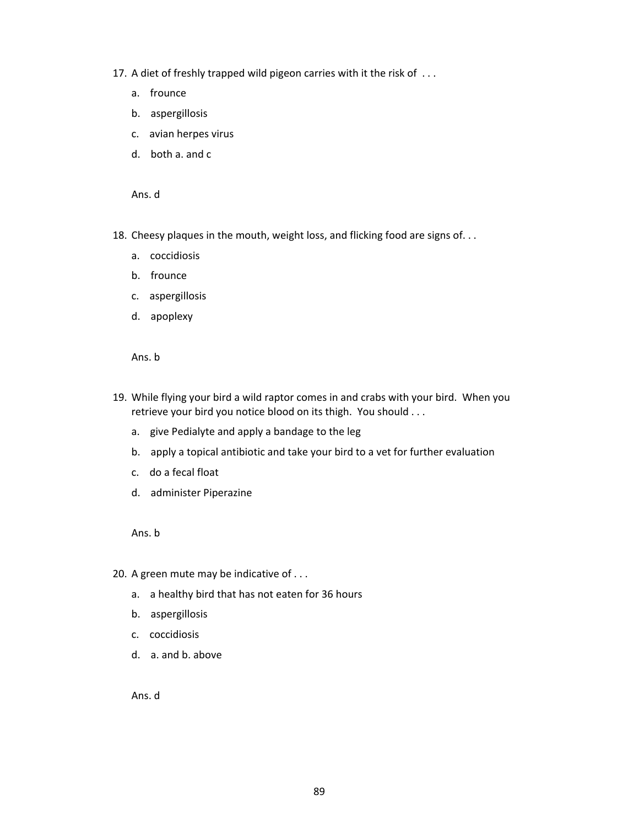- 17. A diet of freshly trapped wild pigeon carries with it the risk of . . .
	- a. frounce
	- b. aspergillosis
	- c. avian herpes virus
	- d. both a. and c

Ans. d

- 18. Cheesy plaques in the mouth, weight loss, and flicking food are signs of...
	- a. coccidiosis
	- b. frounce
	- c. aspergillosis
	- d. apoplexy

Ans. b

- 19. While flying your bird a wild raptor comes in and crabs with your bird. When you retrieve your bird you notice blood on its thigh. You should . . .
	- a. give Pedialyte and apply a bandage to the leg
	- b. apply a topical antibiotic and take your bird to a vet for further evaluation
	- c. do a fecal float
	- d. administer Piperazine

Ans. b

- 20. A green mute may be indicative of . . .
	- a. a healthy bird that has not eaten for 36 hours
	- b. aspergillosis
	- c. coccidiosis
	- d. a. and b. above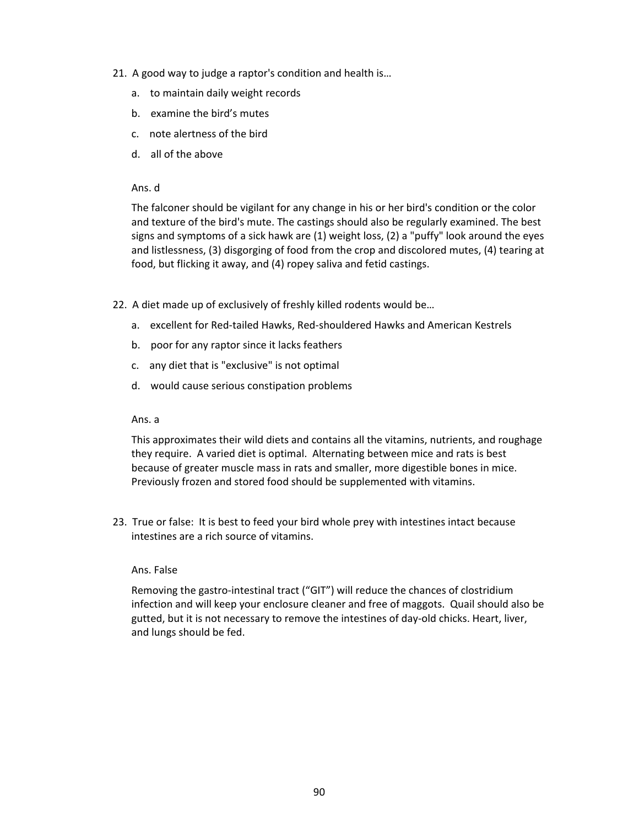- 21. A good way to judge a raptor's condition and health is…
	- a. to maintain daily weight records
	- b. examine the bird's mutes
	- c. note alertness of the bird
	- d. all of the above

## Ans. d

The falconer should be vigilant for any change in his or her bird's condition or the color and texture of the bird's mute. The castings should also be regularly examined. The best signs and symptoms of a sick hawk are (1) weight loss, (2) a "puffy" look around the eyes and listlessness, (3) disgorging of food from the crop and discolored mutes, (4) tearing at food, but flicking it away, and (4) ropey saliva and fetid castings.

- 22. A diet made up of exclusively of freshly killed rodents would be…
	- a. excellent for Red-tailed Hawks, Red-shouldered Hawks and American Kestrels
	- b. poor for any raptor since it lacks feathers
	- c. any diet that is "exclusive" is not optimal
	- d. would cause serious constipation problems

## Ans. a

This approximates their wild diets and contains all the vitamins, nutrients, and roughage they require. A varied diet is optimal. Alternating between mice and rats is best because of greater muscle mass in rats and smaller, more digestible bones in mice. Previously frozen and stored food should be supplemented with vitamins.

23. True or false: It is best to feed your bird whole prey with intestines intact because intestines are a rich source of vitamins.

#### Ans. False

Removing the gastro-intestinal tract ("GIT") will reduce the chances of clostridium infection and will keep your enclosure cleaner and free of maggots. Quail should also be gutted, but it is not necessary to remove the intestines of day-old chicks. Heart, liver, and lungs should be fed.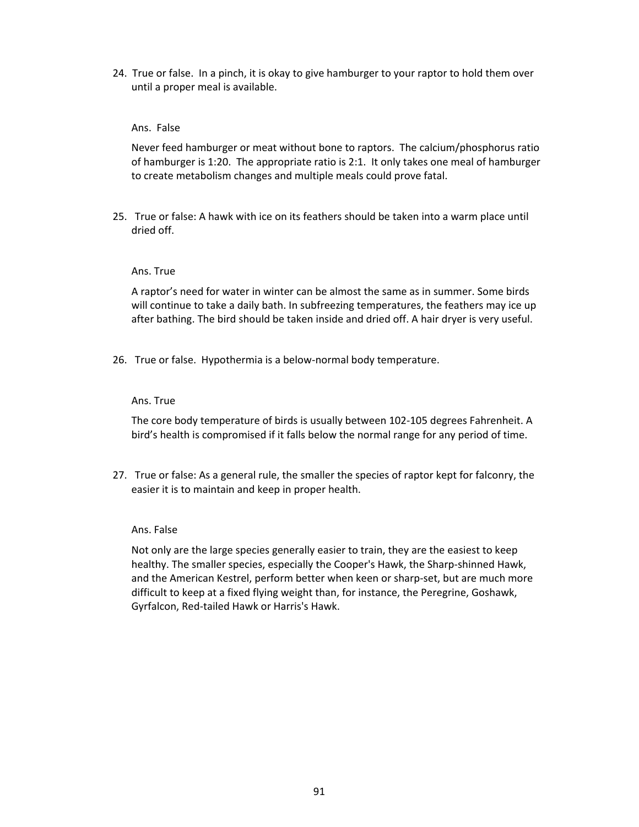24. True or false. In a pinch, it is okay to give hamburger to your raptor to hold them over until a proper meal is available.

# Ans. False

Never feed hamburger or meat without bone to raptors. The calcium/phosphorus ratio of hamburger is 1:20. The appropriate ratio is 2:1. It only takes one meal of hamburger to create metabolism changes and multiple meals could prove fatal.

25. True or false: A hawk with ice on its feathers should be taken into a warm place until dried off.

#### Ans. True

A raptor's need for water in winter can be almost the same as in summer. Some birds will continue to take a daily bath. In subfreezing temperatures, the feathers may ice up after bathing. The bird should be taken inside and dried off. A hair dryer is very useful.

26. True or false. Hypothermia is a below-normal body temperature.

#### Ans. True

The core body temperature of birds is usually between 102-105 degrees Fahrenheit. A bird's health is compromised if it falls below the normal range for any period of time.

27. True or false: As a general rule, the smaller the species of raptor kept for falconry, the easier it is to maintain and keep in proper health.

#### Ans. False

Not only are the large species generally easier to train, they are the easiest to keep healthy. The smaller species, especially the Cooper's Hawk, the Sharp-shinned Hawk, and the American Kestrel, perform better when keen or sharp-set, but are much more difficult to keep at a fixed flying weight than, for instance, the Peregrine, Goshawk, Gyrfalcon, Red-tailed Hawk or Harris's Hawk.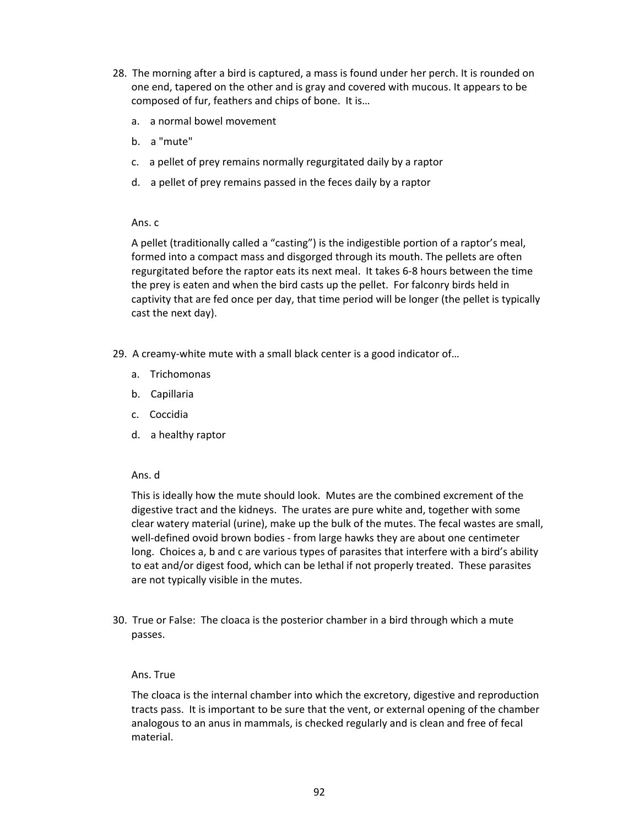- 28. The morning after a bird is captured, a mass is found under her perch. It is rounded on one end, tapered on the other and is gray and covered with mucous. It appears to be composed of fur, feathers and chips of bone. It is…
	- a. a normal bowel movement
	- b. a "mute"
	- c. a pellet of prey remains normally regurgitated daily by a raptor
	- d. a pellet of prey remains passed in the feces daily by a raptor

A pellet (traditionally called a "casting") is the indigestible portion of a raptor's meal, formed into a compact mass and disgorged through its mouth. The pellets are often regurgitated before the raptor eats its next meal. It takes 6-8 hours between the time the prey is eaten and when the bird casts up the pellet. For falconry birds held in captivity that are fed once per day, that time period will be longer (the pellet is typically cast the next day).

- 29. A creamy-white mute with a small black center is a good indicator of…
	- a. Trichomonas
	- b. Capillaria
	- c. Coccidia
	- d. a healthy raptor

# Ans. d

This is ideally how the mute should look. Mutes are the combined excrement of the digestive tract and the kidneys. The urates are pure white and, together with some clear watery material (urine), make up the bulk of the mutes. The fecal wastes are small, well-defined ovoid brown bodies - from large hawks they are about one centimeter long. Choices a, b and c are various types of parasites that interfere with a bird's ability to eat and/or digest food, which can be lethal if not properly treated. These parasites are not typically visible in the mutes.

30. True or False: The cloaca is the posterior chamber in a bird through which a mute passes.

# Ans. True

The cloaca is the internal chamber into which the excretory, digestive and reproduction tracts pass. It is important to be sure that the vent, or external opening of the chamber analogous to an anus in mammals, is checked regularly and is clean and free of fecal material.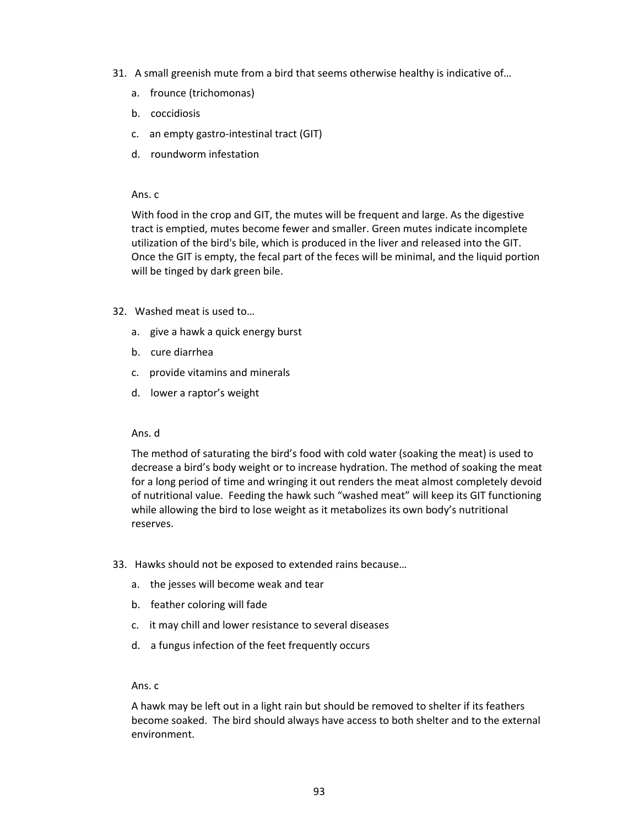- 31. A small greenish mute from a bird that seems otherwise healthy is indicative of…
	- a. frounce (trichomonas)
	- b. coccidiosis
	- c. an empty gastro-intestinal tract (GIT)
	- d. roundworm infestation

With food in the crop and GIT, the mutes will be frequent and large. As the digestive tract is emptied, mutes become fewer and smaller. Green mutes indicate incomplete utilization of the bird's bile, which is produced in the liver and released into the GIT. Once the GIT is empty, the fecal part of the feces will be minimal, and the liquid portion will be tinged by dark green bile.

- 32. Washed meat is used to…
	- a. give a hawk a quick energy burst
	- b. cure diarrhea
	- c. provide vitamins and minerals
	- d. lower a raptor's weight

#### Ans. d

The method of saturating the bird's food with cold water (soaking the meat) is used to decrease a bird's body weight or to increase hydration. The method of soaking the meat for a long period of time and wringing it out renders the meat almost completely devoid of nutritional value. Feeding the hawk such "washed meat" will keep its GIT functioning while allowing the bird to lose weight as it metabolizes its own body's nutritional reserves.

- 33. Hawks should not be exposed to extended rains because…
	- a. the jesses will become weak and tear
	- b. feather coloring will fade
	- c. it may chill and lower resistance to several diseases
	- d. a fungus infection of the feet frequently occurs

#### Ans. c

A hawk may be left out in a light rain but should be removed to shelter if its feathers become soaked. The bird should always have access to both shelter and to the external environment.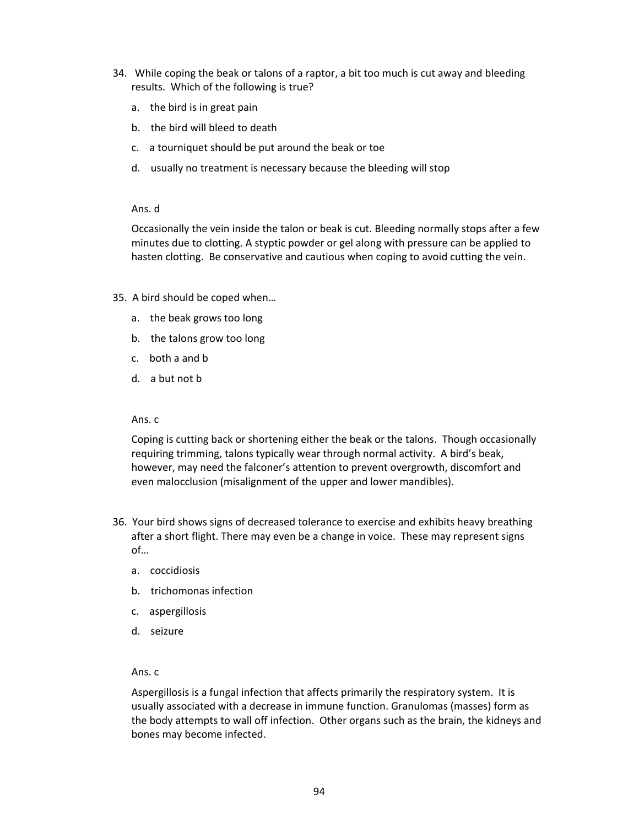- 34. While coping the beak or talons of a raptor, a bit too much is cut away and bleeding results. Which of the following is true?
	- a. the bird is in great pain
	- b. the bird will bleed to death
	- c. a tourniquet should be put around the beak or toe
	- d. usually no treatment is necessary because the bleeding will stop

#### Ans. d

Occasionally the vein inside the talon or beak is cut. Bleeding normally stops after a few minutes due to clotting. A styptic powder or gel along with pressure can be applied to hasten clotting. Be conservative and cautious when coping to avoid cutting the vein.

- 35. A bird should be coped when…
	- a. the beak grows too long
	- b. the talons grow too long
	- c. both a and b
	- d. a but not b

#### Ans. c

Coping is cutting back or shortening either the beak or the talons. Though occasionally requiring trimming, talons typically wear through normal activity. A bird's beak, however, may need the falconer's attention to prevent overgrowth, discomfort and even malocclusion (misalignment of the upper and lower mandibles).

- 36. Your bird shows signs of decreased tolerance to exercise and exhibits heavy breathing after a short flight. There may even be a change in voice. These may represent signs of…
	- a. coccidiosis
	- b. trichomonas infection
	- c. aspergillosis
	- d. seizure

#### Ans. c

Aspergillosis is a fungal infection that affects primarily the respiratory system. It is usually associated with a decrease in immune function. Granulomas (masses) form as the body attempts to wall off infection. Other organs such as the brain, the kidneys and bones may become infected.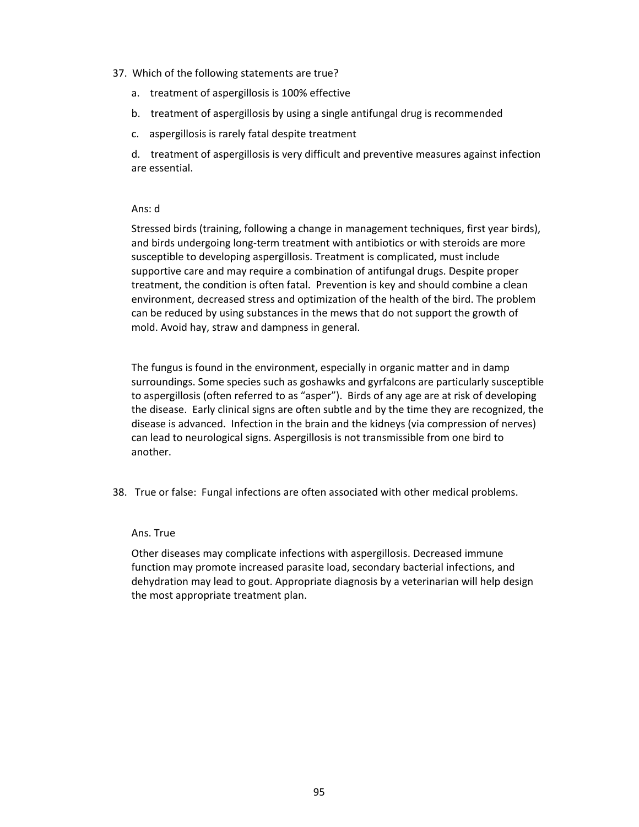## 37. Which of the following statements are true?

- a. treatment of aspergillosis is 100% effective
- b. treatment of aspergillosis by using a single antifungal drug is recommended
- c. aspergillosis is rarely fatal despite treatment

d. treatment of aspergillosis is very difficult and preventive measures against infection are essential.

# Ans: d

Stressed birds (training, following a change in management techniques, first year birds), and birds undergoing long-term treatment with antibiotics or with steroids are more susceptible to developing aspergillosis. Treatment is complicated, must include supportive care and may require a combination of antifungal drugs. Despite proper treatment, the condition is often fatal. Prevention is key and should combine a clean environment, decreased stress and optimization of the health of the bird. The problem can be reduced by using substances in the mews that do not support the growth of mold. Avoid hay, straw and dampness in general.

The fungus is found in the environment, especially in organic matter and in damp surroundings. Some species such as goshawks and gyrfalcons are particularly susceptible to aspergillosis (often referred to as "asper"). Birds of any age are at risk of developing the disease. Early clinical signs are often subtle and by the time they are recognized, the disease is advanced. Infection in the brain and the kidneys (via compression of nerves) can lead to neurological signs. Aspergillosis is not transmissible from one bird to another.

38. True or false: Fungal infections are often associated with other medical problems.

#### Ans. True

Other diseases may complicate infections with aspergillosis. Decreased immune function may promote increased parasite load, secondary bacterial infections, and dehydration may lead to gout. Appropriate diagnosis by a veterinarian will help design the most appropriate treatment plan.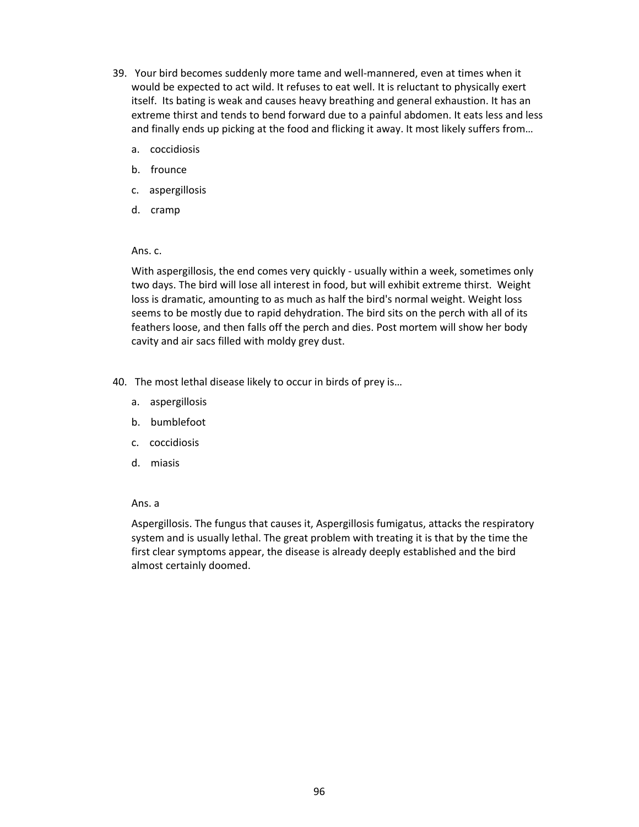- 39. Your bird becomes suddenly more tame and well-mannered, even at times when it would be expected to act wild. It refuses to eat well. It is reluctant to physically exert itself. Its bating is weak and causes heavy breathing and general exhaustion. It has an extreme thirst and tends to bend forward due to a painful abdomen. It eats less and less and finally ends up picking at the food and flicking it away. It most likely suffers from…
	- a. coccidiosis
	- b. frounce
	- c. aspergillosis
	- d. cramp

With aspergillosis, the end comes very quickly - usually within a week, sometimes only two days. The bird will lose all interest in food, but will exhibit extreme thirst. Weight loss is dramatic, amounting to as much as half the bird's normal weight. Weight loss seems to be mostly due to rapid dehydration. The bird sits on the perch with all of its feathers loose, and then falls off the perch and dies. Post mortem will show her body cavity and air sacs filled with moldy grey dust.

- 40. The most lethal disease likely to occur in birds of prey is…
	- a. aspergillosis
	- b. bumblefoot
	- c. coccidiosis
	- d. miasis

# Ans. a

Aspergillosis. The fungus that causes it, Aspergillosis fumigatus, attacks the respiratory system and is usually lethal. The great problem with treating it is that by the time the first clear symptoms appear, the disease is already deeply established and the bird almost certainly doomed.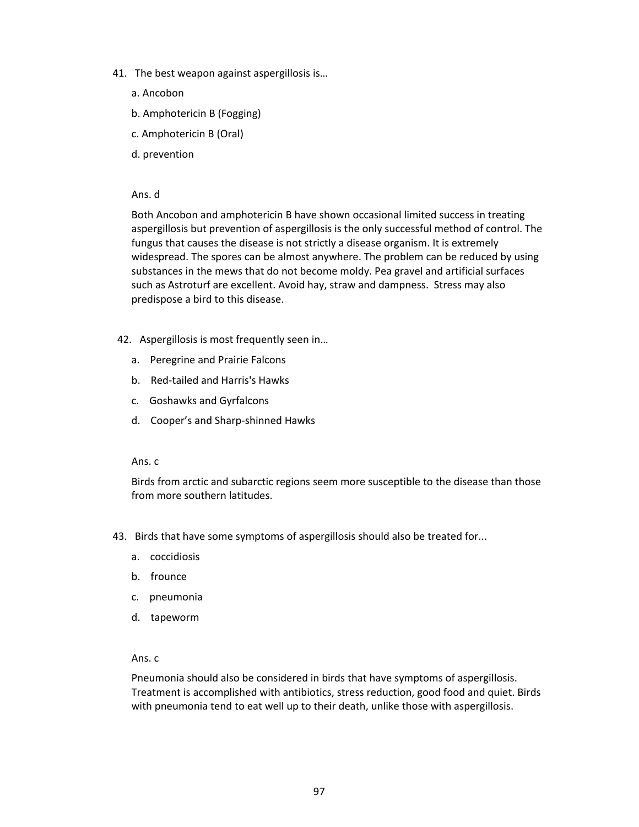- 41. The best weapon against aspergillosis is…
	- a. Ancobon
	- b. Amphotericin B (Fogging)
	- c. Amphotericin B (Oral)
	- d. prevention

#### Ans. d

Both Ancobon and amphotericin B have shown occasional limited success in treating aspergillosis but prevention of aspergillosis is the only successful method of control. The fungus that causes the disease is not strictly a disease organism. It is extremely widespread. The spores can be almost anywhere. The problem can be reduced by using substances in the mews that do not become moldy. Pea gravel and artificial surfaces such as Astroturf are excellent. Avoid hay, straw and dampness. Stress may also predispose a bird to this disease.

- 42. Aspergillosis is most frequently seen in…
	- a. Peregrine and Prairie Falcons
	- b. Red-tailed and Harris's Hawks
	- c. Goshawks and Gyrfalcons
	- d. Cooper's and Sharp-shinned Hawks

## Ans. c

Birds from arctic and subarctic regions seem more susceptible to the disease than those from more southern latitudes.

- 43. Birds that have some symptoms of aspergillosis should also be treated for...
	- a. coccidiosis
	- b. frounce
	- c. pneumonia
	- d. tapeworm

#### Ans. c

Pneumonia should also be considered in birds that have symptoms of aspergillosis. Treatment is accomplished with antibiotics, stress reduction, good food and quiet. Birds with pneumonia tend to eat well up to their death, unlike those with aspergillosis.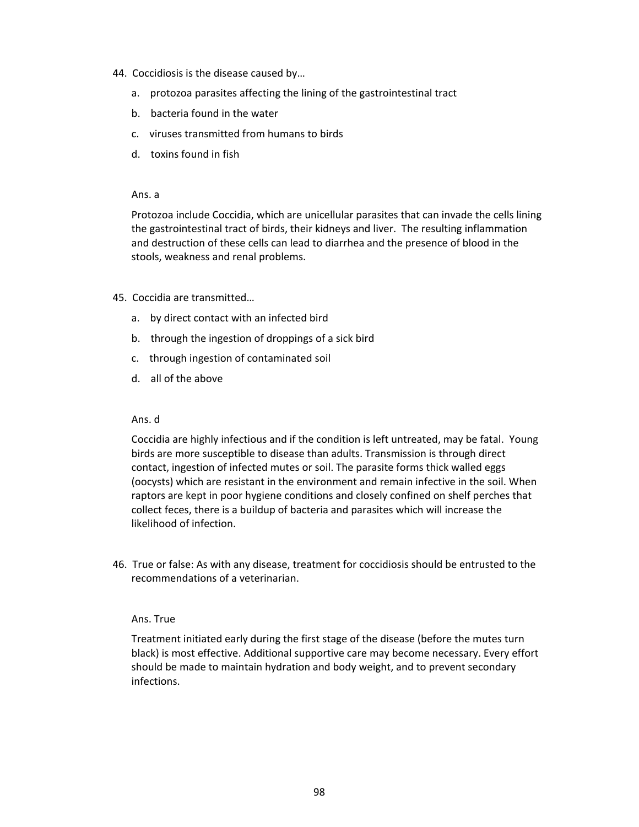- 44. Coccidiosis is the disease caused by…
	- a. protozoa parasites affecting the lining of the gastrointestinal tract
	- b. bacteria found in the water
	- c. viruses transmitted from humans to birds
	- d. toxins found in fish

Protozoa include Coccidia, which are unicellular parasites that can invade the cells lining the gastrointestinal tract of birds, their kidneys and liver. The resulting inflammation and destruction of these cells can lead to diarrhea and the presence of blood in the stools, weakness and renal problems.

# 45. Coccidia are transmitted…

- a. by direct contact with an infected bird
- b. through the ingestion of droppings of a sick bird
- c. through ingestion of contaminated soil
- d. all of the above

## Ans. d

Coccidia are highly infectious and if the condition is left untreated, may be fatal. Young birds are more susceptible to disease than adults. Transmission is through direct contact, ingestion of infected mutes or soil. The parasite forms thick walled eggs (oocysts) which are resistant in the environment and remain infective in the soil. When raptors are kept in poor hygiene conditions and closely confined on shelf perches that collect feces, there is a buildup of bacteria and parasites which will increase the likelihood of infection.

46. True or false: As with any disease, treatment for coccidiosis should be entrusted to the recommendations of a veterinarian.

#### Ans. True

Treatment initiated early during the first stage of the disease (before the mutes turn black) is most effective. Additional supportive care may become necessary. Every effort should be made to maintain hydration and body weight, and to prevent secondary infections.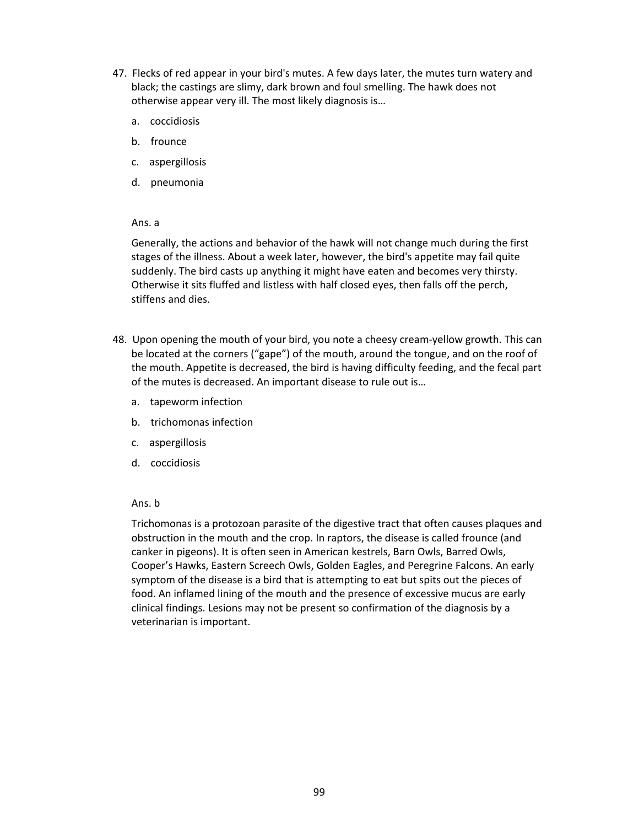- 47. Flecks of red appear in your bird's mutes. A few days later, the mutes turn watery and black; the castings are slimy, dark brown and foul smelling. The hawk does not otherwise appear very ill. The most likely diagnosis is…
	- a. coccidiosis
	- b. frounce
	- c. aspergillosis
	- d. pneumonia

Generally, the actions and behavior of the hawk will not change much during the first stages of the illness. About a week later, however, the bird's appetite may fail quite suddenly. The bird casts up anything it might have eaten and becomes very thirsty. Otherwise it sits fluffed and listless with half closed eyes, then falls off the perch, stiffens and dies.

- 48. Upon opening the mouth of your bird, you note a cheesy cream-yellow growth. This can be located at the corners ("gape") of the mouth, around the tongue, and on the roof of the mouth. Appetite is decreased, the bird is having difficulty feeding, and the fecal part of the mutes is decreased. An important disease to rule out is…
	- a. tapeworm infection
	- b. trichomonas infection
	- c. aspergillosis
	- d. coccidiosis

# Ans. b

Trichomonas is a protozoan parasite of the digestive tract that often causes plaques and obstruction in the mouth and the crop. In raptors, the disease is called frounce (and canker in pigeons). It is often seen in American kestrels, Barn Owls, Barred Owls, Cooper's Hawks, Eastern Screech Owls, Golden Eagles, and Peregrine Falcons. An early symptom of the disease is a bird that is attempting to eat but spits out the pieces of food. An inflamed lining of the mouth and the presence of excessive mucus are early clinical findings. Lesions may not be present so confirmation of the diagnosis by a veterinarian is important.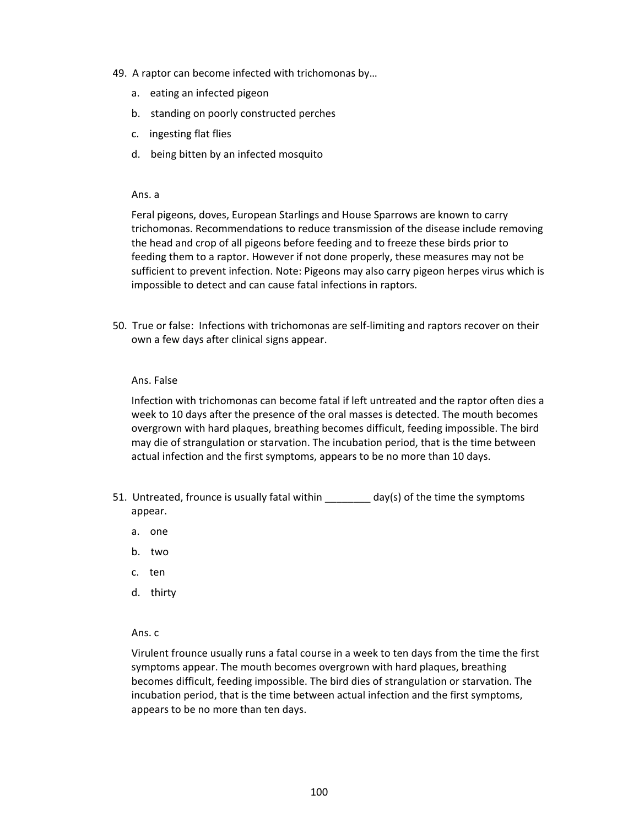- 49. A raptor can become infected with trichomonas by…
	- a. eating an infected pigeon
	- b. standing on poorly constructed perches
	- c. ingesting flat flies
	- d. being bitten by an infected mosquito

Feral pigeons, doves, European Starlings and House Sparrows are known to carry trichomonas. Recommendations to reduce transmission of the disease include removing the head and crop of all pigeons before feeding and to freeze these birds prior to feeding them to a raptor. However if not done properly, these measures may not be sufficient to prevent infection. Note: Pigeons may also carry pigeon herpes virus which is impossible to detect and can cause fatal infections in raptors.

50. True or false: Infections with trichomonas are self-limiting and raptors recover on their own a few days after clinical signs appear.

#### Ans. False

Infection with trichomonas can become fatal if left untreated and the raptor often dies a week to 10 days after the presence of the oral masses is detected. The mouth becomes overgrown with hard plaques, breathing becomes difficult, feeding impossible. The bird may die of strangulation or starvation. The incubation period, that is the time between actual infection and the first symptoms, appears to be no more than 10 days.

- 51. Untreated, frounce is usually fatal within \_\_\_\_\_\_\_\_ day(s) of the time the symptoms appear.
	- a. one
	- b. two
	- c. ten
	- d. thirty

#### Ans. c

Virulent frounce usually runs a fatal course in a week to ten days from the time the first symptoms appear. The mouth becomes overgrown with hard plaques, breathing becomes difficult, feeding impossible. The bird dies of strangulation or starvation. The incubation period, that is the time between actual infection and the first symptoms, appears to be no more than ten days.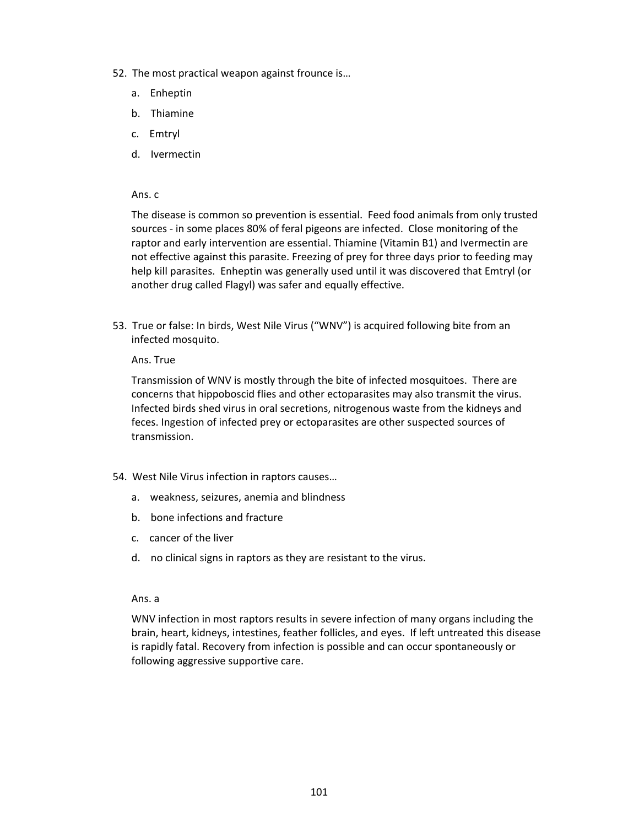- 52. The most practical weapon against frounce is…
	- a. Enheptin
	- b. Thiamine
	- c. Emtryl
	- d. Ivermectin

The disease is common so prevention is essential. Feed food animals from only trusted sources - in some places 80% of feral pigeons are infected. Close monitoring of the raptor and early intervention are essential. Thiamine (Vitamin B1) and Ivermectin are not effective against this parasite. Freezing of prey for three days prior to feeding may help kill parasites. Enheptin was generally used until it was discovered that Emtryl (or another drug called Flagyl) was safer and equally effective.

53. True or false: In birds, West Nile Virus ("WNV") is acquired following bite from an infected mosquito.

#### Ans. True

Transmission of WNV is mostly through the bite of infected mosquitoes. There are concerns that hippoboscid flies and other ectoparasites may also transmit the virus. Infected birds shed virus in oral secretions, nitrogenous waste from the kidneys and feces. Ingestion of infected prey or ectoparasites are other suspected sources of transmission.

- 54. West Nile Virus infection in raptors causes…
	- a. weakness, seizures, anemia and blindness
	- b. bone infections and fracture
	- c. cancer of the liver
	- d. no clinical signs in raptors as they are resistant to the virus.

#### Ans. a

WNV infection in most raptors results in severe infection of many organs including the brain, heart, kidneys, intestines, feather follicles, and eyes. If left untreated this disease is rapidly fatal. Recovery from infection is possible and can occur spontaneously or following aggressive supportive care.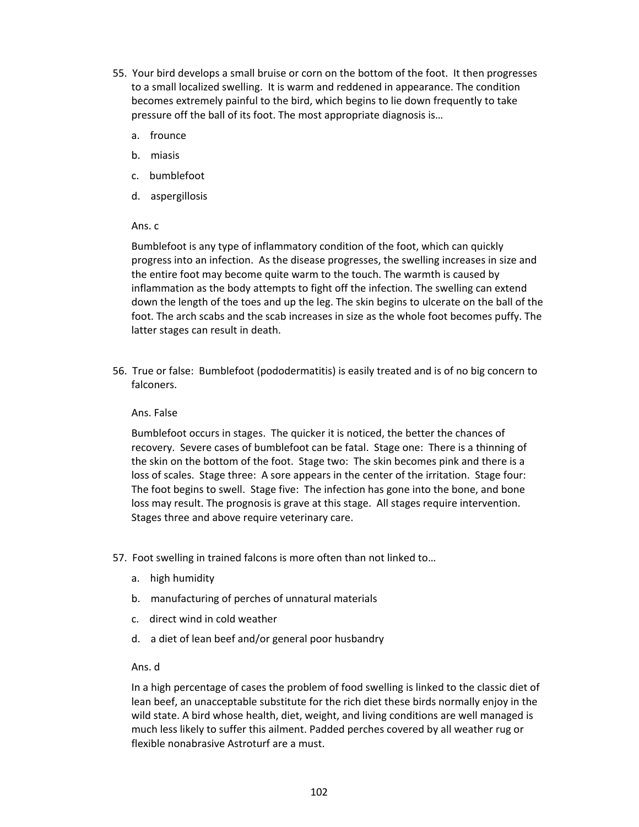- 55. Your bird develops a small bruise or corn on the bottom of the foot. It then progresses to a small localized swelling. It is warm and reddened in appearance. The condition becomes extremely painful to the bird, which begins to lie down frequently to take pressure off the ball of its foot. The most appropriate diagnosis is…
	- a. frounce
	- b. miasis
	- c. bumblefoot
	- d. aspergillosis

Bumblefoot is any type of inflammatory condition of the foot, which can quickly progress into an infection. As the disease progresses, the swelling increases in size and the entire foot may become quite warm to the touch. The warmth is caused by inflammation as the body attempts to fight off the infection. The swelling can extend down the length of the toes and up the leg. The skin begins to ulcerate on the ball of the foot. The arch scabs and the scab increases in size as the whole foot becomes puffy. The latter stages can result in death.

56. True or false: Bumblefoot (pododermatitis) is easily treated and is of no big concern to falconers.

#### Ans. False

Bumblefoot occurs in stages. The quicker it is noticed, the better the chances of recovery. Severe cases of bumblefoot can be fatal. Stage one: There is a thinning of the skin on the bottom of the foot. Stage two: The skin becomes pink and there is a loss of scales. Stage three: A sore appears in the center of the irritation. Stage four: The foot begins to swell. Stage five: The infection has gone into the bone, and bone loss may result. The prognosis is grave at this stage. All stages require intervention. Stages three and above require veterinary care.

- 57. Foot swelling in trained falcons is more often than not linked to…
	- a. high humidity
	- b. manufacturing of perches of unnatural materials
	- c. direct wind in cold weather
	- d. a diet of lean beef and/or general poor husbandry

## Ans. d

In a high percentage of cases the problem of food swelling is linked to the classic diet of lean beef, an unacceptable substitute for the rich diet these birds normally enjoy in the wild state. A bird whose health, diet, weight, and living conditions are well managed is much less likely to suffer this ailment. Padded perches covered by all weather rug or flexible nonabrasive Astroturf are a must.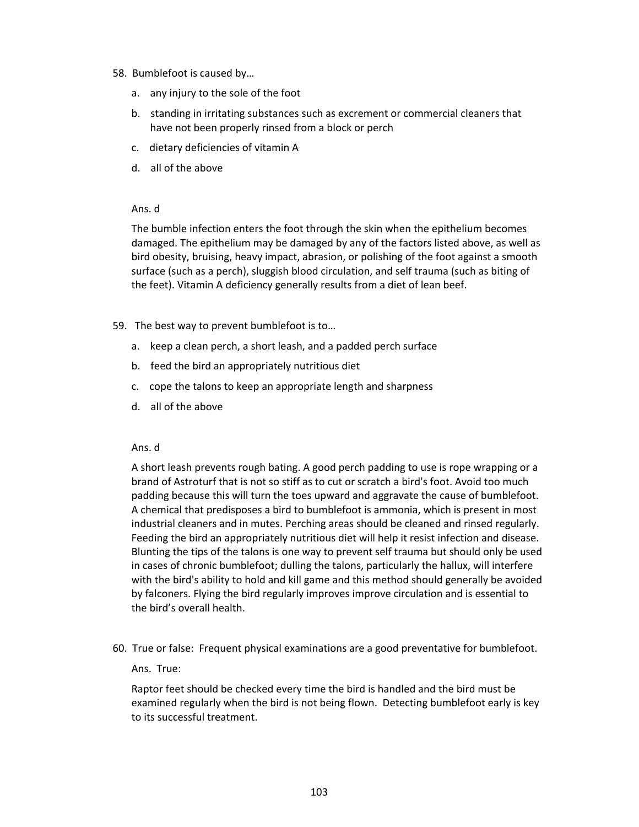# 58. Bumblefoot is caused by…

- a. any injury to the sole of the foot
- b. standing in irritating substances such as excrement or commercial cleaners that have not been properly rinsed from a block or perch
- c. dietary deficiencies of vitamin A
- d. all of the above

# Ans. d

The bumble infection enters the foot through the skin when the epithelium becomes damaged. The epithelium may be damaged by any of the factors listed above, as well as bird obesity, bruising, heavy impact, abrasion, or polishing of the foot against a smooth surface (such as a perch), sluggish blood circulation, and self trauma (such as biting of the feet). Vitamin A deficiency generally results from a diet of lean beef.

- 59. The best way to prevent bumblefoot is to…
	- a. keep a clean perch, a short leash, and a padded perch surface
	- b. feed the bird an appropriately nutritious diet
	- c. cope the talons to keep an appropriate length and sharpness
	- d. all of the above

#### Ans. d

A short leash prevents rough bating. A good perch padding to use is rope wrapping or a brand of Astroturf that is not so stiff as to cut or scratch a bird's foot. Avoid too much padding because this will turn the toes upward and aggravate the cause of bumblefoot. A chemical that predisposes a bird to bumblefoot is ammonia, which is present in most industrial cleaners and in mutes. Perching areas should be cleaned and rinsed regularly. Feeding the bird an appropriately nutritious diet will help it resist infection and disease. Blunting the tips of the talons is one way to prevent self trauma but should only be used in cases of chronic bumblefoot; dulling the talons, particularly the hallux, will interfere with the bird's ability to hold and kill game and this method should generally be avoided by falconers. Flying the bird regularly improves improve circulation and is essential to the bird's overall health.

60. True or false: Frequent physical examinations are a good preventative for bumblefoot.

# Ans. True:

Raptor feet should be checked every time the bird is handled and the bird must be examined regularly when the bird is not being flown. Detecting bumblefoot early is key to its successful treatment.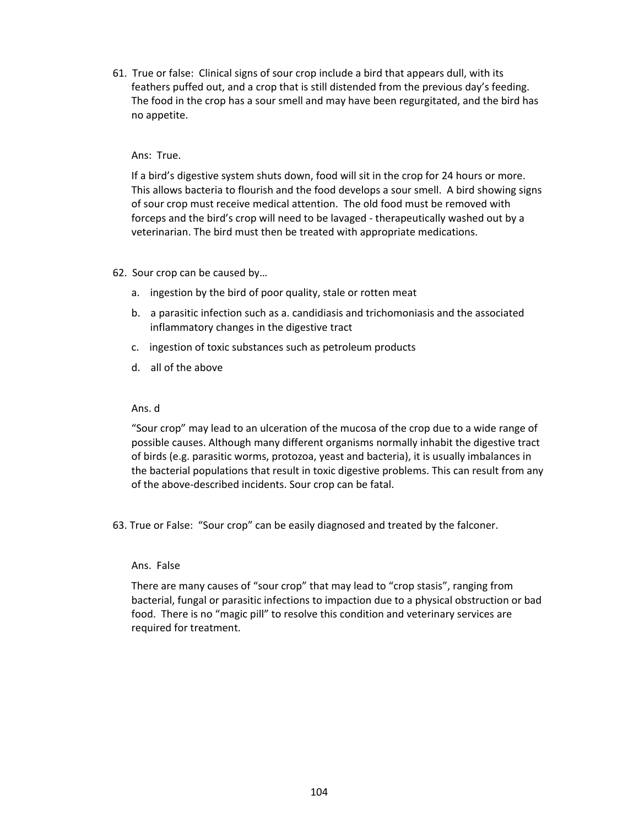61. True or false: Clinical signs of sour crop include a bird that appears dull, with its feathers puffed out, and a crop that is still distended from the previous day's feeding. The food in the crop has a sour smell and may have been regurgitated, and the bird has no appetite.

# Ans: True.

If a bird's digestive system shuts down, food will sit in the crop for 24 hours or more. This allows bacteria to flourish and the food develops a sour smell. A bird showing signs of sour crop must receive medical attention. The old food must be removed with forceps and the bird's crop will need to be lavaged - therapeutically washed out by a veterinarian. The bird must then be treated with appropriate medications.

# 62. Sour crop can be caused by…

- a. ingestion by the bird of poor quality, stale or rotten meat
- b. a parasitic infection such as a. candidiasis and trichomoniasis and the associated inflammatory changes in the digestive tract
- c. ingestion of toxic substances such as petroleum products
- d. all of the above

# Ans. d

"Sour crop" may lead to an ulceration of the mucosa of the crop due to a wide range of possible causes. Although many different organisms normally inhabit the digestive tract of birds (e.g. parasitic worms, protozoa, yeast and bacteria), it is usually imbalances in the bacterial populations that result in toxic digestive problems. This can result from any of the above-described incidents. Sour crop can be fatal.

63. True or False: "Sour crop" can be easily diagnosed and treated by the falconer.

#### Ans. False

There are many causes of "sour crop" that may lead to "crop stasis", ranging from bacterial, fungal or parasitic infections to impaction due to a physical obstruction or bad food. There is no "magic pill" to resolve this condition and veterinary services are required for treatment.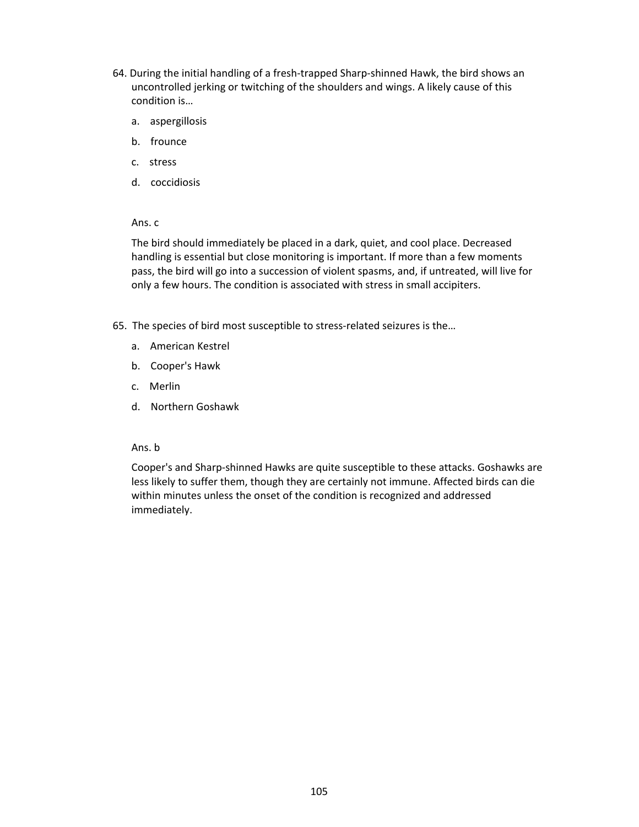- 64. During the initial handling of a fresh-trapped Sharp-shinned Hawk, the bird shows an uncontrolled jerking or twitching of the shoulders and wings. A likely cause of this condition is…
	- a. aspergillosis
	- b. frounce
	- c. stress
	- d. coccidiosis

The bird should immediately be placed in a dark, quiet, and cool place. Decreased handling is essential but close monitoring is important. If more than a few moments pass, the bird will go into a succession of violent spasms, and, if untreated, will live for only a few hours. The condition is associated with stress in small accipiters.

- 65. The species of bird most susceptible to stress-related seizures is the…
	- a. American Kestrel
	- b. Cooper's Hawk
	- c. Merlin
	- d. Northern Goshawk

# Ans. b

Cooper's and Sharp-shinned Hawks are quite susceptible to these attacks. Goshawks are less likely to suffer them, though they are certainly not immune. Affected birds can die within minutes unless the onset of the condition is recognized and addressed immediately.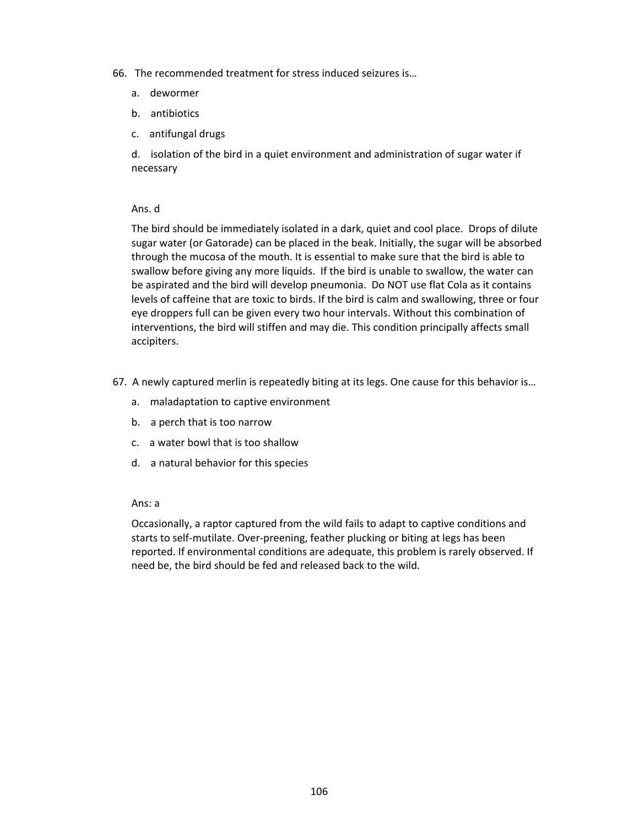- 66. The recommended treatment for stress induced seizures is…
	- a. dewormer
	- b. antibiotics
	- c. antifungal drugs

d. isolation of the bird in a quiet environment and administration of sugar water if necessary

# Ans. d

The bird should be immediately isolated in a dark, quiet and cool place. Drops of dilute sugar water (or Gatorade) can be placed in the beak. Initially, the sugar will be absorbed through the mucosa of the mouth. It is essential to make sure that the bird is able to swallow before giving any more liquids. If the bird is unable to swallow, the water can be aspirated and the bird will develop pneumonia. Do NOT use flat Cola as it contains levels of caffeine that are toxic to birds. If the bird is calm and swallowing, three or four eye droppers full can be given every two hour intervals. Without this combination of interventions, the bird will stiffen and may die. This condition principally affects small accipiters.

- 67. A newly captured merlin is repeatedly biting at its legs. One cause for this behavior is…
	- a. maladaptation to captive environment
	- b. a perch that is too narrow
	- c. a water bowl that is too shallow
	- d. a natural behavior for this species

# Ans: a

Occasionally, a raptor captured from the wild fails to adapt to captive conditions and starts to self-mutilate. Over-preening, feather plucking or biting at legs has been reported. If environmental conditions are adequate, this problem is rarely observed. If need be, the bird should be fed and released back to the wild.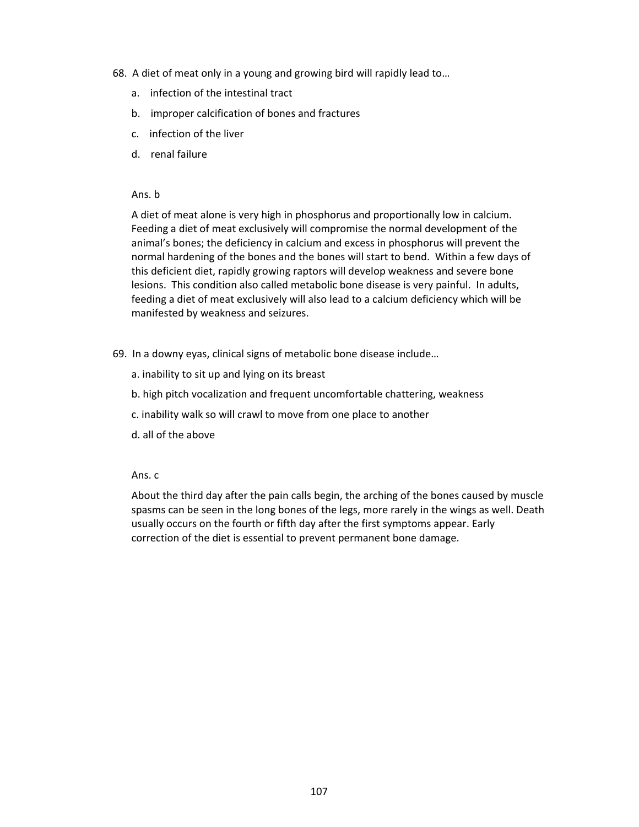- 68. A diet of meat only in a young and growing bird will rapidly lead to…
	- a. infection of the intestinal tract
	- b. improper calcification of bones and fractures
	- c. infection of the liver
	- d. renal failure

#### Ans. b

A diet of meat alone is very high in phosphorus and proportionally low in calcium. Feeding a diet of meat exclusively will compromise the normal development of the animal's bones; the deficiency in calcium and excess in phosphorus will prevent the normal hardening of the bones and the bones will start to bend. Within a few days of this deficient diet, rapidly growing raptors will develop weakness and severe bone lesions. This condition also called metabolic bone disease is very painful. In adults, feeding a diet of meat exclusively will also lead to a calcium deficiency which will be manifested by weakness and seizures.

- 69. In a downy eyas, clinical signs of metabolic bone disease include…
	- a. inability to sit up and lying on its breast
	- b. high pitch vocalization and frequent uncomfortable chattering, weakness
	- c. inability walk so will crawl to move from one place to another
	- d. all of the above

## Ans. c

About the third day after the pain calls begin, the arching of the bones caused by muscle spasms can be seen in the long bones of the legs, more rarely in the wings as well. Death usually occurs on the fourth or fifth day after the first symptoms appear. Early correction of the diet is essential to prevent permanent bone damage.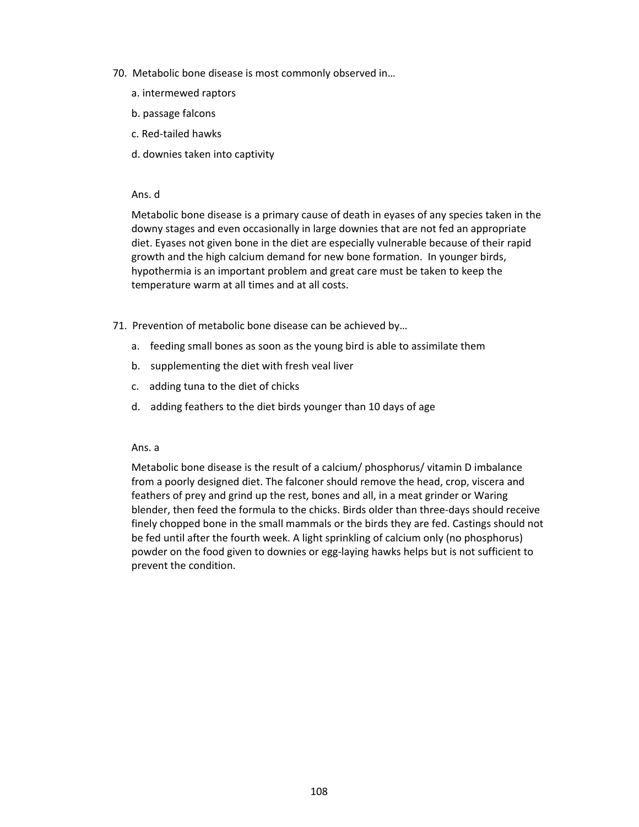- 70. Metabolic bone disease is most commonly observed in…
	- a. intermewed raptors
	- b. passage falcons
	- c. Red-tailed hawks
	- d. downies taken into captivity

Metabolic bone disease is a primary cause of death in eyases of any species taken in the downy stages and even occasionally in large downies that are not fed an appropriate diet. Eyases not given bone in the diet are especially vulnerable because of their rapid growth and the high calcium demand for new bone formation. In younger birds, hypothermia is an important problem and great care must be taken to keep the temperature warm at all times and at all costs.

- 71. Prevention of metabolic bone disease can be achieved by…
	- a. feeding small bones as soon as the young bird is able to assimilate them
	- b. supplementing the diet with fresh veal liver
	- c. adding tuna to the diet of chicks
	- d. adding feathers to the diet birds younger than 10 days of age

#### Ans. a

Metabolic bone disease is the result of a calcium/ phosphorus/ vitamin D imbalance from a poorly designed diet. The falconer should remove the head, crop, viscera and feathers of prey and grind up the rest, bones and all, in a meat grinder or Waring blender, then feed the formula to the chicks. Birds older than three-days should receive finely chopped bone in the small mammals or the birds they are fed. Castings should not be fed until after the fourth week. A light sprinkling of calcium only (no phosphorus) powder on the food given to downies or egg-laying hawks helps but is not sufficient to prevent the condition.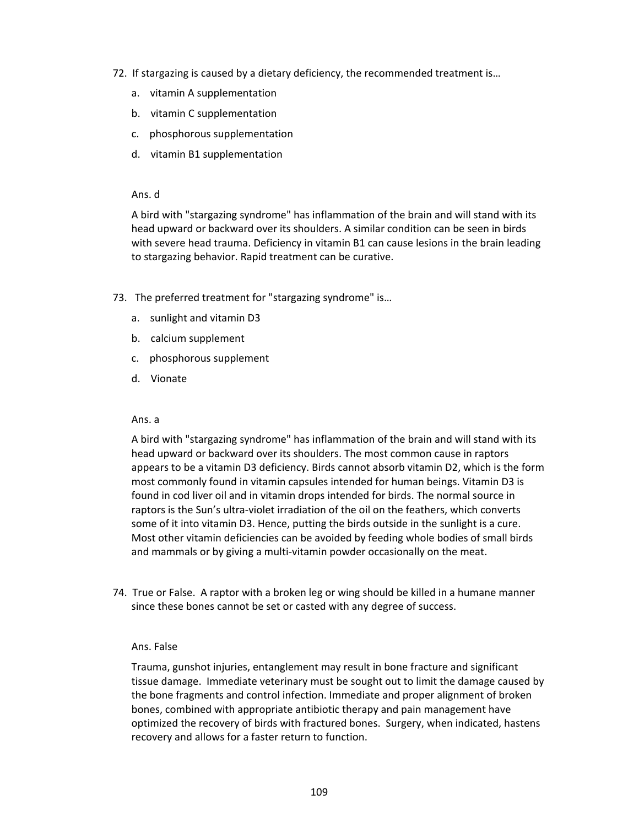- 72. If stargazing is caused by a dietary deficiency, the recommended treatment is…
	- a. vitamin A supplementation
	- b. vitamin C supplementation
	- c. phosphorous supplementation
	- d. vitamin B1 supplementation

A bird with "stargazing syndrome" has inflammation of the brain and will stand with its head upward or backward over its shoulders. A similar condition can be seen in birds with severe head trauma. Deficiency in vitamin B1 can cause lesions in the brain leading to stargazing behavior. Rapid treatment can be curative.

- 73. The preferred treatment for "stargazing syndrome" is...
	- a. sunlight and vitamin D3
	- b. calcium supplement
	- c. phosphorous supplement
	- d. Vionate

#### Ans. a

A bird with "stargazing syndrome" has inflammation of the brain and will stand with its head upward or backward over its shoulders. The most common cause in raptors appears to be a vitamin D3 deficiency. Birds cannot absorb vitamin D2, which is the form most commonly found in vitamin capsules intended for human beings. Vitamin D3 is found in cod liver oil and in vitamin drops intended for birds. The normal source in raptors is the Sun's ultra-violet irradiation of the oil on the feathers, which converts some of it into vitamin D3. Hence, putting the birds outside in the sunlight is a cure. Most other vitamin deficiencies can be avoided by feeding whole bodies of small birds and mammals or by giving a multi-vitamin powder occasionally on the meat.

74. True or False. A raptor with a broken leg or wing should be killed in a humane manner since these bones cannot be set or casted with any degree of success.

#### Ans. False

Trauma, gunshot injuries, entanglement may result in bone fracture and significant tissue damage. Immediate veterinary must be sought out to limit the damage caused by the bone fragments and control infection. Immediate and proper alignment of broken bones, combined with appropriate antibiotic therapy and pain management have optimized the recovery of birds with fractured bones. Surgery, when indicated, hastens recovery and allows for a faster return to function.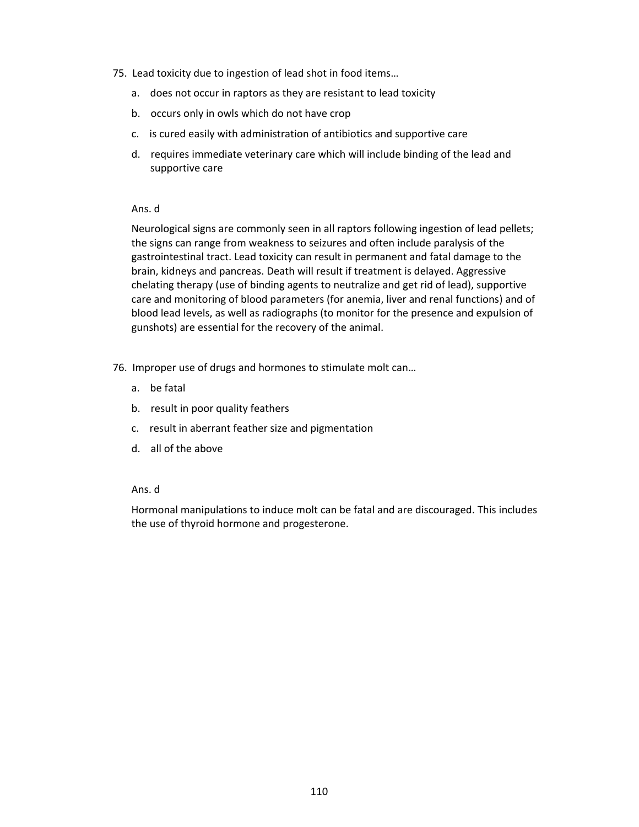- 75. Lead toxicity due to ingestion of lead shot in food items…
	- a. does not occur in raptors as they are resistant to lead toxicity
	- b. occurs only in owls which do not have crop
	- c. is cured easily with administration of antibiotics and supportive care
	- d. requires immediate veterinary care which will include binding of the lead and supportive care

Neurological signs are commonly seen in all raptors following ingestion of lead pellets; the signs can range from weakness to seizures and often include paralysis of the gastrointestinal tract. Lead toxicity can result in permanent and fatal damage to the brain, kidneys and pancreas. Death will result if treatment is delayed. Aggressive chelating therapy (use of binding agents to neutralize and get rid of lead), supportive care and monitoring of blood parameters (for anemia, liver and renal functions) and of blood lead levels, as well as radiographs (to monitor for the presence and expulsion of gunshots) are essential for the recovery of the animal.

- 76. Improper use of drugs and hormones to stimulate molt can…
	- a. be fatal
	- b. result in poor quality feathers
	- c. result in aberrant feather size and pigmentation
	- d. all of the above

## Ans. d

Hormonal manipulations to induce molt can be fatal and are discouraged. This includes the use of thyroid hormone and progesterone.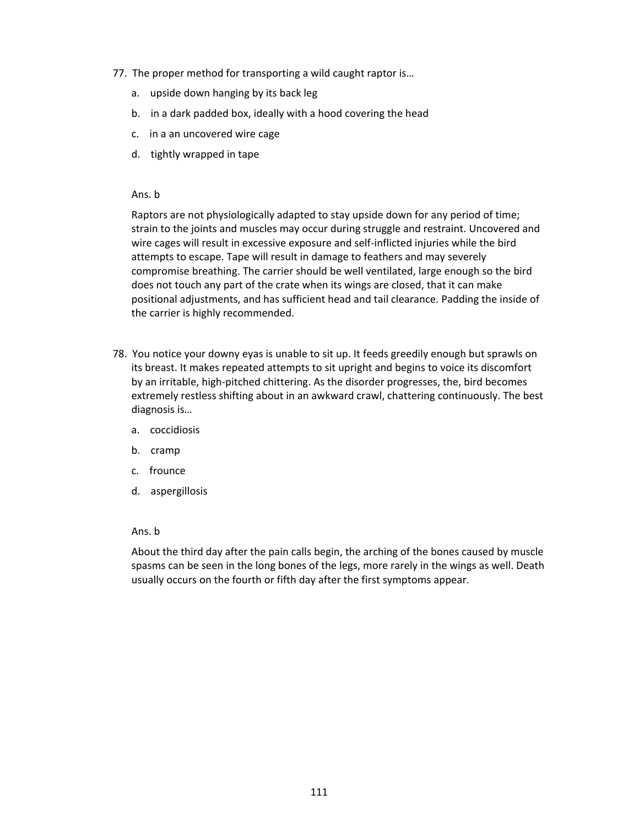- 77. The proper method for transporting a wild caught raptor is…
	- a. upside down hanging by its back leg
	- b. in a dark padded box, ideally with a hood covering the head
	- c. in a an uncovered wire cage
	- d. tightly wrapped in tape

#### Ans. b

Raptors are not physiologically adapted to stay upside down for any period of time; strain to the joints and muscles may occur during struggle and restraint. Uncovered and wire cages will result in excessive exposure and self-inflicted injuries while the bird attempts to escape. Tape will result in damage to feathers and may severely compromise breathing. The carrier should be well ventilated, large enough so the bird does not touch any part of the crate when its wings are closed, that it can make positional adjustments, and has sufficient head and tail clearance. Padding the inside of the carrier is highly recommended.

- 78. You notice your downy eyas is unable to sit up. It feeds greedily enough but sprawls on its breast. It makes repeated attempts to sit upright and begins to voice its discomfort by an irritable, high-pitched chittering. As the disorder progresses, the, bird becomes extremely restless shifting about in an awkward crawl, chattering continuously. The best diagnosis is…
	- a. coccidiosis
	- b. cramp
	- c. frounce
	- d. aspergillosis

#### Ans. b

About the third day after the pain calls begin, the arching of the bones caused by muscle spasms can be seen in the long bones of the legs, more rarely in the wings as well. Death usually occurs on the fourth or fifth day after the first symptoms appear.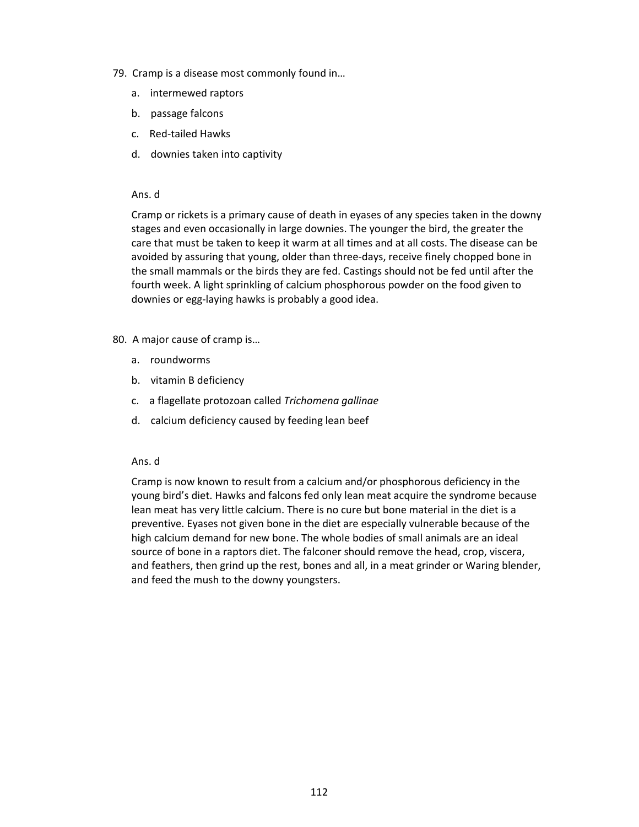- 79. Cramp is a disease most commonly found in…
	- a. intermewed raptors
	- b. passage falcons
	- c. Red-tailed Hawks
	- d. downies taken into captivity

Cramp or rickets is a primary cause of death in eyases of any species taken in the downy stages and even occasionally in large downies. The younger the bird, the greater the care that must be taken to keep it warm at all times and at all costs. The disease can be avoided by assuring that young, older than three-days, receive finely chopped bone in the small mammals or the birds they are fed. Castings should not be fed until after the fourth week. A light sprinkling of calcium phosphorous powder on the food given to downies or egg-laying hawks is probably a good idea.

- 80. A major cause of cramp is…
	- a. roundworms
	- b. vitamin B deficiency
	- c. a flagellate protozoan called *Trichomena gallinae*
	- d. calcium deficiency caused by feeding lean beef

## Ans. d

Cramp is now known to result from a calcium and/or phosphorous deficiency in the young bird's diet. Hawks and falcons fed only lean meat acquire the syndrome because lean meat has very little calcium. There is no cure but bone material in the diet is a preventive. Eyases not given bone in the diet are especially vulnerable because of the high calcium demand for new bone. The whole bodies of small animals are an ideal source of bone in a raptors diet. The falconer should remove the head, crop, viscera, and feathers, then grind up the rest, bones and all, in a meat grinder or Waring blender, and feed the mush to the downy youngsters.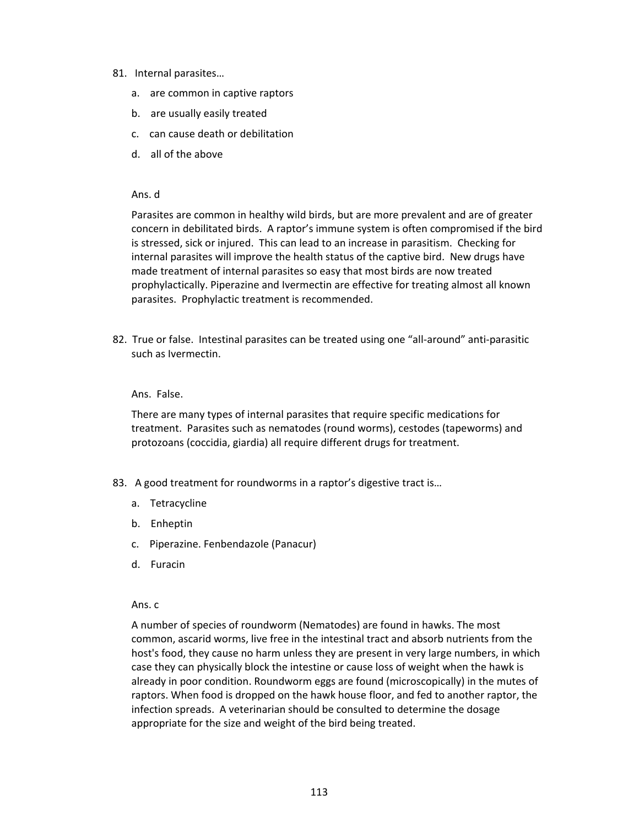- 81. Internal parasites…
	- a. are common in captive raptors
	- b. are usually easily treated
	- c. can cause death or debilitation
	- d. all of the above

Parasites are common in healthy wild birds, but are more prevalent and are of greater concern in debilitated birds. A raptor's immune system is often compromised if the bird is stressed, sick or injured. This can lead to an increase in parasitism. Checking for internal parasites will improve the health status of the captive bird. New drugs have made treatment of internal parasites so easy that most birds are now treated prophylactically. Piperazine and Ivermectin are effective for treating almost all known parasites. Prophylactic treatment is recommended.

82. True or false. Intestinal parasites can be treated using one "all-around" anti-parasitic such as Ivermectin.

#### Ans. False.

There are many types of internal parasites that require specific medications for treatment. Parasites such as nematodes (round worms), cestodes (tapeworms) and protozoans (coccidia, giardia) all require different drugs for treatment.

- 83. A good treatment for roundworms in a raptor's digestive tract is...
	- a. Tetracycline
	- b. Enheptin
	- c. Piperazine. Fenbendazole (Panacur)
	- d. Furacin

#### Ans. c

A number of species of roundworm (Nematodes) are found in hawks. The most common, ascarid worms, live free in the intestinal tract and absorb nutrients from the host's food, they cause no harm unless they are present in very large numbers, in which case they can physically block the intestine or cause loss of weight when the hawk is already in poor condition. Roundworm eggs are found (microscopically) in the mutes of raptors. When food is dropped on the hawk house floor, and fed to another raptor, the infection spreads. A veterinarian should be consulted to determine the dosage appropriate for the size and weight of the bird being treated.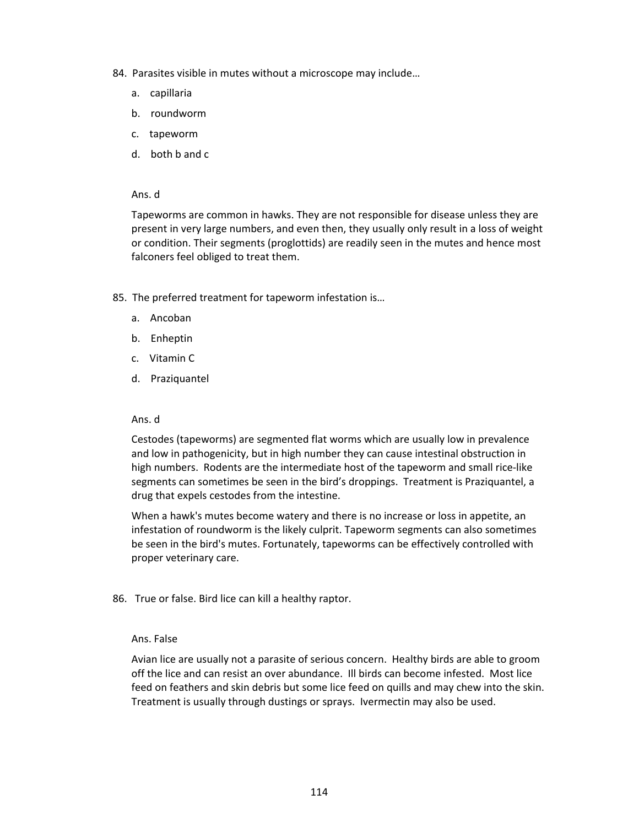- 84. Parasites visible in mutes without a microscope may include…
	- a. capillaria
	- b. roundworm
	- c. tapeworm
	- d. both b and c

Tapeworms are common in hawks. They are not responsible for disease unless they are present in very large numbers, and even then, they usually only result in a loss of weight or condition. Their segments (proglottids) are readily seen in the mutes and hence most falconers feel obliged to treat them.

- 85. The preferred treatment for tapeworm infestation is…
	- a. Ancoban
	- b. Enheptin
	- c. Vitamin C
	- d. Praziquantel

#### Ans. d

Cestodes (tapeworms) are segmented flat worms which are usually low in prevalence and low in pathogenicity, but in high number they can cause intestinal obstruction in high numbers. Rodents are the intermediate host of the tapeworm and small rice-like segments can sometimes be seen in the bird's droppings. Treatment is Praziquantel, a drug that expels cestodes from the intestine.

When a hawk's mutes become watery and there is no increase or loss in appetite, an infestation of roundworm is the likely culprit. Tapeworm segments can also sometimes be seen in the bird's mutes. Fortunately, tapeworms can be effectively controlled with proper veterinary care.

86. True or false. Bird lice can kill a healthy raptor.

#### Ans. False

Avian lice are usually not a parasite of serious concern. Healthy birds are able to groom off the lice and can resist an over abundance. Ill birds can become infested. Most lice feed on feathers and skin debris but some lice feed on quills and may chew into the skin. Treatment is usually through dustings or sprays. Ivermectin may also be used.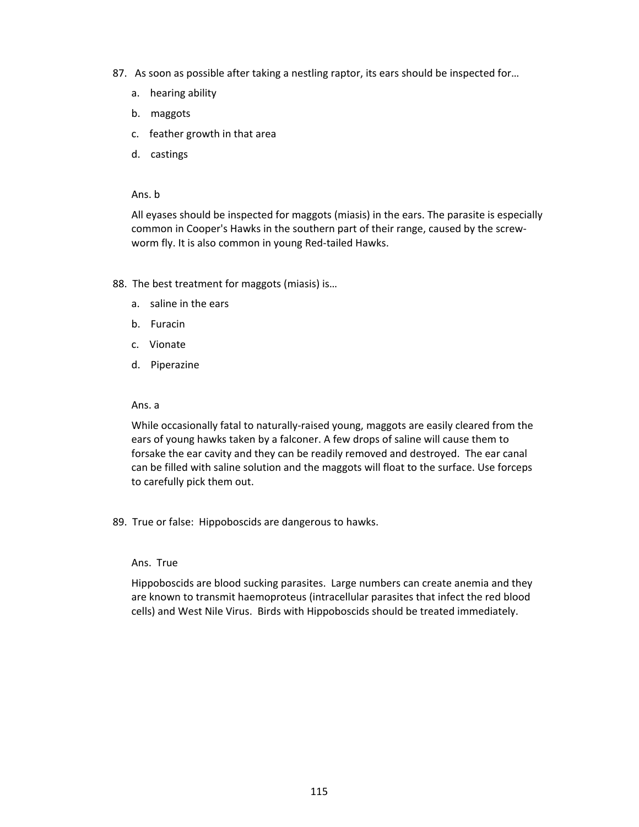- 87. As soon as possible after taking a nestling raptor, its ears should be inspected for...
	- a. hearing ability
	- b. maggots
	- c. feather growth in that area
	- d. castings

Ans. b

All eyases should be inspected for maggots (miasis) in the ears. The parasite is especially common in Cooper's Hawks in the southern part of their range, caused by the screwworm fly. It is also common in young Red-tailed Hawks.

- 88. The best treatment for maggots (miasis) is...
	- a. saline in the ears
	- b. Furacin
	- c. Vionate
	- d. Piperazine

#### Ans. a

While occasionally fatal to naturally-raised young, maggots are easily cleared from the ears of young hawks taken by a falconer. A few drops of saline will cause them to forsake the ear cavity and they can be readily removed and destroyed. The ear canal can be filled with saline solution and the maggots will float to the surface. Use forceps to carefully pick them out.

89. True or false: Hippoboscids are dangerous to hawks.

#### Ans. True

Hippoboscids are blood sucking parasites. Large numbers can create anemia and they are known to transmit haemoproteus (intracellular parasites that infect the red blood cells) and West Nile Virus. Birds with Hippoboscids should be treated immediately.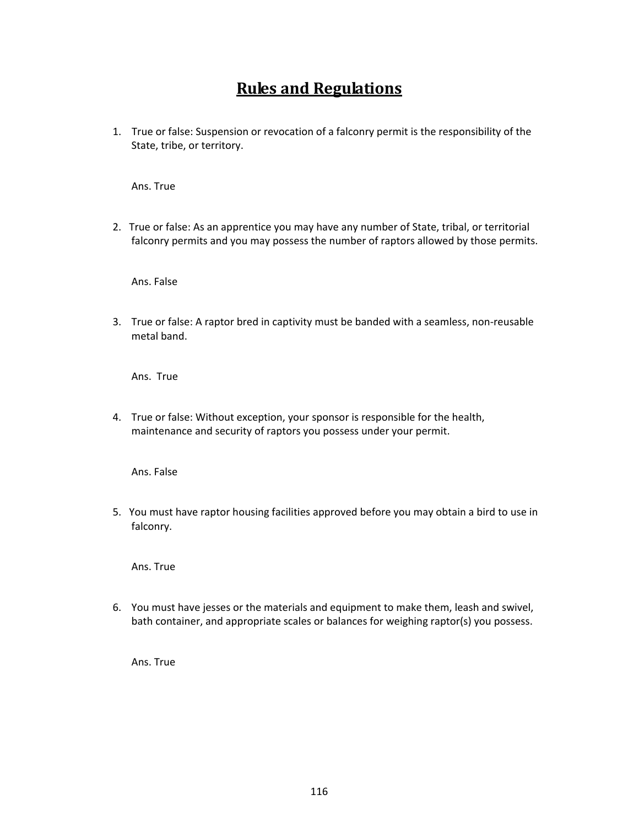# **Rules and Regulations**

1. True or false: Suspension or revocation of a falconry permit is the responsibility of the State, tribe, or territory.

Ans. True

2. True or false: As an apprentice you may have any number of State, tribal, or territorial falconry permits and you may possess the number of raptors allowed by those permits.

Ans. False

3. True or false: A raptor bred in captivity must be banded with a seamless, non-reusable metal band.

Ans. True

4. True or false: Without exception, your sponsor is responsible for the health, maintenance and security of raptors you possess under your permit.

Ans. False

5. You must have raptor housing facilities approved before you may obtain a bird to use in falconry.

Ans. True

6. You must have jesses or the materials and equipment to make them, leash and swivel, bath container, and appropriate scales or balances for weighing raptor(s) you possess.

Ans. True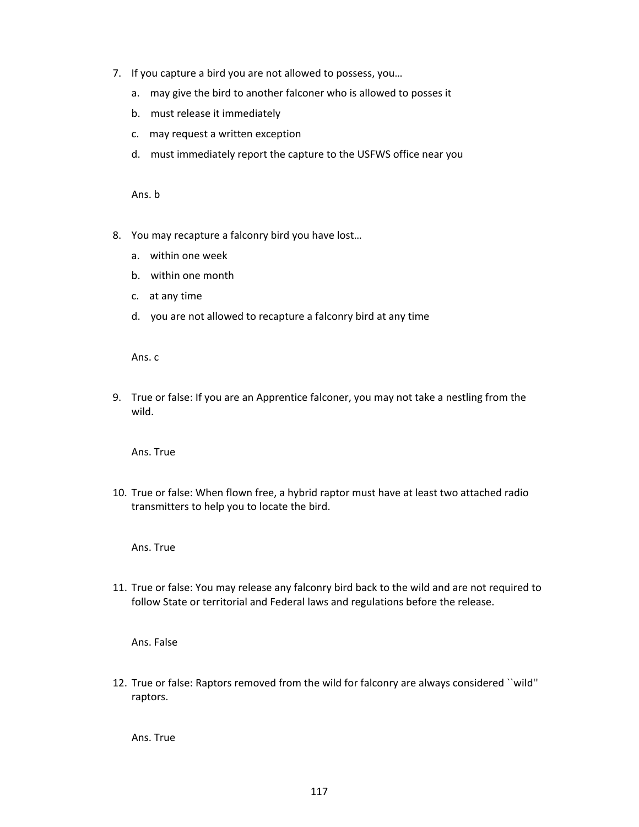- 7. If you capture a bird you are not allowed to possess, you…
	- a. may give the bird to another falconer who is allowed to posses it
	- b. must release it immediately
	- c. may request a written exception
	- d. must immediately report the capture to the USFWS office near you

Ans. b

- 8. You may recapture a falconry bird you have lost…
	- a. within one week
	- b. within one month
	- c. at any time
	- d. you are not allowed to recapture a falconry bird at any time

Ans. c

9. True or false: If you are an Apprentice falconer, you may not take a nestling from the wild.

Ans. True

10. True or false: When flown free, a hybrid raptor must have at least two attached radio transmitters to help you to locate the bird.

Ans. True

11. True or false: You may release any falconry bird back to the wild and are not required to follow State or territorial and Federal laws and regulations before the release.

Ans. False

12. True or false: Raptors removed from the wild for falconry are always considered ``wild'' raptors.

Ans. True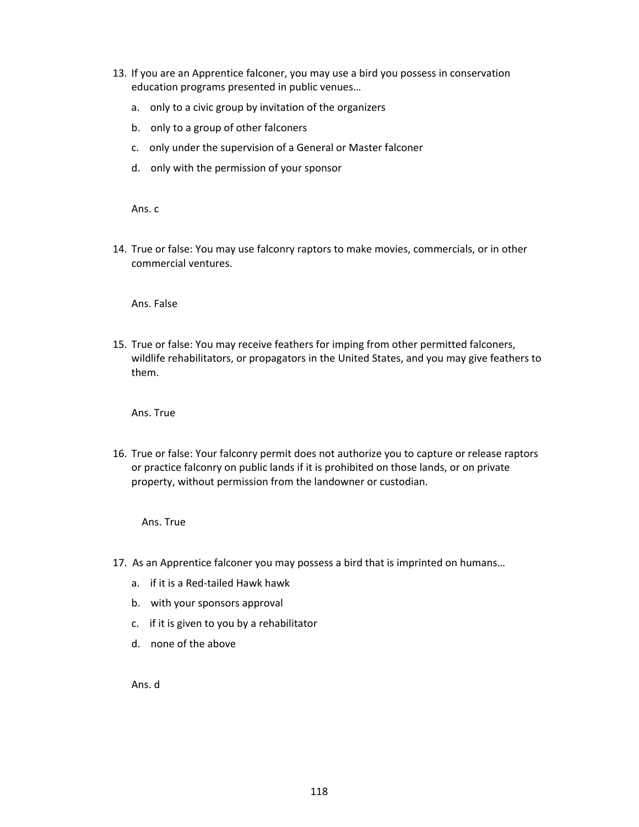- 13. If you are an Apprentice falconer, you may use a bird you possess in conservation education programs presented in public venues…
	- a. only to a civic group by invitation of the organizers
	- b. only to a group of other falconers
	- c. only under the supervision of a General or Master falconer
	- d. only with the permission of your sponsor

Ans. c

14. True or false: You may use falconry raptors to make movies, commercials, or in other commercial ventures.

Ans. False

15. True or false: You may receive feathers for imping from other permitted falconers, wildlife rehabilitators, or propagators in the United States, and you may give feathers to them.

Ans. True

16. True or false: Your falconry permit does not authorize you to capture or release raptors or practice falconry on public lands if it is prohibited on those lands, or on private property, without permission from the landowner or custodian.

Ans. True

- 17. As an Apprentice falconer you may possess a bird that is imprinted on humans…
	- a. if it is a Red-tailed Hawk hawk
	- b. with your sponsors approval
	- c. if it is given to you by a rehabilitator
	- d. none of the above

Ans. d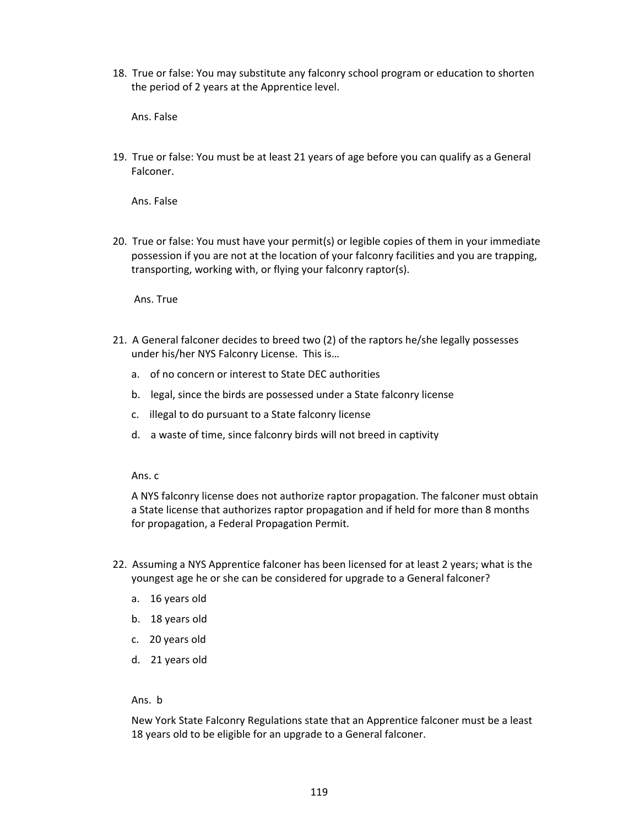18. True or false: You may substitute any falconry school program or education to shorten the period of 2 years at the Apprentice level.

Ans. False

19. True or false: You must be at least 21 years of age before you can qualify as a General Falconer.

Ans. False

20. True or false: You must have your permit(s) or legible copies of them in your immediate possession if you are not at the location of your falconry facilities and you are trapping, transporting, working with, or flying your falconry raptor(s).

Ans. True

- 21. A General falconer decides to breed two (2) of the raptors he/she legally possesses under his/her NYS Falconry License. This is…
	- a. of no concern or interest to State DEC authorities
	- b. legal, since the birds are possessed under a State falconry license
	- c. illegal to do pursuant to a State falconry license
	- d. a waste of time, since falconry birds will not breed in captivity

Ans. c

A NYS falconry license does not authorize raptor propagation. The falconer must obtain a State license that authorizes raptor propagation and if held for more than 8 months for propagation, a Federal Propagation Permit.

- 22. Assuming a NYS Apprentice falconer has been licensed for at least 2 years; what is the youngest age he or she can be considered for upgrade to a General falconer?
	- a. 16 years old
	- b. 18 years old
	- c. 20 years old
	- d. 21 years old

Ans. b

New York State Falconry Regulations state that an Apprentice falconer must be a least 18 years old to be eligible for an upgrade to a General falconer.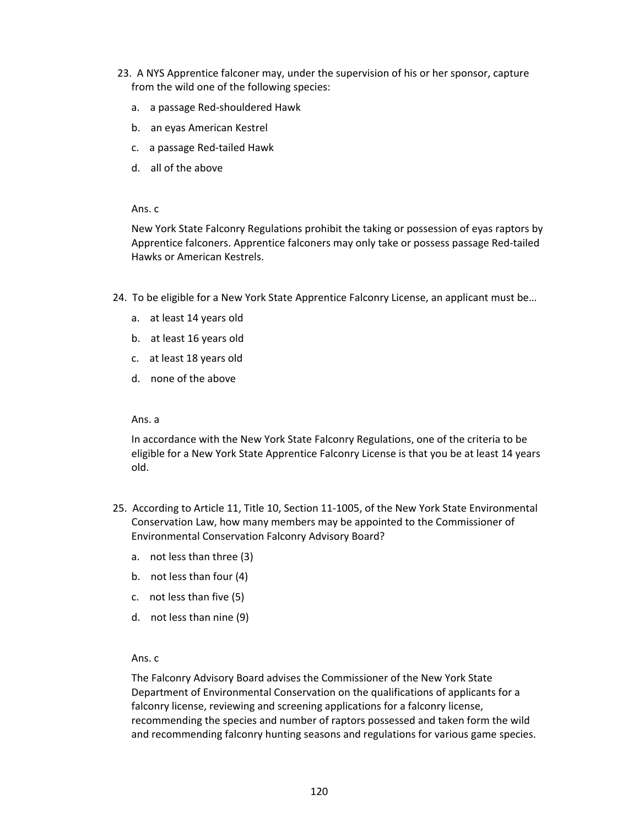- 23. A NYS Apprentice falconer may, under the supervision of his or her sponsor, capture from the wild one of the following species:
	- a. a passage Red-shouldered Hawk
	- b. an eyas American Kestrel
	- c. a passage Red-tailed Hawk
	- d. all of the above

#### Ans. c

New York State Falconry Regulations prohibit the taking or possession of eyas raptors by Apprentice falconers. Apprentice falconers may only take or possess passage Red-tailed Hawks or American Kestrels.

- 24. To be eligible for a New York State Apprentice Falconry License, an applicant must be…
	- a. at least 14 years old
	- b. at least 16 years old
	- c. at least 18 years old
	- d. none of the above

#### Ans. a

In accordance with the New York State Falconry Regulations, one of the criteria to be eligible for a New York State Apprentice Falconry License is that you be at least 14 years old.

- 25. According to Article 11, Title 10, Section 11-1005, of the New York State Environmental Conservation Law, how many members may be appointed to the Commissioner of Environmental Conservation Falconry Advisory Board?
	- a. not less than three (3)
	- b. not less than four (4)
	- c. not less than five (5)
	- d. not less than nine (9)

#### Ans. c

The Falconry Advisory Board advises the Commissioner of the New York State Department of Environmental Conservation on the qualifications of applicants for a falconry license, reviewing and screening applications for a falconry license, recommending the species and number of raptors possessed and taken form the wild and recommending falconry hunting seasons and regulations for various game species.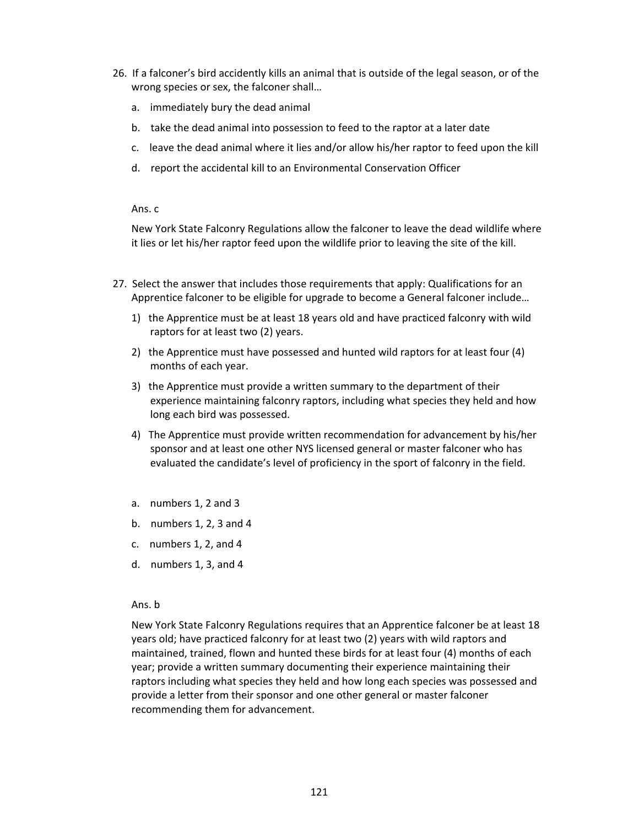- 26. If a falconer's bird accidently kills an animal that is outside of the legal season, or of the wrong species or sex, the falconer shall…
	- a. immediately bury the dead animal
	- b. take the dead animal into possession to feed to the raptor at a later date
	- c. leave the dead animal where it lies and/or allow his/her raptor to feed upon the kill
	- d. report the accidental kill to an Environmental Conservation Officer

#### Ans. c

New York State Falconry Regulations allow the falconer to leave the dead wildlife where it lies or let his/her raptor feed upon the wildlife prior to leaving the site of the kill.

- 27. Select the answer that includes those requirements that apply: Qualifications for an Apprentice falconer to be eligible for upgrade to become a General falconer include…
	- 1) the Apprentice must be at least 18 years old and have practiced falconry with wild raptors for at least two (2) years.
	- 2) the Apprentice must have possessed and hunted wild raptors for at least four (4) months of each year.
	- 3) the Apprentice must provide a written summary to the department of their experience maintaining falconry raptors, including what species they held and how long each bird was possessed.
	- 4) The Apprentice must provide written recommendation for advancement by his/her sponsor and at least one other NYS licensed general or master falconer who has evaluated the candidate's level of proficiency in the sport of falconry in the field.
	- a. numbers 1, 2 and 3
	- b. numbers 1, 2, 3 and 4
	- c. numbers 1, 2, and 4
	- d. numbers 1, 3, and 4

#### Ans. b

New York State Falconry Regulations requires that an Apprentice falconer be at least 18 years old; have practiced falconry for at least two (2) years with wild raptors and maintained, trained, flown and hunted these birds for at least four (4) months of each year; provide a written summary documenting their experience maintaining their raptors including what species they held and how long each species was possessed and provide a letter from their sponsor and one other general or master falconer recommending them for advancement.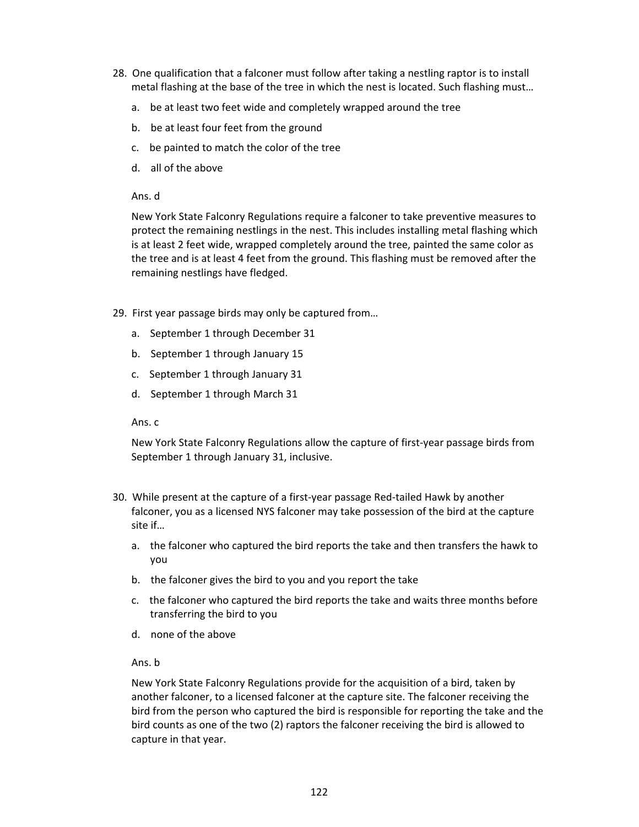- 28. One qualification that a falconer must follow after taking a nestling raptor is to install metal flashing at the base of the tree in which the nest is located. Such flashing must…
	- a. be at least two feet wide and completely wrapped around the tree
	- b. be at least four feet from the ground
	- c. be painted to match the color of the tree
	- d. all of the above

New York State Falconry Regulations require a falconer to take preventive measures to protect the remaining nestlings in the nest. This includes installing metal flashing which is at least 2 feet wide, wrapped completely around the tree, painted the same color as the tree and is at least 4 feet from the ground. This flashing must be removed after the remaining nestlings have fledged.

- 29. First year passage birds may only be captured from…
	- a. September 1 through December 31
	- b. September 1 through January 15
	- c. September 1 through January 31
	- d. September 1 through March 31

Ans. c

New York State Falconry Regulations allow the capture of first-year passage birds from September 1 through January 31, inclusive.

- 30. While present at the capture of a first-year passage Red-tailed Hawk by another falconer, you as a licensed NYS falconer may take possession of the bird at the capture site if…
	- a. the falconer who captured the bird reports the take and then transfers the hawk to you
	- b. the falconer gives the bird to you and you report the take
	- c. the falconer who captured the bird reports the take and waits three months before transferring the bird to you
	- d. none of the above
	- Ans. b

New York State Falconry Regulations provide for the acquisition of a bird, taken by another falconer, to a licensed falconer at the capture site. The falconer receiving the bird from the person who captured the bird is responsible for reporting the take and the bird counts as one of the two (2) raptors the falconer receiving the bird is allowed to capture in that year.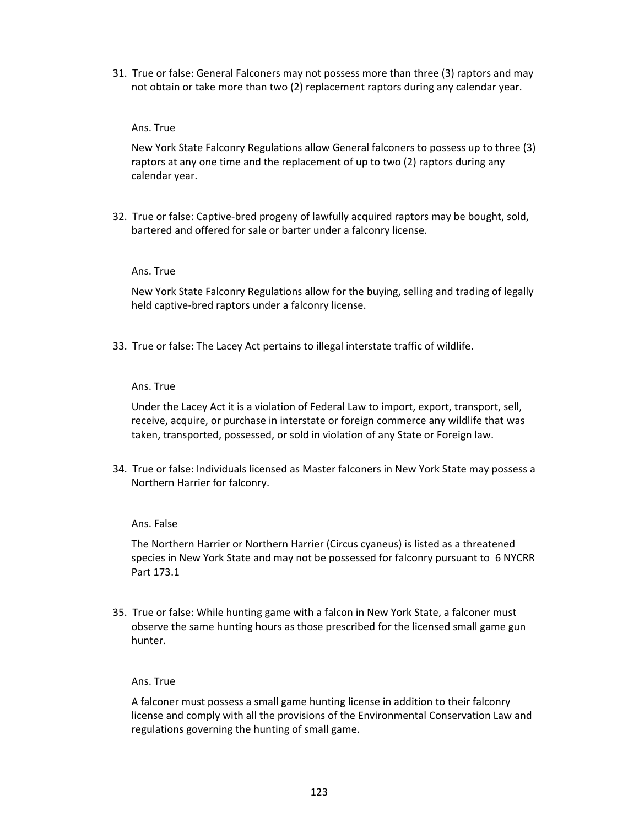31. True or false: General Falconers may not possess more than three (3) raptors and may not obtain or take more than two (2) replacement raptors during any calendar year.

#### Ans. True

New York State Falconry Regulations allow General falconers to possess up to three (3) raptors at any one time and the replacement of up to two (2) raptors during any calendar year.

32. True or false: Captive-bred progeny of lawfully acquired raptors may be bought, sold, bartered and offered for sale or barter under a falconry license.

## Ans. True

New York State Falconry Regulations allow for the buying, selling and trading of legally held captive-bred raptors under a falconry license.

33. True or false: The Lacey Act pertains to illegal interstate traffic of wildlife.

## Ans. True

Under the Lacey Act it is a violation of Federal Law to import, export, transport, sell, receive, acquire, or purchase in interstate or foreign commerce any wildlife that was taken, transported, possessed, or sold in violation of any State or Foreign law.

34. True or false: Individuals licensed as Master falconers in New York State may possess a Northern Harrier for falconry.

## Ans. False

The Northern Harrier or Northern Harrier (Circus cyaneus) is listed as a threatened species in New York State and may not be possessed for falconry pursuant to 6 NYCRR Part 173.1

35. True or false: While hunting game with a falcon in New York State, a falconer must observe the same hunting hours as those prescribed for the licensed small game gun hunter.

#### Ans. True

A falconer must possess a small game hunting license in addition to their falconry license and comply with all the provisions of the Environmental Conservation Law and regulations governing the hunting of small game.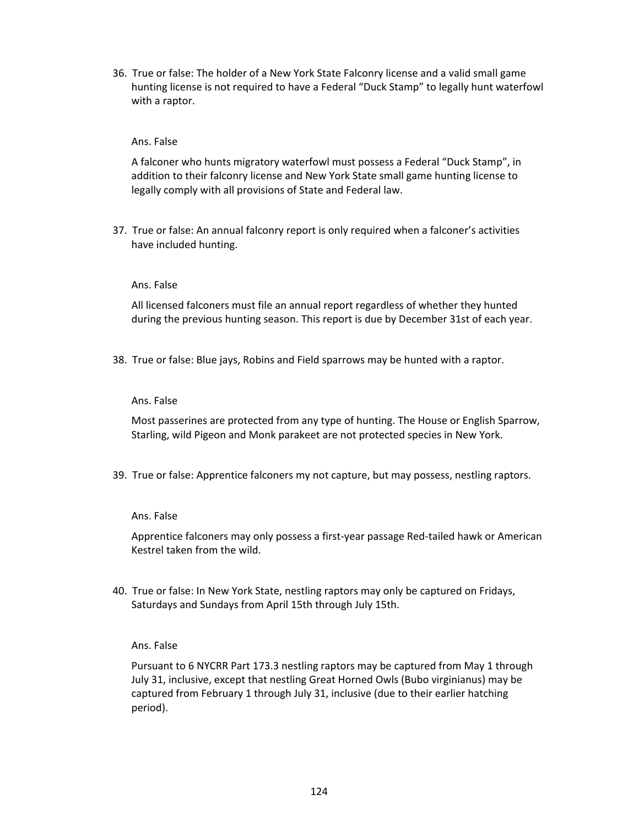36. True or false: The holder of a New York State Falconry license and a valid small game hunting license is not required to have a Federal "Duck Stamp" to legally hunt waterfowl with a raptor.

## Ans. False

A falconer who hunts migratory waterfowl must possess a Federal "Duck Stamp", in addition to their falconry license and New York State small game hunting license to legally comply with all provisions of State and Federal law.

37. True or false: An annual falconry report is only required when a falconer's activities have included hunting.

#### Ans. False

All licensed falconers must file an annual report regardless of whether they hunted during the previous hunting season. This report is due by December 31st of each year.

38. True or false: Blue jays, Robins and Field sparrows may be hunted with a raptor.

#### Ans. False

Most passerines are protected from any type of hunting. The House or English Sparrow, Starling, wild Pigeon and Monk parakeet are not protected species in New York.

39. True or false: Apprentice falconers my not capture, but may possess, nestling raptors.

#### Ans. False

Apprentice falconers may only possess a first-year passage Red-tailed hawk or American Kestrel taken from the wild.

40. True or false: In New York State, nestling raptors may only be captured on Fridays, Saturdays and Sundays from April 15th through July 15th.

#### Ans. False

Pursuant to 6 NYCRR Part 173.3 nestling raptors may be captured from May 1 through July 31, inclusive, except that nestling Great Horned Owls (Bubo virginianus) may be captured from February 1 through July 31, inclusive (due to their earlier hatching period).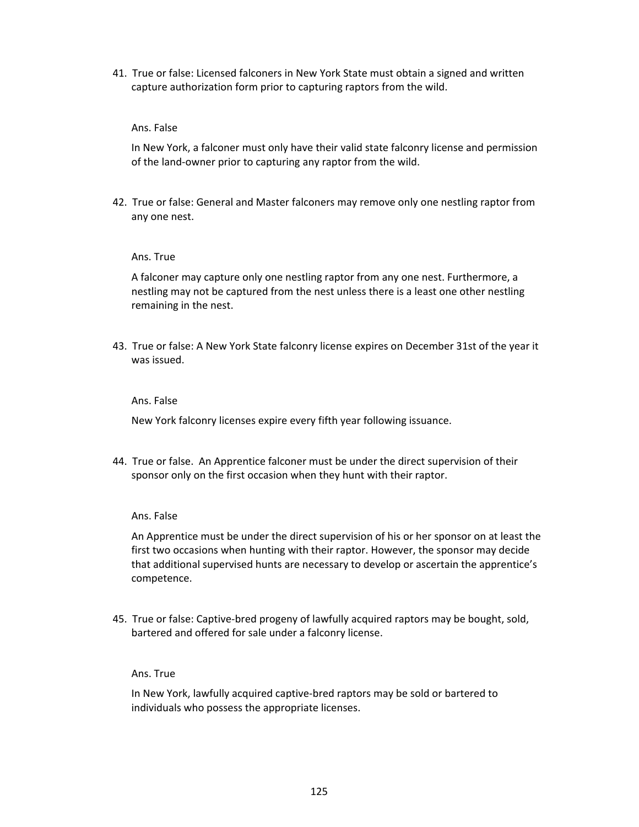41. True or false: Licensed falconers in New York State must obtain a signed and written capture authorization form prior to capturing raptors from the wild.

#### Ans. False

In New York, a falconer must only have their valid state falconry license and permission of the land-owner prior to capturing any raptor from the wild.

42. True or false: General and Master falconers may remove only one nestling raptor from any one nest.

#### Ans. True

A falconer may capture only one nestling raptor from any one nest. Furthermore, a nestling may not be captured from the nest unless there is a least one other nestling remaining in the nest.

43. True or false: A New York State falconry license expires on December 31st of the year it was issued.

#### Ans. False

New York falconry licenses expire every fifth year following issuance.

44. True or false. An Apprentice falconer must be under the direct supervision of their sponsor only on the first occasion when they hunt with their raptor.

#### Ans. False

An Apprentice must be under the direct supervision of his or her sponsor on at least the first two occasions when hunting with their raptor. However, the sponsor may decide that additional supervised hunts are necessary to develop or ascertain the apprentice's competence.

45. True or false: Captive-bred progeny of lawfully acquired raptors may be bought, sold, bartered and offered for sale under a falconry license.

## Ans. True

In New York, lawfully acquired captive-bred raptors may be sold or bartered to individuals who possess the appropriate licenses.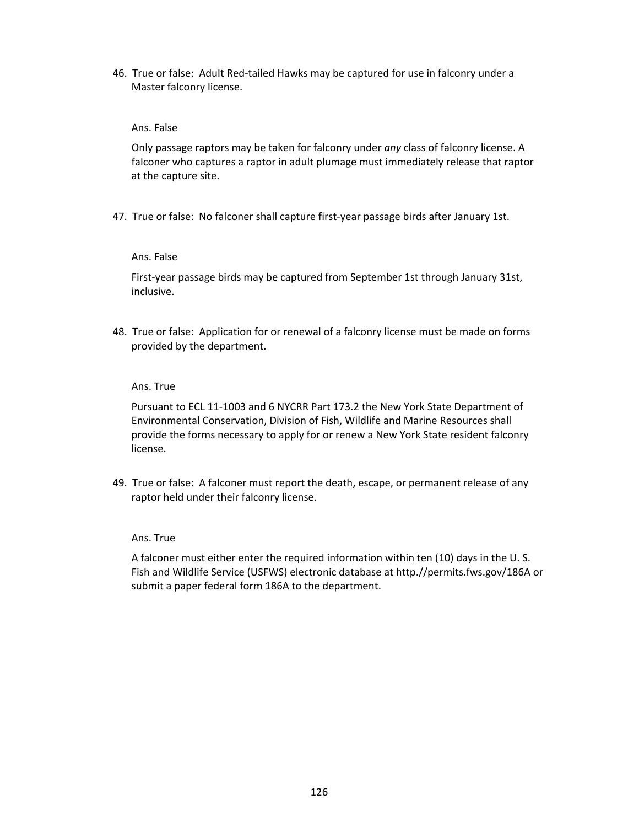46. True or false: Adult Red-tailed Hawks may be captured for use in falconry under a Master falconry license.

## Ans. False

Only passage raptors may be taken for falconry under *any* class of falconry license. A falconer who captures a raptor in adult plumage must immediately release that raptor at the capture site.

47. True or false: No falconer shall capture first-year passage birds after January 1st.

## Ans. False

First-year passage birds may be captured from September 1st through January 31st, inclusive.

48. True or false: Application for or renewal of a falconry license must be made on forms provided by the department.

## Ans. True

Pursuant to ECL 11-1003 and 6 NYCRR Part 173.2 the New York State Department of Environmental Conservation, Division of Fish, Wildlife and Marine Resources shall provide the forms necessary to apply for or renew a New York State resident falconry license.

49. True or false: A falconer must report the death, escape, or permanent release of any raptor held under their falconry license.

#### Ans. True

A falconer must either enter the required information within ten (10) days in the U. S. Fish and Wildlife Service (USFWS) electronic database at http.//permits.fws.gov/186A or submit a paper federal form 186A to the department.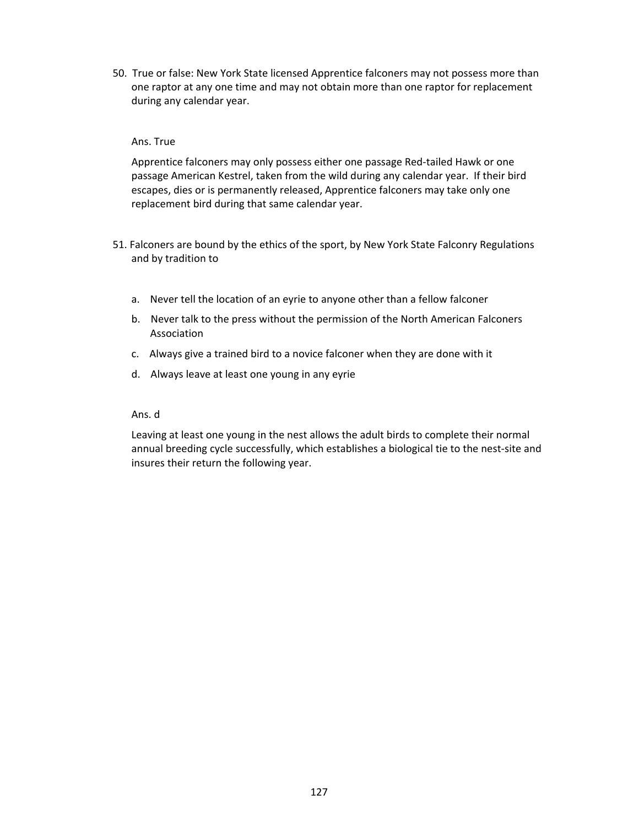50. True or false: New York State licensed Apprentice falconers may not possess more than one raptor at any one time and may not obtain more than one raptor for replacement during any calendar year.

## Ans. True

Apprentice falconers may only possess either one passage Red-tailed Hawk or one passage American Kestrel, taken from the wild during any calendar year. If their bird escapes, dies or is permanently released, Apprentice falconers may take only one replacement bird during that same calendar year.

- 51. Falconers are bound by the ethics of the sport, by New York State Falconry Regulations and by tradition to
	- a. Never tell the location of an eyrie to anyone other than a fellow falconer
	- b. Never talk to the press without the permission of the North American Falconers Association
	- c. Always give a trained bird to a novice falconer when they are done with it
	- d. Always leave at least one young in any eyrie

#### Ans. d

Leaving at least one young in the nest allows the adult birds to complete their normal annual breeding cycle successfully, which establishes a biological tie to the nest-site and insures their return the following year.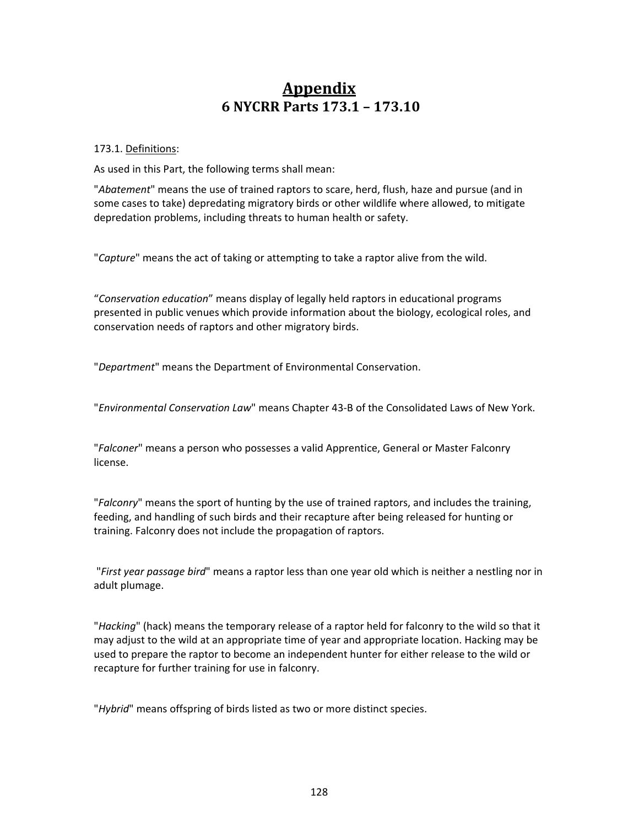## **Appendix 6 NYCRR Parts 173.1 – 173.10**

## 173.1. Definitions:

As used in this Part, the following terms shall mean:

"*Abatement*" means the use of trained raptors to scare, herd, flush, haze and pursue (and in some cases to take) depredating migratory birds or other wildlife where allowed, to mitigate depredation problems, including threats to human health or safety.

"*Capture*" means the act of taking or attempting to take a raptor alive from the wild.

"*Conservation education*" means display of legally held raptors in educational programs presented in public venues which provide information about the biology, ecological roles, and conservation needs of raptors and other migratory birds.

"*Department*" means the Department of Environmental Conservation.

"*Environmental Conservation Law*" means Chapter 43-B of the Consolidated Laws of New York.

"*Falconer*" means a person who possesses a valid Apprentice, General or Master Falconry license.

"*Falconry*" means the sport of hunting by the use of trained raptors, and includes the training, feeding, and handling of such birds and their recapture after being released for hunting or training. Falconry does not include the propagation of raptors.

"*First year passage bird*" means a raptor less than one year old which is neither a nestling nor in adult plumage.

"*Hacking*" (hack) means the temporary release of a raptor held for falconry to the wild so that it may adjust to the wild at an appropriate time of year and appropriate location. Hacking may be used to prepare the raptor to become an independent hunter for either release to the wild or recapture for further training for use in falconry.

"*Hybrid*" means offspring of birds listed as two or more distinct species.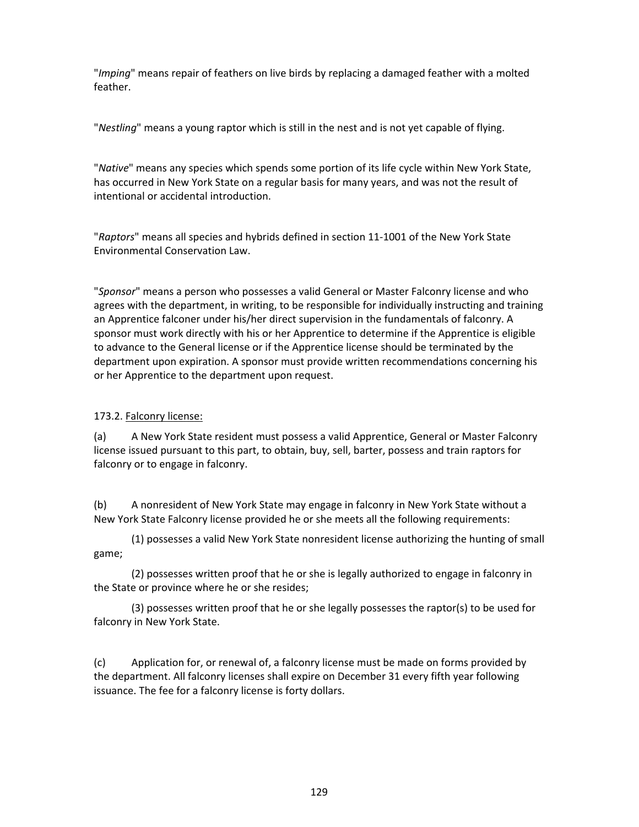"*Imping*" means repair of feathers on live birds by replacing a damaged feather with a molted feather.

"*Nestling*" means a young raptor which is still in the nest and is not yet capable of flying.

"*Native*" means any species which spends some portion of its life cycle within New York State, has occurred in New York State on a regular basis for many years, and was not the result of intentional or accidental introduction.

"*Raptors*" means all species and hybrids defined in section 11-1001 of the New York State Environmental Conservation Law.

"*Sponsor*" means a person who possesses a valid General or Master Falconry license and who agrees with the department, in writing, to be responsible for individually instructing and training an Apprentice falconer under his/her direct supervision in the fundamentals of falconry. A sponsor must work directly with his or her Apprentice to determine if the Apprentice is eligible to advance to the General license or if the Apprentice license should be terminated by the department upon expiration. A sponsor must provide written recommendations concerning his or her Apprentice to the department upon request.

## 173.2. Falconry license:

(a) A New York State resident must possess a valid Apprentice, General or Master Falconry license issued pursuant to this part, to obtain, buy, sell, barter, possess and train raptors for falconry or to engage in falconry.

(b) A nonresident of New York State may engage in falconry in New York State without a New York State Falconry license provided he or she meets all the following requirements:

(1) possesses a valid New York State nonresident license authorizing the hunting of small game;

(2) possesses written proof that he or she is legally authorized to engage in falconry in the State or province where he or she resides;

(3) possesses written proof that he or she legally possesses the raptor(s) to be used for falconry in New York State.

(c) Application for, or renewal of, a falconry license must be made on forms provided by the department. All falconry licenses shall expire on December 31 every fifth year following issuance. The fee for a falconry license is forty dollars.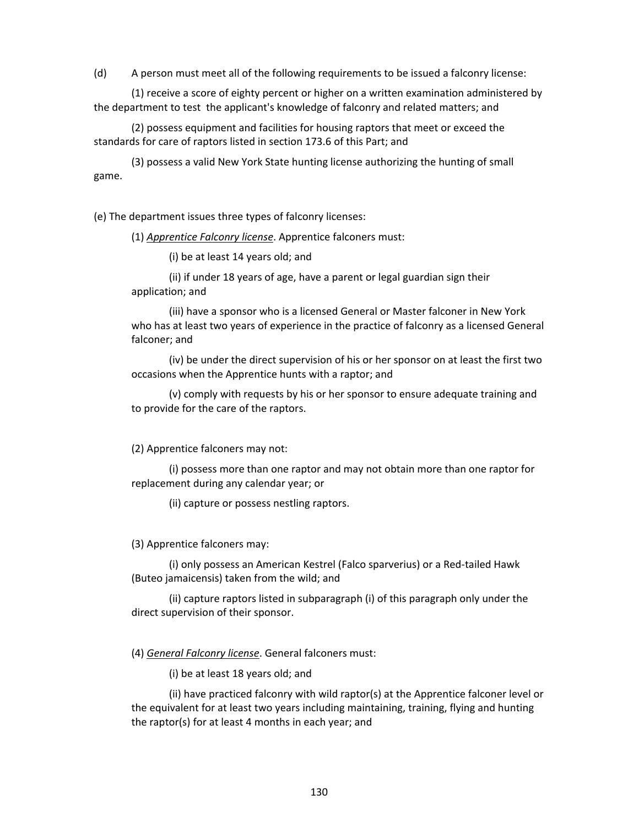(d) A person must meet all of the following requirements to be issued a falconry license:

(1) receive a score of eighty percent or higher on a written examination administered by the department to test the applicant's knowledge of falconry and related matters; and

(2) possess equipment and facilities for housing raptors that meet or exceed the standards for care of raptors listed in section 173.6 of this Part; and

(3) possess a valid New York State hunting license authorizing the hunting of small game.

(e) The department issues three types of falconry licenses:

(1) *Apprentice Falconry license*. Apprentice falconers must:

(i) be at least 14 years old; and

(ii) if under 18 years of age, have a parent or legal guardian sign their application; and

(iii) have a sponsor who is a licensed General or Master falconer in New York who has at least two years of experience in the practice of falconry as a licensed General falconer; and

(iv) be under the direct supervision of his or her sponsor on at least the first two occasions when the Apprentice hunts with a raptor; and

(v) comply with requests by his or her sponsor to ensure adequate training and to provide for the care of the raptors.

(2) Apprentice falconers may not:

(i) possess more than one raptor and may not obtain more than one raptor for replacement during any calendar year; or

(ii) capture or possess nestling raptors.

(3) Apprentice falconers may:

(i) only possess an American Kestrel (Falco sparverius) or a Red-tailed Hawk (Buteo jamaicensis) taken from the wild; and

(ii) capture raptors listed in subparagraph (i) of this paragraph only under the direct supervision of their sponsor.

(4) *General Falconry license*. General falconers must:

(i) be at least 18 years old; and

(ii) have practiced falconry with wild raptor(s) at the Apprentice falconer level or the equivalent for at least two years including maintaining, training, flying and hunting the raptor(s) for at least 4 months in each year; and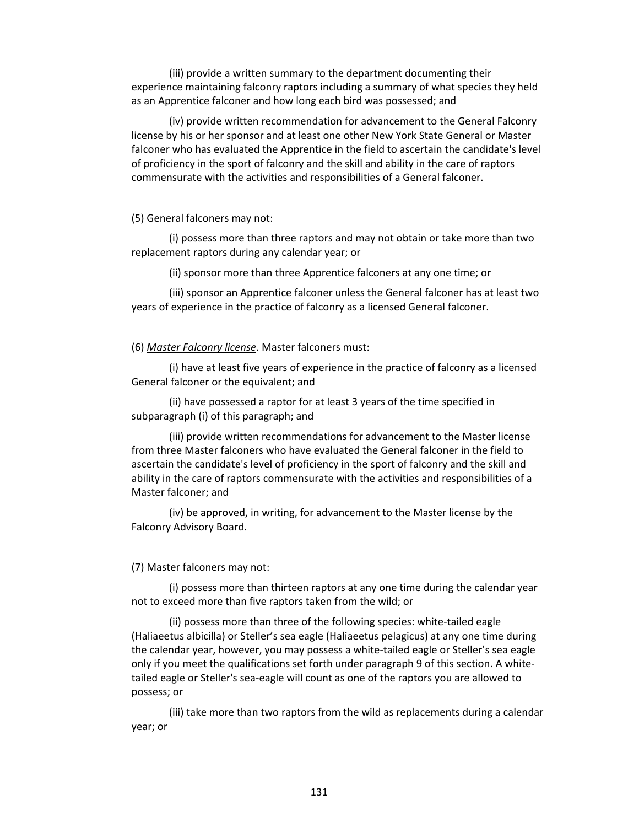(iii) provide a written summary to the department documenting their experience maintaining falconry raptors including a summary of what species they held as an Apprentice falconer and how long each bird was possessed; and

(iv) provide written recommendation for advancement to the General Falconry license by his or her sponsor and at least one other New York State General or Master falconer who has evaluated the Apprentice in the field to ascertain the candidate's level of proficiency in the sport of falconry and the skill and ability in the care of raptors commensurate with the activities and responsibilities of a General falconer.

## (5) General falconers may not:

(i) possess more than three raptors and may not obtain or take more than two replacement raptors during any calendar year; or

(ii) sponsor more than three Apprentice falconers at any one time; or

(iii) sponsor an Apprentice falconer unless the General falconer has at least two years of experience in the practice of falconry as a licensed General falconer.

(6) *Master Falconry license*. Master falconers must:

(i) have at least five years of experience in the practice of falconry as a licensed General falconer or the equivalent; and

(ii) have possessed a raptor for at least 3 years of the time specified in subparagraph (i) of this paragraph; and

(iii) provide written recommendations for advancement to the Master license from three Master falconers who have evaluated the General falconer in the field to ascertain the candidate's level of proficiency in the sport of falconry and the skill and ability in the care of raptors commensurate with the activities and responsibilities of a Master falconer; and

(iv) be approved, in writing, for advancement to the Master license by the Falconry Advisory Board.

#### (7) Master falconers may not:

(i) possess more than thirteen raptors at any one time during the calendar year not to exceed more than five raptors taken from the wild; or

(ii) possess more than three of the following species: white-tailed eagle (Haliaeetus albicilla) or Steller's sea eagle (Haliaeetus pelagicus) at any one time during the calendar year, however, you may possess a white-tailed eagle or Steller's sea eagle only if you meet the qualifications set forth under paragraph 9 of this section. A whitetailed eagle or Steller's sea-eagle will count as one of the raptors you are allowed to possess; or

(iii) take more than two raptors from the wild as replacements during a calendar year; or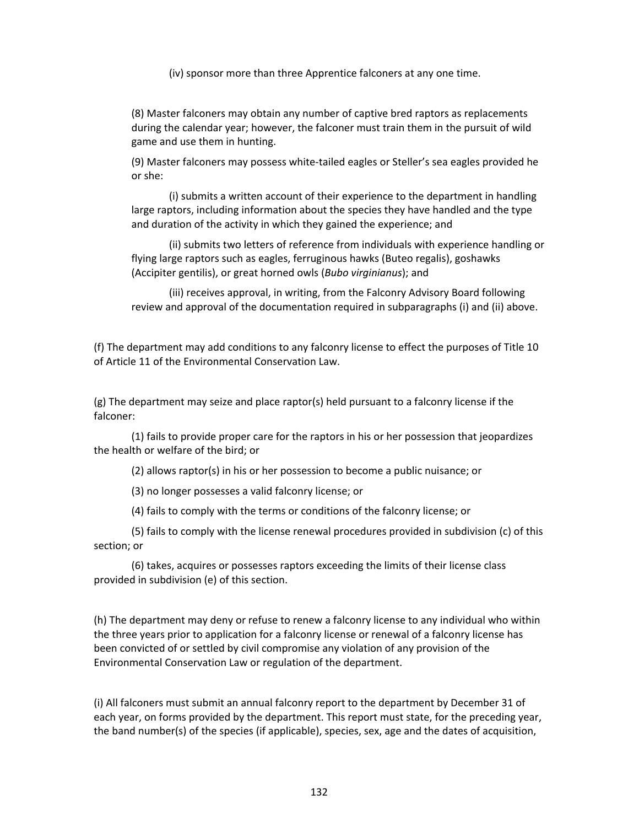(iv) sponsor more than three Apprentice falconers at any one time.

(8) Master falconers may obtain any number of captive bred raptors as replacements during the calendar year; however, the falconer must train them in the pursuit of wild game and use them in hunting.

(9) Master falconers may possess white-tailed eagles or Steller's sea eagles provided he or she:

(i) submits a written account of their experience to the department in handling large raptors, including information about the species they have handled and the type and duration of the activity in which they gained the experience; and

(ii) submits two letters of reference from individuals with experience handling or flying large raptors such as eagles, ferruginous hawks (Buteo regalis), goshawks (Accipiter gentilis), or great horned owls (*Bubo virginianus*); and

(iii) receives approval, in writing, from the Falconry Advisory Board following review and approval of the documentation required in subparagraphs (i) and (ii) above.

(f) The department may add conditions to any falconry license to effect the purposes of Title 10 of Article 11 of the Environmental Conservation Law.

(g) The department may seize and place raptor(s) held pursuant to a falconry license if the falconer:

(1) fails to provide proper care for the raptors in his or her possession that jeopardizes the health or welfare of the bird; or

(2) allows raptor(s) in his or her possession to become a public nuisance; or

(3) no longer possesses a valid falconry license; or

(4) fails to comply with the terms or conditions of the falconry license; or

(5) fails to comply with the license renewal procedures provided in subdivision (c) of this section; or

(6) takes, acquires or possesses raptors exceeding the limits of their license class provided in subdivision (e) of this section.

(h) The department may deny or refuse to renew a falconry license to any individual who within the three years prior to application for a falconry license or renewal of a falconry license has been convicted of or settled by civil compromise any violation of any provision of the Environmental Conservation Law or regulation of the department.

(i) All falconers must submit an annual falconry report to the department by December 31 of each year, on forms provided by the department. This report must state, for the preceding year, the band number(s) of the species (if applicable), species, sex, age and the dates of acquisition,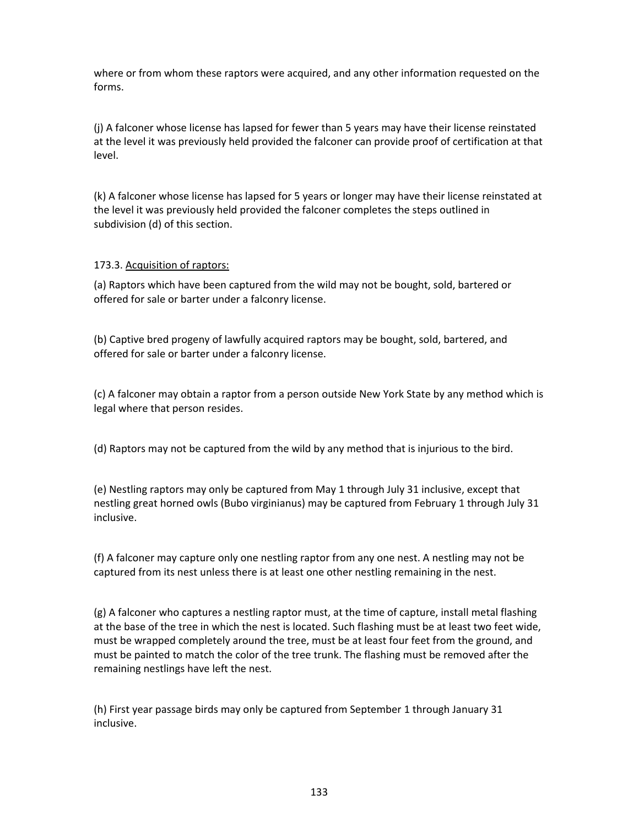where or from whom these raptors were acquired, and any other information requested on the forms.

(j) A falconer whose license has lapsed for fewer than 5 years may have their license reinstated at the level it was previously held provided the falconer can provide proof of certification at that level.

(k) A falconer whose license has lapsed for 5 years or longer may have their license reinstated at the level it was previously held provided the falconer completes the steps outlined in subdivision (d) of this section.

## 173.3. Acquisition of raptors:

(a) Raptors which have been captured from the wild may not be bought, sold, bartered or offered for sale or barter under a falconry license.

(b) Captive bred progeny of lawfully acquired raptors may be bought, sold, bartered, and offered for sale or barter under a falconry license.

(c) A falconer may obtain a raptor from a person outside New York State by any method which is legal where that person resides.

(d) Raptors may not be captured from the wild by any method that is injurious to the bird.

(e) Nestling raptors may only be captured from May 1 through July 31 inclusive, except that nestling great horned owls (Bubo virginianus) may be captured from February 1 through July 31 inclusive.

(f) A falconer may capture only one nestling raptor from any one nest. A nestling may not be captured from its nest unless there is at least one other nestling remaining in the nest.

(g) A falconer who captures a nestling raptor must, at the time of capture, install metal flashing at the base of the tree in which the nest is located. Such flashing must be at least two feet wide, must be wrapped completely around the tree, must be at least four feet from the ground, and must be painted to match the color of the tree trunk. The flashing must be removed after the remaining nestlings have left the nest.

(h) First year passage birds may only be captured from September 1 through January 31 inclusive.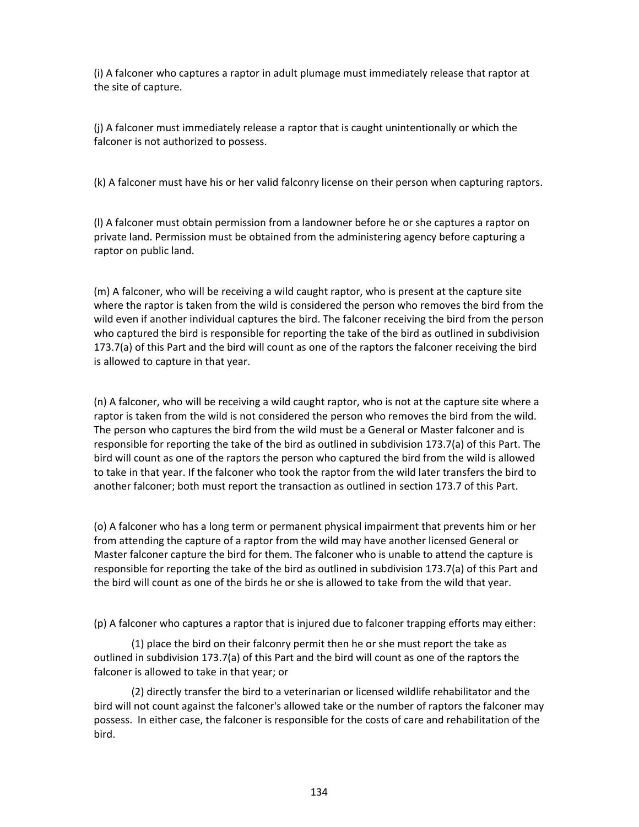(i) A falconer who captures a raptor in adult plumage must immediately release that raptor at the site of capture.

(j) A falconer must immediately release a raptor that is caught unintentionally or which the falconer is not authorized to possess.

(k) A falconer must have his or her valid falconry license on their person when capturing raptors.

(l) A falconer must obtain permission from a landowner before he or she captures a raptor on private land. Permission must be obtained from the administering agency before capturing a raptor on public land.

(m) A falconer, who will be receiving a wild caught raptor, who is present at the capture site where the raptor is taken from the wild is considered the person who removes the bird from the wild even if another individual captures the bird. The falconer receiving the bird from the person who captured the bird is responsible for reporting the take of the bird as outlined in subdivision 173.7(a) of this Part and the bird will count as one of the raptors the falconer receiving the bird is allowed to capture in that year.

(n) A falconer, who will be receiving a wild caught raptor, who is not at the capture site where a raptor is taken from the wild is not considered the person who removes the bird from the wild. The person who captures the bird from the wild must be a General or Master falconer and is responsible for reporting the take of the bird as outlined in subdivision 173.7(a) of this Part. The bird will count as one of the raptors the person who captured the bird from the wild is allowed to take in that year. If the falconer who took the raptor from the wild later transfers the bird to another falconer; both must report the transaction as outlined in section 173.7 of this Part.

(o) A falconer who has a long term or permanent physical impairment that prevents him or her from attending the capture of a raptor from the wild may have another licensed General or Master falconer capture the bird for them. The falconer who is unable to attend the capture is responsible for reporting the take of the bird as outlined in subdivision 173.7(a) of this Part and the bird will count as one of the birds he or she is allowed to take from the wild that year.

(p) A falconer who captures a raptor that is injured due to falconer trapping efforts may either:

(1) place the bird on their falconry permit then he or she must report the take as outlined in subdivision 173.7(a) of this Part and the bird will count as one of the raptors the falconer is allowed to take in that year; or

(2) directly transfer the bird to a veterinarian or licensed wildlife rehabilitator and the bird will not count against the falconer's allowed take or the number of raptors the falconer may possess. In either case, the falconer is responsible for the costs of care and rehabilitation of the bird.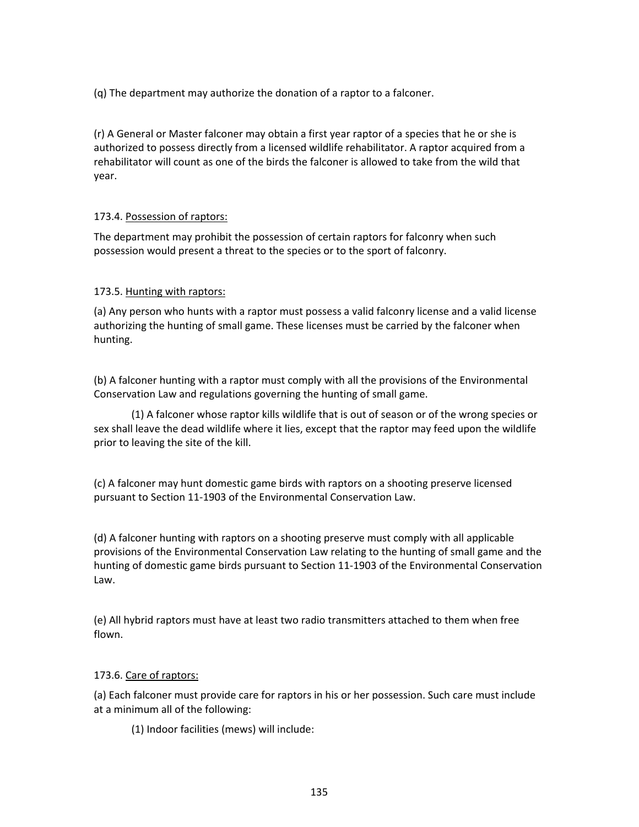(q) The department may authorize the donation of a raptor to a falconer.

(r) A General or Master falconer may obtain a first year raptor of a species that he or she is authorized to possess directly from a licensed wildlife rehabilitator. A raptor acquired from a rehabilitator will count as one of the birds the falconer is allowed to take from the wild that year.

## 173.4. Possession of raptors:

The department may prohibit the possession of certain raptors for falconry when such possession would present a threat to the species or to the sport of falconry.

## 173.5. Hunting with raptors:

(a) Any person who hunts with a raptor must possess a valid falconry license and a valid license authorizing the hunting of small game. These licenses must be carried by the falconer when hunting.

(b) A falconer hunting with a raptor must comply with all the provisions of the Environmental Conservation Law and regulations governing the hunting of small game.

(1) A falconer whose raptor kills wildlife that is out of season or of the wrong species or sex shall leave the dead wildlife where it lies, except that the raptor may feed upon the wildlife prior to leaving the site of the kill.

(c) A falconer may hunt domestic game birds with raptors on a shooting preserve licensed pursuant to Section 11-1903 of the Environmental Conservation Law.

(d) A falconer hunting with raptors on a shooting preserve must comply with all applicable provisions of the Environmental Conservation Law relating to the hunting of small game and the hunting of domestic game birds pursuant to Section 11-1903 of the Environmental Conservation Law.

(e) All hybrid raptors must have at least two radio transmitters attached to them when free flown.

## 173.6. Care of raptors:

(a) Each falconer must provide care for raptors in his or her possession. Such care must include at a minimum all of the following:

(1) Indoor facilities (mews) will include: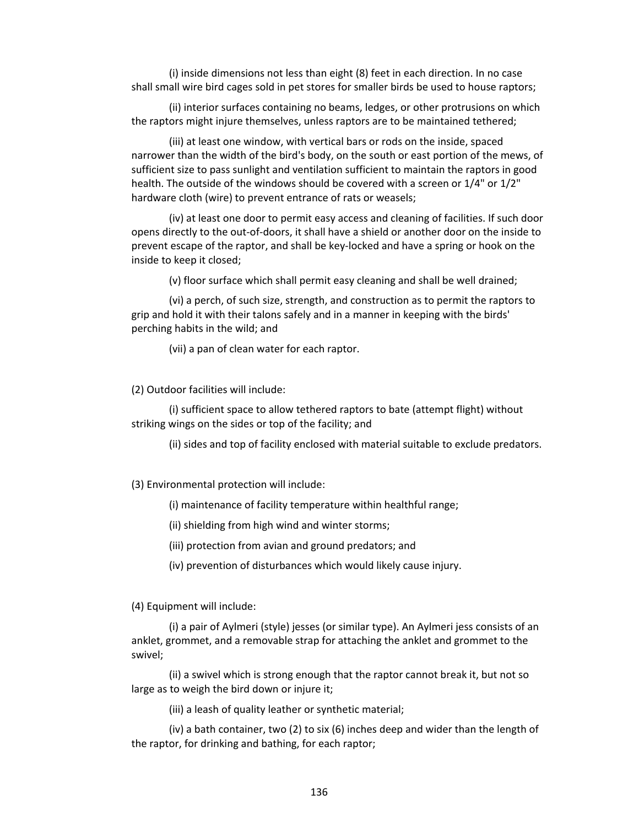(i) inside dimensions not less than eight (8) feet in each direction. In no case shall small wire bird cages sold in pet stores for smaller birds be used to house raptors;

(ii) interior surfaces containing no beams, ledges, or other protrusions on which the raptors might injure themselves, unless raptors are to be maintained tethered;

(iii) at least one window, with vertical bars or rods on the inside, spaced narrower than the width of the bird's body, on the south or east portion of the mews, of sufficient size to pass sunlight and ventilation sufficient to maintain the raptors in good health. The outside of the windows should be covered with a screen or 1/4" or 1/2" hardware cloth (wire) to prevent entrance of rats or weasels;

(iv) at least one door to permit easy access and cleaning of facilities. If such door opens directly to the out-of-doors, it shall have a shield or another door on the inside to prevent escape of the raptor, and shall be key-locked and have a spring or hook on the inside to keep it closed;

(v) floor surface which shall permit easy cleaning and shall be well drained;

(vi) a perch, of such size, strength, and construction as to permit the raptors to grip and hold it with their talons safely and in a manner in keeping with the birds' perching habits in the wild; and

(vii) a pan of clean water for each raptor.

(2) Outdoor facilities will include:

(i) sufficient space to allow tethered raptors to bate (attempt flight) without striking wings on the sides or top of the facility; and

(ii) sides and top of facility enclosed with material suitable to exclude predators.

(3) Environmental protection will include:

(i) maintenance of facility temperature within healthful range;

(ii) shielding from high wind and winter storms;

(iii) protection from avian and ground predators; and

(iv) prevention of disturbances which would likely cause injury.

(4) Equipment will include:

(i) a pair of Aylmeri (style) jesses (or similar type). An Aylmeri jess consists of an anklet, grommet, and a removable strap for attaching the anklet and grommet to the swivel;

(ii) a swivel which is strong enough that the raptor cannot break it, but not so large as to weigh the bird down or injure it;

(iii) a leash of quality leather or synthetic material;

(iv) a bath container, two (2) to six (6) inches deep and wider than the length of the raptor, for drinking and bathing, for each raptor;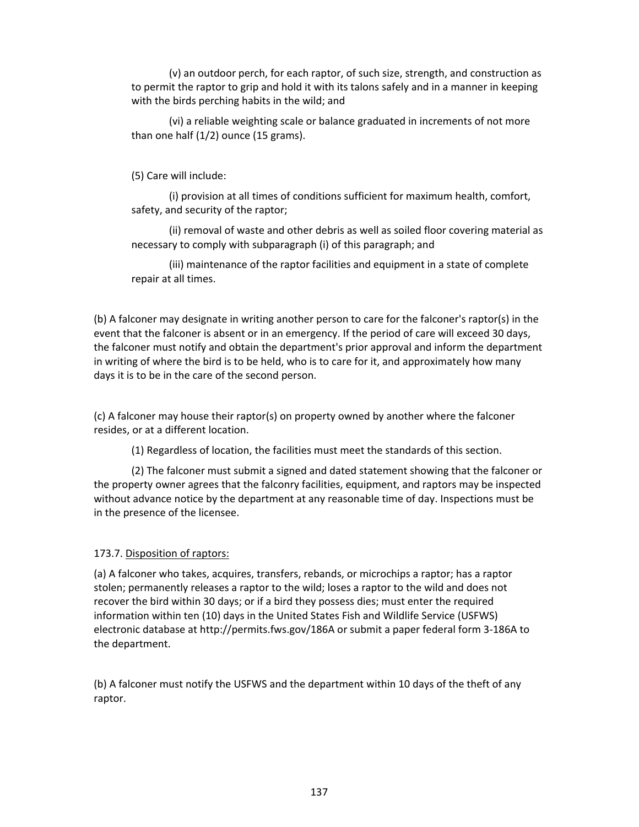(v) an outdoor perch, for each raptor, of such size, strength, and construction as to permit the raptor to grip and hold it with its talons safely and in a manner in keeping with the birds perching habits in the wild; and

(vi) a reliable weighting scale or balance graduated in increments of not more than one half (1/2) ounce (15 grams).

(5) Care will include:

(i) provision at all times of conditions sufficient for maximum health, comfort, safety, and security of the raptor;

(ii) removal of waste and other debris as well as soiled floor covering material as necessary to comply with subparagraph (i) of this paragraph; and

(iii) maintenance of the raptor facilities and equipment in a state of complete repair at all times.

(b) A falconer may designate in writing another person to care for the falconer's raptor(s) in the event that the falconer is absent or in an emergency. If the period of care will exceed 30 days, the falconer must notify and obtain the department's prior approval and inform the department in writing of where the bird is to be held, who is to care for it, and approximately how many days it is to be in the care of the second person.

(c) A falconer may house their raptor(s) on property owned by another where the falconer resides, or at a different location.

(1) Regardless of location, the facilities must meet the standards of this section.

(2) The falconer must submit a signed and dated statement showing that the falconer or the property owner agrees that the falconry facilities, equipment, and raptors may be inspected without advance notice by the department at any reasonable time of day. Inspections must be in the presence of the licensee.

## 173.7. Disposition of raptors:

(a) A falconer who takes, acquires, transfers, rebands, or microchips a raptor; has a raptor stolen; permanently releases a raptor to the wild; loses a raptor to the wild and does not recover the bird within 30 days; or if a bird they possess dies; must enter the required information within ten (10) days in the United States Fish and Wildlife Service (USFWS) electronic database at http://permits.fws.gov/186A or submit a paper federal form 3-186A to the department.

(b) A falconer must notify the USFWS and the department within 10 days of the theft of any raptor.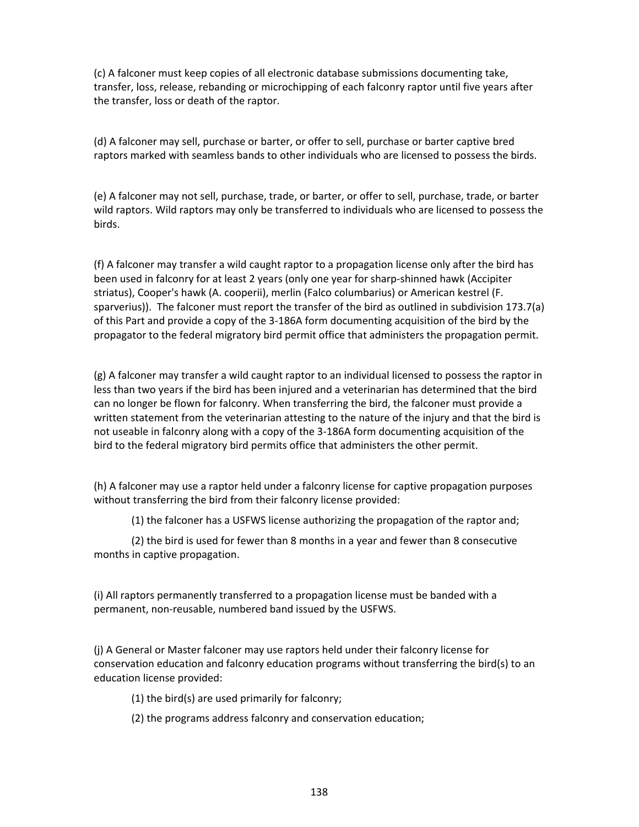(c) A falconer must keep copies of all electronic database submissions documenting take, transfer, loss, release, rebanding or microchipping of each falconry raptor until five years after the transfer, loss or death of the raptor.

(d) A falconer may sell, purchase or barter, or offer to sell, purchase or barter captive bred raptors marked with seamless bands to other individuals who are licensed to possess the birds.

(e) A falconer may not sell, purchase, trade, or barter, or offer to sell, purchase, trade, or barter wild raptors. Wild raptors may only be transferred to individuals who are licensed to possess the birds.

(f) A falconer may transfer a wild caught raptor to a propagation license only after the bird has been used in falconry for at least 2 years (only one year for sharp-shinned hawk (Accipiter striatus), Cooper's hawk (A. cooperii), merlin (Falco columbarius) or American kestrel (F. sparverius)). The falconer must report the transfer of the bird as outlined in subdivision 173.7(a) of this Part and provide a copy of the 3-186A form documenting acquisition of the bird by the propagator to the federal migratory bird permit office that administers the propagation permit.

(g) A falconer may transfer a wild caught raptor to an individual licensed to possess the raptor in less than two years if the bird has been injured and a veterinarian has determined that the bird can no longer be flown for falconry. When transferring the bird, the falconer must provide a written statement from the veterinarian attesting to the nature of the injury and that the bird is not useable in falconry along with a copy of the 3-186A form documenting acquisition of the bird to the federal migratory bird permits office that administers the other permit.

(h) A falconer may use a raptor held under a falconry license for captive propagation purposes without transferring the bird from their falconry license provided:

(1) the falconer has a USFWS license authorizing the propagation of the raptor and;

(2) the bird is used for fewer than 8 months in a year and fewer than 8 consecutive months in captive propagation.

(i) All raptors permanently transferred to a propagation license must be banded with a permanent, non-reusable, numbered band issued by the USFWS.

(j) A General or Master falconer may use raptors held under their falconry license for conservation education and falconry education programs without transferring the bird(s) to an education license provided:

(1) the bird(s) are used primarily for falconry;

(2) the programs address falconry and conservation education;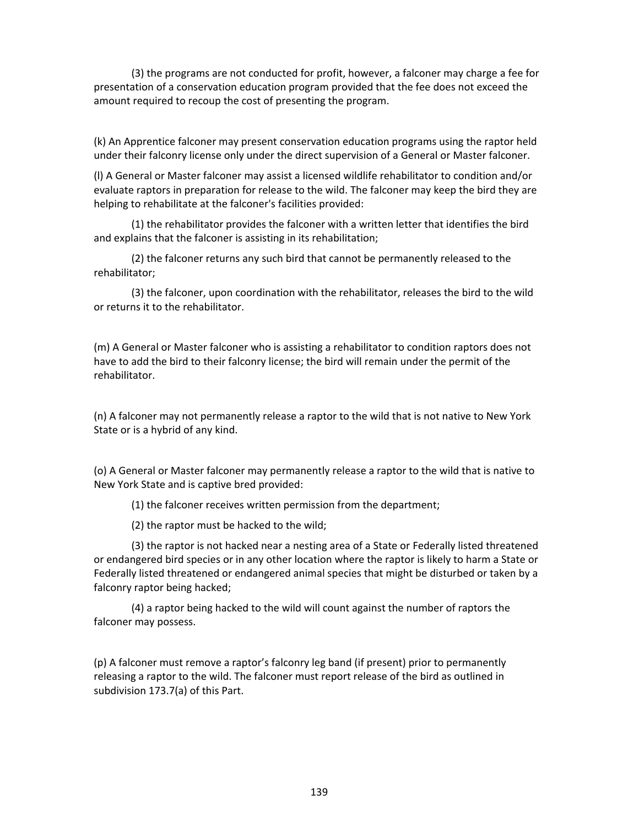(3) the programs are not conducted for profit, however, a falconer may charge a fee for presentation of a conservation education program provided that the fee does not exceed the amount required to recoup the cost of presenting the program.

(k) An Apprentice falconer may present conservation education programs using the raptor held under their falconry license only under the direct supervision of a General or Master falconer.

(l) A General or Master falconer may assist a licensed wildlife rehabilitator to condition and/or evaluate raptors in preparation for release to the wild. The falconer may keep the bird they are helping to rehabilitate at the falconer's facilities provided:

(1) the rehabilitator provides the falconer with a written letter that identifies the bird and explains that the falconer is assisting in its rehabilitation;

(2) the falconer returns any such bird that cannot be permanently released to the rehabilitator;

(3) the falconer, upon coordination with the rehabilitator, releases the bird to the wild or returns it to the rehabilitator.

(m) A General or Master falconer who is assisting a rehabilitator to condition raptors does not have to add the bird to their falconry license; the bird will remain under the permit of the rehabilitator.

(n) A falconer may not permanently release a raptor to the wild that is not native to New York State or is a hybrid of any kind.

(o) A General or Master falconer may permanently release a raptor to the wild that is native to New York State and is captive bred provided:

(1) the falconer receives written permission from the department;

(2) the raptor must be hacked to the wild;

(3) the raptor is not hacked near a nesting area of a State or Federally listed threatened or endangered bird species or in any other location where the raptor is likely to harm a State or Federally listed threatened or endangered animal species that might be disturbed or taken by a falconry raptor being hacked;

(4) a raptor being hacked to the wild will count against the number of raptors the falconer may possess.

(p) A falconer must remove a raptor's falconry leg band (if present) prior to permanently releasing a raptor to the wild. The falconer must report release of the bird as outlined in subdivision 173.7(a) of this Part.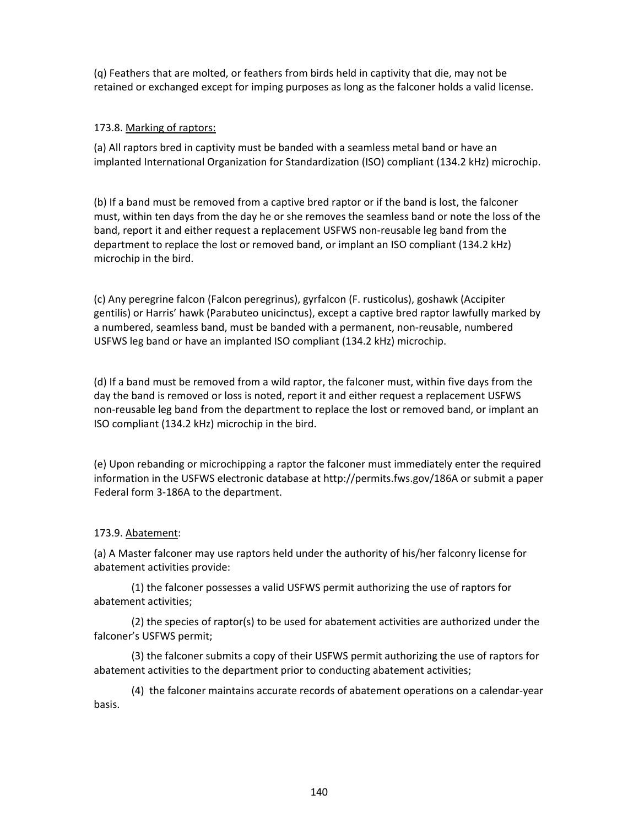(q) Feathers that are molted, or feathers from birds held in captivity that die, may not be retained or exchanged except for imping purposes as long as the falconer holds a valid license.

## 173.8. Marking of raptors:

(a) All raptors bred in captivity must be banded with a seamless metal band or have an implanted International Organization for Standardization (ISO) compliant (134.2 kHz) microchip.

(b) If a band must be removed from a captive bred raptor or if the band is lost, the falconer must, within ten days from the day he or she removes the seamless band or note the loss of the band, report it and either request a replacement USFWS non-reusable leg band from the department to replace the lost or removed band, or implant an ISO compliant (134.2 kHz) microchip in the bird.

(c) Any peregrine falcon (Falcon peregrinus), gyrfalcon (F. rusticolus), goshawk (Accipiter gentilis) or Harris' hawk (Parabuteo unicinctus), except a captive bred raptor lawfully marked by a numbered, seamless band, must be banded with a permanent, non-reusable, numbered USFWS leg band or have an implanted ISO compliant (134.2 kHz) microchip.

(d) If a band must be removed from a wild raptor, the falconer must, within five days from the day the band is removed or loss is noted, report it and either request a replacement USFWS non-reusable leg band from the department to replace the lost or removed band, or implant an ISO compliant (134.2 kHz) microchip in the bird.

(e) Upon rebanding or microchipping a raptor the falconer must immediately enter the required information in the USFWS electronic database at http://permits.fws.gov/186A or submit a paper Federal form 3-186A to the department.

## 173.9. Abatement:

(a) A Master falconer may use raptors held under the authority of his/her falconry license for abatement activities provide:

(1) the falconer possesses a valid USFWS permit authorizing the use of raptors for abatement activities;

(2) the species of raptor(s) to be used for abatement activities are authorized under the falconer's USFWS permit;

(3) the falconer submits a copy of their USFWS permit authorizing the use of raptors for abatement activities to the department prior to conducting abatement activities;

(4) the falconer maintains accurate records of abatement operations on a calendar-year basis.